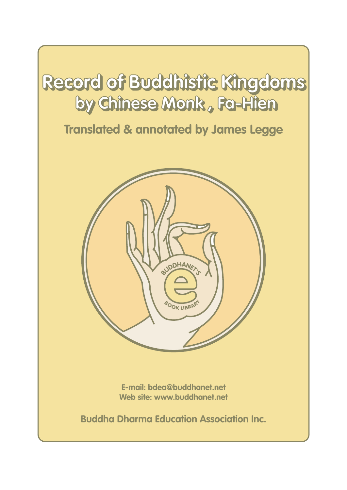

# **Translated & annotated by James Legge**



**E-mail: bdea@buddhanet.net Web site: www.buddhanet.net**

**Buddha Dharma Education Association Inc.**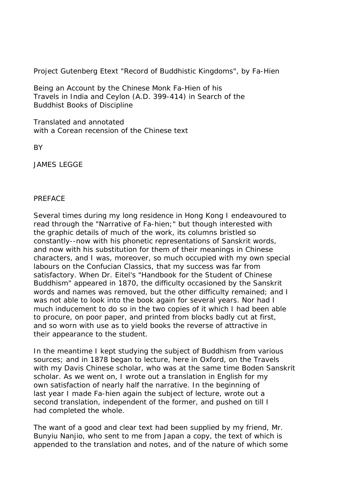## Project Gutenberg Etext "Record of Buddhistic Kingdoms", by Fa-Hien

Being an Account by the Chinese Monk Fa-Hien of his Travels in India and Ceylon (A.D. 399-414) in Search of the Buddhist Books of Discipline

Translated and annotated with a Corean recension of the Chinese text

**BY** 

JAMES LEGGE

#### PREFACE

Several times during my long residence in Hong Kong I endeavoured to read through the "Narrative of Fa-hien;" but though interested with the graphic details of much of the work, its columns bristled so constantly--now with his phonetic representations of Sanskrit words, and now with his substitution for them of their meanings in Chinese characters, and I was, moreover, so much occupied with my own special labours on the Confucian Classics, that my success was far from satisfactory. When Dr. Eitel's "Handbook for the Student of Chinese Buddhism" appeared in 1870, the difficulty occasioned by the Sanskrit words and names was removed, but the other difficulty remained; and I was not able to look into the book again for several years. Nor had I much inducement to do so in the two copies of it which I had been able to procure, on poor paper, and printed from blocks badly cut at first, and so worn with use as to yield books the reverse of attractive in their appearance to the student.

In the meantime I kept studying the subject of Buddhism from various sources; and in 1878 began to lecture, here in Oxford, on the Travels with my Davis Chinese scholar, who was at the same time Boden Sanskrit scholar. As we went on, I wrote out a translation in English for my own satisfaction of nearly half the narrative. In the beginning of last year I made Fa-hien again the subject of lecture, wrote out a second translation, independent of the former, and pushed on till I had completed the whole.

The want of a good and clear text had been supplied by my friend, Mr. Bunyiu Nanjio, who sent to me from Japan a copy, the text of which is appended to the translation and notes, and of the nature of which some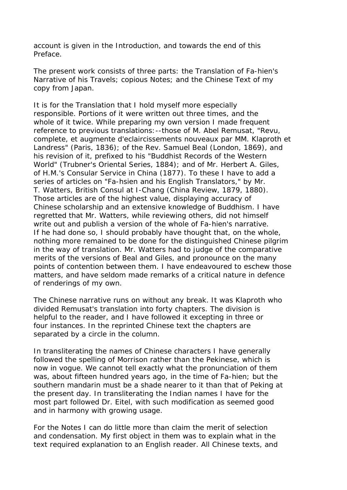account is given in the Introduction, and towards the end of this Preface.

The present work consists of three parts: the Translation of Fa-hien's Narrative of his Travels; copious Notes; and the Chinese Text of my copy from Japan.

It is for the Translation that I hold myself more especially responsible. Portions of it were written out three times, and the whole of it twice. While preparing my own version I made frequent reference to previous translations:--those of M. Abel Remusat, "Revu, complete, et augmente d'eclaircissements nouveaux par MM. Klaproth et Landress" (Paris, 1836); of the Rev. Samuel Beal (London, 1869), and his revision of it, prefixed to his "Buddhist Records of the Western World" (Trubner's Oriental Series, 1884); and of Mr. Herbert A. Giles, of H.M.'s Consular Service in China (1877). To these I have to add a series of articles on "Fa-hsien and his English Translators," by Mr. T. Watters, British Consul at I-Chang (China Review, 1879, 1880). Those articles are of the highest value, displaying accuracy of Chinese scholarship and an extensive knowledge of Buddhism. I have regretted that Mr. Watters, while reviewing others, did not himself write out and publish a version of the whole of Fa-hien's narrative. If he had done so, I should probably have thought that, on the whole, nothing more remained to be done for the distinguished Chinese pilgrim in the way of translation. Mr. Watters had to judge of the comparative merits of the versions of Beal and Giles, and pronounce on the many points of contention between them. I have endeavoured to eschew those matters, and have seldom made remarks of a critical nature in defence of renderings of my own.

The Chinese narrative runs on without any break. It was Klaproth who divided Remusat's translation into forty chapters. The division is helpful to the reader, and I have followed it excepting in three or four instances. In the reprinted Chinese text the chapters are separated by a circle in the column.

In transliterating the names of Chinese characters I have generally followed the spelling of Morrison rather than the Pekinese, which is now in vogue. We cannot tell exactly what the pronunciation of them was, about fifteen hundred years ago, in the time of Fa-hien; but the southern mandarin must be a shade nearer to it than that of Peking at the present day. In transliterating the Indian names I have for the most part followed Dr. Eitel, with such modification as seemed good and in harmony with growing usage.

For the Notes I can do little more than claim the merit of selection and condensation. My first object in them was to explain what in the text required explanation to an English reader. All Chinese texts, and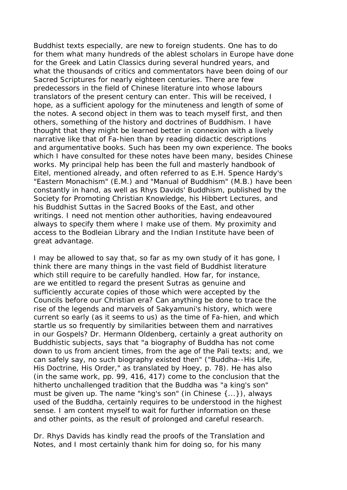Buddhist texts especially, are new to foreign students. One has to do for them what many hundreds of the ablest scholars in Europe have done for the Greek and Latin Classics during several hundred years, and what the thousands of critics and commentators have been doing of our Sacred Scriptures for nearly eighteen centuries. There are few predecessors in the field of Chinese literature into whose labours translators of the present century can enter. This will be received, I hope, as a sufficient apology for the minuteness and length of some of the notes. A second object in them was to teach myself first, and then others, something of the history and doctrines of Buddhism. I have thought that they might be learned better in connexion with a lively narrative like that of Fa-hien than by reading didactic descriptions and argumentative books. Such has been my own experience. The books which I have consulted for these notes have been many, besides Chinese works. My principal help has been the full and masterly handbook of Eitel, mentioned already, and often referred to as E.H. Spence Hardy's "Eastern Monachism" (E.M.) and "Manual of Buddhism" (M.B.) have been constantly in hand, as well as Rhys Davids' Buddhism, published by the Society for Promoting Christian Knowledge, his Hibbert Lectures, and his Buddhist Suttas in the Sacred Books of the East, and other writings. I need not mention other authorities, having endeavoured always to specify them where I make use of them. My proximity and access to the Bodleian Library and the Indian Institute have been of great advantage.

I may be allowed to say that, so far as my own study of it has gone, I think there are many things in the vast field of Buddhist literature which still require to be carefully handled. How far, for instance, are we entitled to regard the present Sutras as genuine and sufficiently accurate copies of those which were accepted by the Councils before our Christian era? Can anything be done to trace the rise of the legends and marvels of Sakyamuni's history, which were current so early (as it seems to us) as the time of Fa-hien, and which startle us so frequently by similarities between them and narratives in our Gospels? Dr. Hermann Oldenberg, certainly a great authority on Buddhistic subjects, says that "a biography of Buddha has not come down to us from ancient times, from the age of the Pali texts; and, we can safely say, no such biography existed then" ("Buddha--His Life, His Doctrine, His Order," as translated by Hoey, p. 78). He has also (in the same work, pp. 99, 416, 417) come to the conclusion that the hitherto unchallenged tradition that the Buddha was "a king's son" must be given up. The name "king's son" (in Chinese {...}), always used of the Buddha, certainly requires to be understood in the highest sense. I am content myself to wait for further information on these and other points, as the result of prolonged and careful research.

Dr. Rhys Davids has kindly read the proofs of the Translation and Notes, and I most certainly thank him for doing so, for his many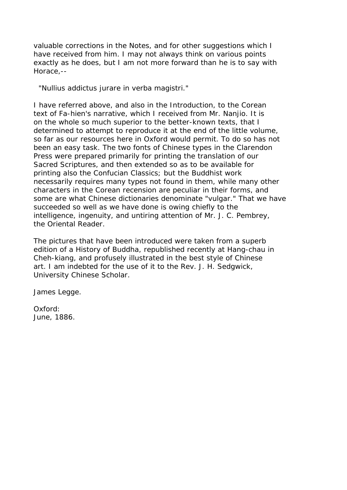valuable corrections in the Notes, and for other suggestions which I have received from him. I may not always think on various points exactly as he does, but I am not more forward than he is to say with Horace,--

"Nullius addictus jurare in verba magistri."

I have referred above, and also in the Introduction, to the Corean text of Fa-hien's narrative, which I received from Mr. Nanjio. It is on the whole so much superior to the better-known texts, that I determined to attempt to reproduce it at the end of the little volume, so far as our resources here in Oxford would permit. To do so has not been an easy task. The two fonts of Chinese types in the Clarendon Press were prepared primarily for printing the translation of our Sacred Scriptures, and then extended so as to be available for printing also the Confucian Classics; but the Buddhist work necessarily requires many types not found in them, while many other characters in the Corean recension are peculiar in their forms, and some are what Chinese dictionaries denominate "vulgar." That we have succeeded so well as we have done is owing chiefly to the intelligence, ingenuity, and untiring attention of Mr. J. C. Pembrey, the Oriental Reader.

The pictures that have been introduced were taken from a superb edition of a History of Buddha, republished recently at Hang-chau in Cheh-kiang, and profusely illustrated in the best style of Chinese art. I am indebted for the use of it to the Rev. J. H. Sedgwick, University Chinese Scholar.

James Legge.

Oxford: June, 1886.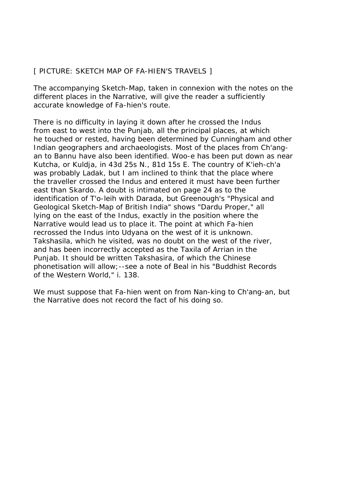## [ PICTURE: SKETCH MAP OF FA-HIEN'S TRAVELS ]

The accompanying Sketch-Map, taken in connexion with the notes on the different places in the Narrative, will give the reader a sufficiently accurate knowledge of Fa-hien's route.

There is no difficulty in laying it down after he crossed the Indus from east to west into the Punjab, all the principal places, at which he touched or rested, having been determined by Cunningham and other Indian geographers and archaeologists. Most of the places from Ch'angan to Bannu have also been identified. Woo-e has been put down as near Kutcha, or Kuldja, in 43d 25s N., 81d 15s E. The country of K'ieh-ch'a was probably Ladak, but I am inclined to think that the place where the traveller crossed the Indus and entered it must have been further east than Skardo. A doubt is intimated on page 24 as to the identification of T'o-leih with Darada, but Greenough's "Physical and Geological Sketch-Map of British India" shows "Dardu Proper," all lying on the east of the Indus, exactly in the position where the Narrative would lead us to place it. The point at which Fa-hien recrossed the Indus into Udyana on the west of it is unknown. Takshasila, which he visited, was no doubt on the west of the river, and has been incorrectly accepted as the Taxila of Arrian in the Punjab. It should be written Takshasira, of which the Chinese phonetisation will allow;--see a note of Beal in his "Buddhist Records of the Western World," i. 138.

We must suppose that Fa-hien went on from Nan-king to Ch'ang-an, but the Narrative does not record the fact of his doing so.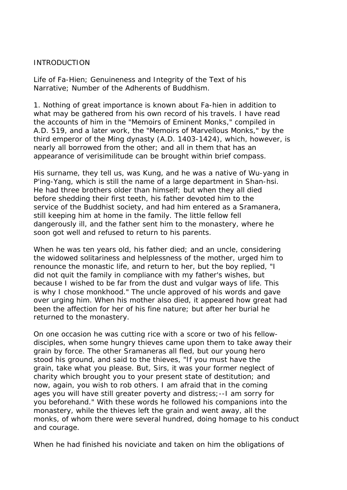## INTRODUCTION

Life of Fa-Hien; Genuineness and Integrity of the Text of his Narrative; Number of the Adherents of Buddhism.

1. Nothing of great importance is known about Fa-hien in addition to what may be gathered from his own record of his travels. I have read the accounts of him in the "Memoirs of Eminent Monks," compiled in A.D. 519, and a later work, the "Memoirs of Marvellous Monks," by the third emperor of the Ming dynasty (A.D. 1403-1424), which, however, is nearly all borrowed from the other; and all in them that has an appearance of verisimilitude can be brought within brief compass.

His surname, they tell us, was Kung, and he was a native of Wu-yang in P'ing-Yang, which is still the name of a large department in Shan-hsi. He had three brothers older than himself; but when they all died before shedding their first teeth, his father devoted him to the service of the Buddhist society, and had him entered as a Sramanera, still keeping him at home in the family. The little fellow fell dangerously ill, and the father sent him to the monastery, where he soon got well and refused to return to his parents.

When he was ten years old, his father died; and an uncle, considering the widowed solitariness and helplessness of the mother, urged him to renounce the monastic life, and return to her, but the boy replied, "I did not quit the family in compliance with my father's wishes, but because I wished to be far from the dust and vulgar ways of life. This is why I chose monkhood." The uncle approved of his words and gave over urging him. When his mother also died, it appeared how great had been the affection for her of his fine nature; but after her burial he returned to the monastery.

On one occasion he was cutting rice with a score or two of his fellowdisciples, when some hungry thieves came upon them to take away their grain by force. The other Sramaneras all fled, but our young hero stood his ground, and said to the thieves, "If you must have the grain, take what you please. But, Sirs, it was your former neglect of charity which brought you to your present state of destitution; and now, again, you wish to rob others. I am afraid that in the coming ages you will have still greater poverty and distress;--I am sorry for you beforehand." With these words he followed his companions into the monastery, while the thieves left the grain and went away, all the monks, of whom there were several hundred, doing homage to his conduct and courage.

When he had finished his noviciate and taken on him the obligations of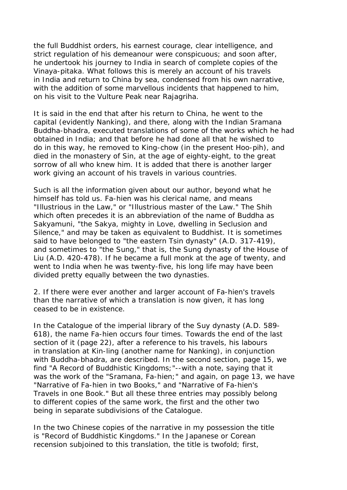the full Buddhist orders, his earnest courage, clear intelligence, and strict regulation of his demeanour were conspicuous; and soon after, he undertook his journey to India in search of complete copies of the Vinaya-pitaka. What follows this is merely an account of his travels in India and return to China by sea, condensed from his own narrative, with the addition of some marvellous incidents that happened to him, on his visit to the Vulture Peak near Rajagriha.

It is said in the end that after his return to China, he went to the capital (evidently Nanking), and there, along with the Indian Sramana Buddha-bhadra, executed translations of some of the works which he had obtained in India; and that before he had done all that he wished to do in this way, he removed to King-chow (in the present Hoo-pih), and died in the monastery of Sin, at the age of eighty-eight, to the great sorrow of all who knew him. It is added that there is another larger work giving an account of his travels in various countries.

Such is all the information given about our author, beyond what he himself has told us. Fa-hien was his clerical name, and means "Illustrious in the Law," or "Illustrious master of the Law." The Shih which often precedes it is an abbreviation of the name of Buddha as Sakyamuni, "the Sakya, mighty in Love, dwelling in Seclusion and Silence," and may be taken as equivalent to Buddhist. It is sometimes said to have belonged to "the eastern Tsin dynasty" (A.D. 317-419), and sometimes to "the Sung," that is, the Sung dynasty of the House of Liu (A.D. 420-478). If he became a full monk at the age of twenty, and went to India when he was twenty-five, his long life may have been divided pretty equally between the two dynasties.

2. If there were ever another and larger account of Fa-hien's travels than the narrative of which a translation is now given, it has long ceased to be in existence.

In the Catalogue of the imperial library of the Suy dynasty (A.D. 589- 618), the name Fa-hien occurs four times. Towards the end of the last section of it (page 22), after a reference to his travels, his labours in translation at Kin-ling (another name for Nanking), in conjunction with Buddha-bhadra, are described. In the second section, page 15, we find "A Record of Buddhistic Kingdoms;"--with a note, saying that it was the work of the "Sramana, Fa-hien;" and again, on page 13, we have "Narrative of Fa-hien in two Books," and "Narrative of Fa-hien's Travels in one Book." But all these three entries may possibly belong to different copies of the same work, the first and the other two being in separate subdivisions of the Catalogue.

In the two Chinese copies of the narrative in my possession the title is "Record of Buddhistic Kingdoms." In the Japanese or Corean recension subjoined to this translation, the title is twofold; first,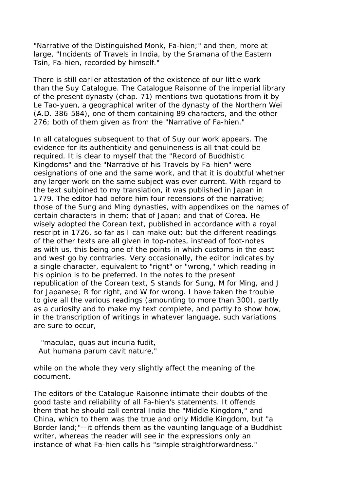"Narrative of the Distinguished Monk, Fa-hien;" and then, more at large, "Incidents of Travels in India, by the Sramana of the Eastern Tsin, Fa-hien, recorded by himself."

There is still earlier attestation of the existence of our little work than the Suy Catalogue. The Catalogue Raisonne of the imperial library of the present dynasty (chap. 71) mentions two quotations from it by Le Tao-yuen, a geographical writer of the dynasty of the Northern Wei (A.D. 386-584), one of them containing 89 characters, and the other 276; both of them given as from the "Narrative of Fa-hien."

In all catalogues subsequent to that of Suy our work appears. The evidence for its authenticity and genuineness is all that could be required. It is clear to myself that the "Record of Buddhistic Kingdoms" and the "Narrative of his Travels by Fa-hien" were designations of one and the same work, and that it is doubtful whether any larger work on the same subject was ever current. With regard to the text subjoined to my translation, it was published in Japan in 1779. The editor had before him four recensions of the narrative; those of the Sung and Ming dynasties, with appendixes on the names of certain characters in them; that of Japan; and that of Corea. He wisely adopted the Corean text, published in accordance with a royal rescript in 1726, so far as I can make out; but the different readings of the other texts are all given in top-notes, instead of foot-notes as with us, this being one of the points in which customs in the east and west go by contraries. Very occasionally, the editor indicates by a single character, equivalent to "right" or "wrong," which reading in his opinion is to be preferred. In the notes to the present republication of the Corean text, S stands for Sung, M for Ming, and J for Japanese; R for right, and W for wrong. I have taken the trouble to give all the various readings (amounting to more than 300), partly as a curiosity and to make my text complete, and partly to show how, in the transcription of writings in whatever language, such variations are sure to occur,

 "maculae, quas aut incuria fudit, Aut humana parum cavit nature,"

while on the whole they very slightly affect the meaning of the document.

The editors of the Catalogue Raisonne intimate their doubts of the good taste and reliability of all Fa-hien's statements. It offends them that he should call central India the "Middle Kingdom," and China, which to them was the true and only Middle Kingdom, but "a Border land;"--it offends them as the vaunting language of a Buddhist writer, whereas the reader will see in the expressions only an instance of what Fa-hien calls his "simple straightforwardness."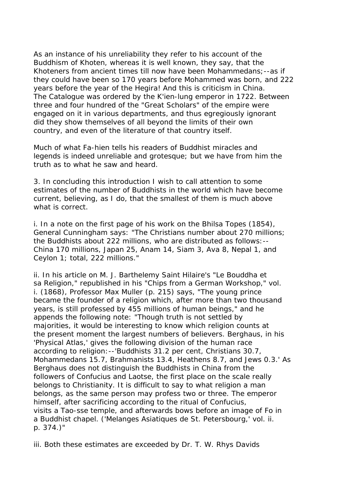As an instance of his unreliability they refer to his account of the Buddhism of Khoten, whereas it is well known, they say, that the Khoteners from ancient times till now have been Mohammedans;--as if they could have been so 170 years before Mohammed was born, and 222 years before the year of the Hegira! And this is criticism in China. The Catalogue was ordered by the K'ien-lung emperor in 1722. Between three and four hundred of the "Great Scholars" of the empire were engaged on it in various departments, and thus egregiously ignorant did they show themselves of all beyond the limits of their own country, and even of the literature of that country itself.

Much of what Fa-hien tells his readers of Buddhist miracles and legends is indeed unreliable and grotesque; but we have from him the truth as to what he saw and heard.

3. In concluding this introduction I wish to call attention to some estimates of the number of Buddhists in the world which have become current, believing, as I do, that the smallest of them is much above what is correct.

i. In a note on the first page of his work on the Bhilsa Topes (1854), General Cunningham says: "The Christians number about 270 millions; the Buddhists about 222 millions, who are distributed as follows:-- China 170 millions, Japan 25, Anam 14, Siam 3, Ava 8, Nepal 1, and Ceylon 1; total, 222 millions."

ii. In his article on M. J. Barthelemy Saint Hilaire's "Le Bouddha et sa Religion," republished in his "Chips from a German Workshop," vol. i. (1868), Professor Max Muller (p. 215) says, "The young prince became the founder of a religion which, after more than two thousand years, is still professed by 455 millions of human beings," and he appends the following note: "Though truth is not settled by majorities, it would be interesting to know which religion counts at the present moment the largest numbers of believers. Berghaus, in his 'Physical Atlas,' gives the following division of the human race according to religion:--'Buddhists 31.2 per cent, Christians 30.7, Mohammedans 15.7, Brahmanists 13.4, Heathens 8.7, and Jews 0.3.' As Berghaus does not distinguish the Buddhists in China from the followers of Confucius and Laotse, the first place on the scale really belongs to Christianity. It is difficult to say to what religion a man belongs, as the same person may profess two or three. The emperor himself, after sacrificing according to the ritual of Confucius, visits a Tao-sse temple, and afterwards bows before an image of Fo in a Buddhist chapel. ('Melanges Asiatiques de St. Petersbourg,' vol. ii. p. 374.)"

iii. Both these estimates are exceeded by Dr. T. W. Rhys Davids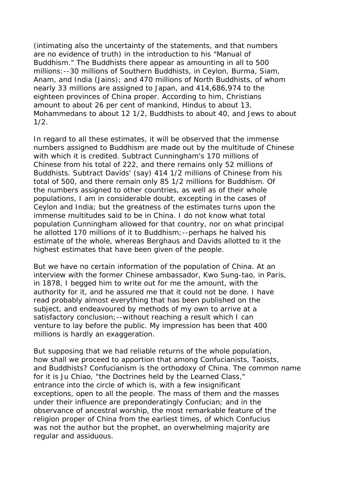(intimating also the uncertainty of the statements, and that numbers are no evidence of truth) in the introduction to his "Manual of Buddhism." The Buddhists there appear as amounting in all to 500 millions:--30 millions of Southern Buddhists, in Ceylon, Burma, Siam, Anam, and India (Jains); and 470 millions of North Buddhists, of whom nearly 33 millions are assigned to Japan, and 414,686,974 to the eighteen provinces of China proper. According to him, Christians amount to about 26 per cent of mankind, Hindus to about 13, Mohammedans to about 12 1/2, Buddhists to about 40, and Jews to about 1/2.

In regard to all these estimates, it will be observed that the immense numbers assigned to Buddhism are made out by the multitude of Chinese with which it is credited. Subtract Cunningham's 170 millions of Chinese from his total of 222, and there remains only 52 millions of Buddhists. Subtract Davids' (say) 414 1/2 millions of Chinese from his total of 500, and there remain only 85 1/2 millions for Buddhism. Of the numbers assigned to other countries, as well as of their whole populations, I am in considerable doubt, excepting in the cases of Ceylon and India; but the greatness of the estimates turns upon the immense multitudes said to be in China. I do not know what total population Cunningham allowed for that country, nor on what principal he allotted 170 millions of it to Buddhism;--perhaps he halved his estimate of the whole, whereas Berghaus and Davids allotted to it the highest estimates that have been given of the people.

But we have no certain information of the population of China. At an interview with the former Chinese ambassador, Kwo Sung-tao, in Paris, in 1878, I begged him to write out for me the amount, with the authority for it, and he assured me that it could not be done. I have read probably almost everything that has been published on the subject, and endeavoured by methods of my own to arrive at a satisfactory conclusion; --without reaching a result which I can venture to lay before the public. My impression has been that 400 millions is hardly an exaggeration.

But supposing that we had reliable returns of the whole population, how shall we proceed to apportion that among Confucianists, Taoists, and Buddhists? Confucianism is the orthodoxy of China. The common name for it is Ju Chiao, "the Doctrines held by the Learned Class," entrance into the circle of which is, with a few insignificant exceptions, open to all the people. The mass of them and the masses under their influence are preponderatingly Confucian; and in the observance of ancestral worship, the most remarkable feature of the religion proper of China from the earliest times, of which Confucius was not the author but the prophet, an overwhelming majority are regular and assiduous.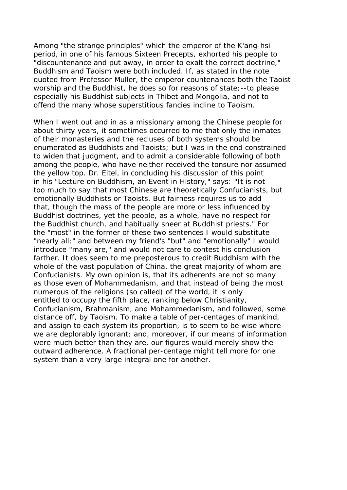Among "the strange principles" which the emperor of the K'ang-hsi period, in one of his famous Sixteen Precepts, exhorted his people to "discountenance and put away, in order to exalt the correct doctrine," Buddhism and Taoism were both included. If, as stated in the note quoted from Professor Muller, the emperor countenances both the Taoist worship and the Buddhist, he does so for reasons of state;--to please especially his Buddhist subjects in Thibet and Mongolia, and not to offend the many whose superstitious fancies incline to Taoism.

When I went out and in as a missionary among the Chinese people for about thirty years, it sometimes occurred to me that only the inmates of their monasteries and the recluses of both systems should be enumerated as Buddhists and Taoists; but I was in the end constrained to widen that judgment, and to admit a considerable following of both among the people, who have neither received the tonsure nor assumed the yellow top. Dr. Eitel, in concluding his discussion of this point in his "Lecture on Buddhism, an Event in History," says: "It is not too much to say that most Chinese are theoretically Confucianists, but emotionally Buddhists or Taoists. But fairness requires us to add that, though the mass of the people are more or less influenced by Buddhist doctrines, yet the people, as a whole, have no respect for the Buddhist church, and habitually sneer at Buddhist priests." For the "most" in the former of these two sentences I would substitute "nearly all;" and between my friend's "but" and "emotionally" I would introduce "many are," and would not care to contest his conclusion farther. It does seem to me preposterous to credit Buddhism with the whole of the vast population of China, the great majority of whom are Confucianists. My own opinion is, that its adherents are not so many as those even of Mohammedanism, and that instead of being the most numerous of the religions (so called) of the world, it is only entitled to occupy the fifth place, ranking below Christianity, Confucianism, Brahmanism, and Mohammedanism, and followed, some distance off, by Taoism. To make a table of per-centages of mankind, and assign to each system its proportion, is to seem to be wise where we are deplorably ignorant; and, moreover, if our means of information were much better than they are, our figures would merely show the outward adherence. A fractional per-centage might tell more for one system than a very large integral one for another.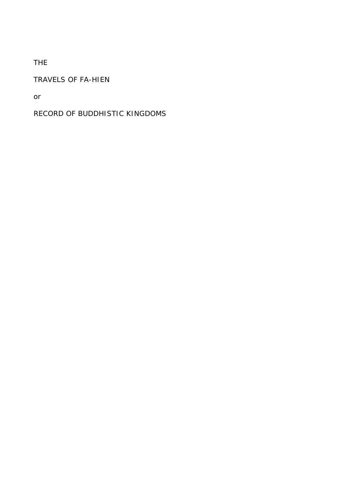# THE

## TRAVELS OF FA-HIEN

or

# RECORD OF BUDDHISTIC KINGDOMS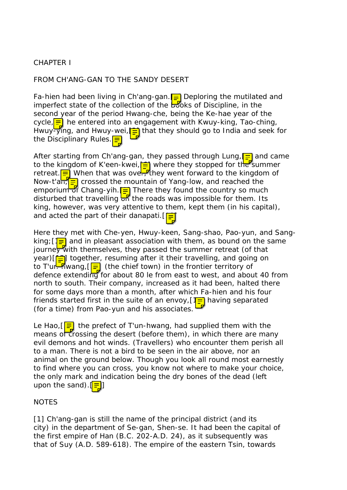## CHAPTER I

## FROM CH'ANG-GAN TO THE SANDY DESERT

Fa-hien had been living in Ch'ang-gan.  $\equiv$  Deploring the mutilated and imperfect state of the collection of the  $550$ ks of Discipline, in the second year of the period Hwang-che, being the Ke-hae year of the cycle, <u>=</u> he entered into an engagement with Kwuy-king, Tao-ching, Hwuy-ying, and Hwuy-wei,  $\equiv$  that they should go to India and seek for the Disciplinary Rules.

After starting from Ch'ang-gan, they passed through Lung,  $\equiv$  and came to the kingdom of K'een-kwei, in where they stopped for the summer retreat. <mark>=</mark> When that was ove– they went forward to the kingdom of Now-t'an,  $\frac{1}{2}$  crossed the mountain of Yang-low, and reached the emporium of Chang-yih.  $\equiv$  There they found the country so much disturbed that travelling  $\frac{1}{\sqrt{2}}$  the roads was impossible for them. Its king, however, was very attentive to them, kept them (in his capital), and acted the part of their danapati.  $[=]$ 

Here they met with Che-yen, Hwuy-keen, Sang-shao, Pao-yun, and Sangking;  $\sqrt{1}$  and in pleasant association with them, as bound on the same journey with themselves, they passed the summer retreat (of that year)[[in] together, resuming after it their travelling, and going on to T'ur-Awang,  $\boxed{=}$  (the chief town) in the frontier territory of defence extending for about 80 le from east to west, and about 40 from north to south. Their company, increased as it had been, halted there for some days more than a month, after which Fa-hien and his four friends started first in the suite of an envoy,  $\left[\frac{1}{2}\right]$  having separated (for a time) from Pao-yun and his associates.

Le Hao,  $\left|\frac{1}{2}\right|$  the prefect of T'un-hwang, had supplied them with the means of crossing the desert (before them), in which there are many evil demons and hot winds. (Travellers) who encounter them perish all to a man. There is not a bird to be seen in the air above, nor an animal on the ground below. Though you look all round most earnestly to find where you can cross, you know not where to make your choice, the only mark and indication being the dry bones of the dead (left upon the sand).  $\parallel \equiv \parallel$ ]

## **NOTES**

[1] Ch'ang-gan is still the name of the principal district (and its city) in the department of Se-gan, Shen-se. It had been the capital of the first empire of Han (B.C. 202-A.D. 24), as it subsequently was that of Suy (A.D. 589-618). The empire of the eastern Tsin, towards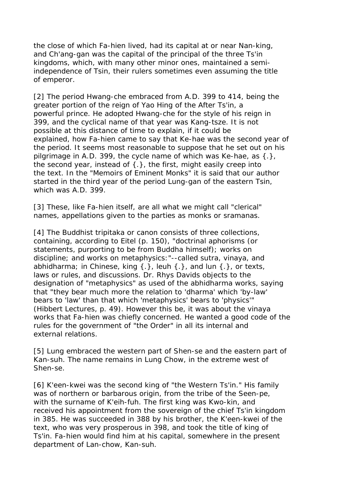the close of which Fa-hien lived, had its capital at or near Nan-king, and Ch'ang-gan was the capital of the principal of the three Ts'in kingdoms, which, with many other minor ones, maintained a semiindependence of Tsin, their rulers sometimes even assuming the title of emperor.

[2] The period Hwang-che embraced from A.D. 399 to 414, being the greater portion of the reign of Yao Hing of the After Ts'in, a powerful prince. He adopted Hwang-che for the style of his reign in 399, and the cyclical name of that year was Kang-tsze. It is not possible at this distance of time to explain, if it could be explained, how Fa-hien came to say that Ke-hae was the second year of the period. It seems most reasonable to suppose that he set out on his pilgrimage in A.D. 399, the cycle name of which was Ke-hae, as {.}, the second vear, instead of  $\{\cdot\}$ , the first, might easily creep into the text. In the "Memoirs of Eminent Monks" it is said that our author started in the third year of the period Lung-gan of the eastern Tsin, which was A.D. 399.

[3] These, like Fa-hien itself, are all what we might call "clerical" names, appellations given to the parties as monks or sramanas.

[4] The Buddhist tripitaka or canon consists of three collections, containing, according to Eitel (p. 150), "doctrinal aphorisms (or statements, purporting to be from Buddha himself); works on discipline; and works on metaphysics:"--called sutra, vinaya, and abhidharma; in Chinese, king  $\{\cdot\}$ , leuh  $\{\cdot\}$ , and lun  $\{\cdot\}$ , or texts, laws or rules, and discussions. Dr. Rhys Davids objects to the designation of "metaphysics" as used of the abhidharma works, saying that "they bear much more the relation to 'dharma' which 'by-law' bears to 'law' than that which 'metaphysics' bears to 'physics' (Hibbert Lectures, p. 49). However this be, it was about the vinaya works that Fa-hien was chiefly concerned. He wanted a good code of the rules for the government of "the Order" in all its internal and external relations.

[5] Lung embraced the western part of Shen-se and the eastern part of Kan-suh. The name remains in Lung Chow, in the extreme west of Shen-se.

[6] K'een-kwei was the second king of "the Western Ts'in." His family was of northern or barbarous origin, from the tribe of the Seen-pe, with the surname of K'eih-fuh. The first king was Kwo-kin, and received his appointment from the sovereign of the chief Ts'in kingdom in 385. He was succeeded in 388 by his brother, the K'een-kwei of the text, who was very prosperous in 398, and took the title of king of Ts'in. Fa-hien would find him at his capital, somewhere in the present department of Lan-chow, Kan-suh.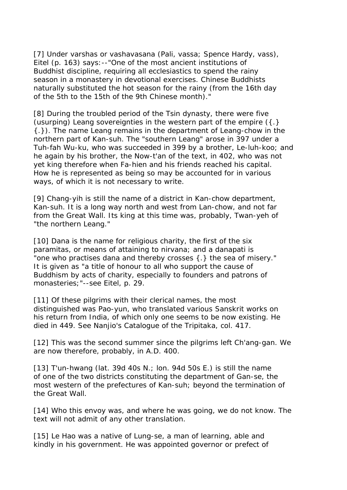[7] Under varshas or vashavasana (Pali, vassa; Spence Hardy, vass), Eitel (p. 163) says:--"One of the most ancient institutions of Buddhist discipline, requiring all ecclesiastics to spend the rainy season in a monastery in devotional exercises. Chinese Buddhists naturally substituted the hot season for the rainy (from the 16th day of the 5th to the 15th of the 9th Chinese month)."

[8] During the troubled period of the Tsin dynasty, there were five (usurping) Leang sovereignties in the western part of the empire ({.} {.}). The name Leang remains in the department of Leang-chow in the northern part of Kan-suh. The "southern Leang" arose in 397 under a Tuh-fah Wu-ku, who was succeeded in 399 by a brother, Le-luh-koo; and he again by his brother, the Now-t'an of the text, in 402, who was not yet king therefore when Fa-hien and his friends reached his capital. How he is represented as being so may be accounted for in various ways, of which it is not necessary to write.

[9] Chang-yih is still the name of a district in Kan-chow department, Kan-suh. It is a long way north and west from Lan-chow, and not far from the Great Wall. Its king at this time was, probably, Twan-yeh of "the northern Leang."

[10] Dana is the name for religious charity, the first of the six paramitas, or means of attaining to nirvana; and a danapati is "one who practises dana and thereby crosses {.} the sea of misery." It is given as "a title of honour to all who support the cause of Buddhism by acts of charity, especially to founders and patrons of monasteries;"--see Eitel, p. 29.

[11] Of these pilgrims with their clerical names, the most distinguished was Pao-yun, who translated various Sanskrit works on his return from India, of which only one seems to be now existing. He died in 449. See Nanjio's Catalogue of the Tripitaka, col. 417.

[12] This was the second summer since the pilgrims left Ch'ang-gan. We are now therefore, probably, in A.D. 400.

[13] T'un-hwang (lat. 39d 40s N.; lon. 94d 50s E.) is still the name of one of the two districts constituting the department of Gan-se, the most western of the prefectures of Kan-suh; beyond the termination of the Great Wall.

[14] Who this envoy was, and where he was going, we do not know. The text will not admit of any other translation.

[15] Le Hao was a native of Lung-se, a man of learning, able and kindly in his government. He was appointed governor or prefect of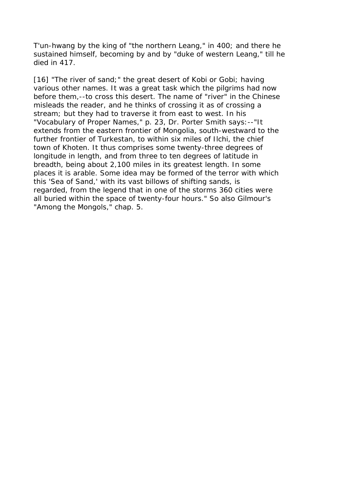T'un-hwang by the king of "the northern Leang," in 400; and there he sustained himself, becoming by and by "duke of western Leang," till he died in 417.

[16] "The river of sand;" the great desert of Kobi or Gobi; having various other names. It was a great task which the pilgrims had now before them,--to cross this desert. The name of "river" in the Chinese misleads the reader, and he thinks of crossing it as of crossing a stream; but they had to traverse it from east to west. In his "Vocabulary of Proper Names," p. 23, Dr. Porter Smith says:--"It extends from the eastern frontier of Mongolia, south-westward to the further frontier of Turkestan, to within six miles of Ilchi, the chief town of Khoten. It thus comprises some twenty-three degrees of longitude in length, and from three to ten degrees of latitude in breadth, being about 2,100 miles in its greatest length. In some places it is arable. Some idea may be formed of the terror with which this 'Sea of Sand,' with its vast billows of shifting sands, is regarded, from the legend that in one of the storms 360 cities were all buried within the space of twenty-four hours." So also Gilmour's "Among the Mongols," chap. 5.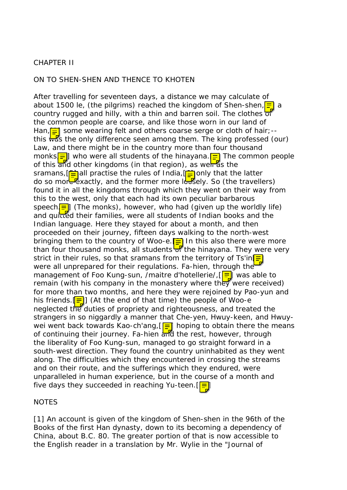## CHAPTER II

#### ON TO SHEN-SHEN AND THENCE TO KHOTEN

After travelling for seventeen days, a distance we may calculate of about 1500 le, (the pilgrims) reached the kingdom of Shen-shen,  $\equiv$  a country rugged and hilly, with a thin and barren soil. The clothes of the common people are coarse, and like those worn in our land of Han,  $\equiv$  some wearing felt and others coarse serge or cloth of hair;-this  $\sqrt{a}$ s the only difference seen among them. The king professed (our) Law, and there might be in the country more than four thousand monks $\equiv$  who were all students of the hinayana.  $\equiv$  The common people of this and other kingdoms (in that region), as well as the sramans,  $\boxed{=}$  all practise the rules of India,  $\boxed{=}$  only that the latter do so more exactly, and the former more lossely. So (the travellers) found it in all the kingdoms through which they went on their way from this to the west, only that each had its own peculiar barbarous speech<sup>[ $\equiv$ </sup>] (The monks), however, who had (given up the worldly life) and quitted their families, were all students of Indian books and the Indian language. Here they stayed for about a month, and then proceeded on their journey, fifteen days walking to the north-west bringing them to the country of Woo-e.  $\boxed{=}$  In this also there were more than four thousand monks, all students  $\frac{1}{\sqrt{2}}$  the hinayana. They were very strict in their rules, so that sramans from the territory of Ts'in $\boxed{\equiv}$ were all unprepared for their regulations. Fa-hien, through the management of Foo Kung-sun, /maitre d'hotellerie/,  $\left[\frac{1}{n}\right]$  was able to remain (with his company in the monastery where they were received) for more than two months, and here they were rejoined by Pao-yun and his friends.  $\equiv$   $\mid$  (At the end of that time) the people of Woo-e neglected the duties of propriety and righteousness, and treated the strangers in so niggardly a manner that Che-yen, Hwuy-keen, and Hwuywei went back towards Kao-ch'ang,  $\boxed{=}$  hoping to obtain there the means of continuing their journey. Fa-hien and the rest, however, through the liberality of Foo Kung-sun, managed to go straight forward in a south-west direction. They found the country uninhabited as they went along. The difficulties which they encountered in crossing the streams and on their route, and the sufferings which they endured, were unparalleled in human experience, but in the course of a month and five days they succeeded in reaching Yu-teen.  $\sqrt{5}$ 

#### **NOTES**

[1] An account is given of the kingdom of Shen-shen in the 96th of the Books of the first Han dynasty, down to its becoming a dependency of China, about B.C. 80. The greater portion of that is now accessible to the English reader in a translation by Mr. Wylie in the "Journal of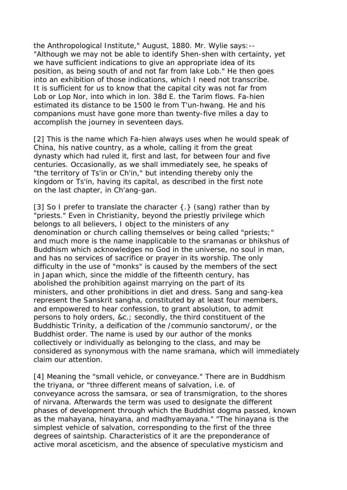the Anthropological Institute," August, 1880. Mr. Wylie says:-- "Although we may not be able to identify Shen-shen with certainty, yet we have sufficient indications to give an appropriate idea of its position, as being south of and not far from lake Lob." He then goes into an exhibition of those indications, which I need not transcribe. It is sufficient for us to know that the capital city was not far from Lob or Lop Nor, into which in lon. 38d E. the Tarim flows. Fa-hien estimated its distance to be 1500 le from T'un-hwang. He and his companions must have gone more than twenty-five miles a day to accomplish the journey in seventeen days.

[2] This is the name which Fa-hien always uses when he would speak of China, his native country, as a whole, calling it from the great dynasty which had ruled it, first and last, for between four and five centuries. Occasionally, as we shall immediately see, he speaks of "the territory of Ts'in or Ch'in," but intending thereby only the kingdom or Ts'in, having its capital, as described in the first note on the last chapter, in Ch'ang-gan.

[3] So I prefer to translate the character  $\{\cdot\}$  (sang) rather than by "priests." Even in Christianity, beyond the priestly privilege which belongs to all believers, I object to the ministers of any denomination or church calling themselves or being called "priests;" and much more is the name inapplicable to the sramanas or bhikshus of Buddhism which acknowledges no God in the universe, no soul in man, and has no services of sacrifice or prayer in its worship. The only difficulty in the use of "monks" is caused by the members of the sect in Japan which, since the middle of the fifteenth century, has abolished the prohibition against marrying on the part of its ministers, and other prohibitions in diet and dress. Sang and sang-kea represent the Sanskrit sangha, constituted by at least four members, and empowered to hear confession, to grant absolution, to admit persons to holy orders, &c.; secondly, the third constituent of the Buddhistic Trinity, a deification of the /communio sanctorum/, or the Buddhist order. The name is used by our author of the monks collectively or individually as belonging to the class, and may be considered as synonymous with the name sramana, which will immediately claim our attention.

[4] Meaning the "small vehicle, or conveyance." There are in Buddhism the triyana, or "three different means of salvation, i.e. of conveyance across the samsara, or sea of transmigration, to the shores of nirvana. Afterwards the term was used to designate the different phases of development through which the Buddhist dogma passed, known as the mahayana, hinayana, and madhyamayana." "The hinayana is the simplest vehicle of salvation, corresponding to the first of the three degrees of saintship. Characteristics of it are the preponderance of active moral asceticism, and the absence of speculative mysticism and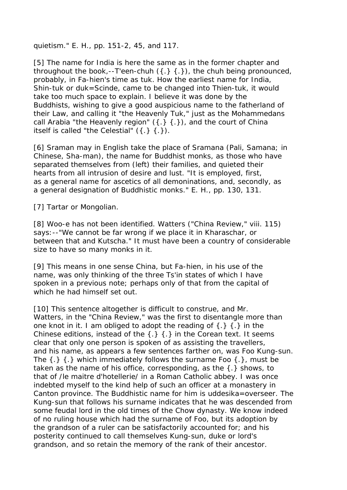quietism." E. H., pp. 151-2, 45, and 117.

[5] The name for India is here the same as in the former chapter and throughout the book,--T'een-chuh  $(\{\cdot\}, \{\cdot\})$ , the chuh being pronounced, probably, in Fa-hien's time as tuk. How the earliest name for India, Shin-tuk or duk=Scinde, came to be changed into Thien-tuk, it would take too much space to explain. I believe it was done by the Buddhists, wishing to give a good auspicious name to the fatherland of their Law, and calling it "the Heavenly Tuk," just as the Mohammedans call Arabia "the Heavenly region"  $({.} } , {{.} } )$ , and the court of China itself is called "the Celestial"  $({.} \} ({.})$ .

[6] Sraman may in English take the place of Sramana (Pali, Samana; in Chinese, Sha-man), the name for Buddhist monks, as those who have separated themselves from (left) their families, and quieted their hearts from all intrusion of desire and lust. "It is employed, first, as a general name for ascetics of all demoninations, and, secondly, as a general designation of Buddhistic monks." E. H., pp. 130, 131.

[7] Tartar or Mongolian.

[8] Woo-e has not been identified. Watters ("China Review," viii. 115) says:--"We cannot be far wrong if we place it in Kharaschar, or between that and Kutscha." It must have been a country of considerable size to have so many monks in it.

[9] This means in one sense China, but Fa-hien, in his use of the name, was only thinking of the three Ts'in states of which I have spoken in a previous note; perhaps only of that from the capital of which he had himself set out.

[10] This sentence altogether is difficult to construe, and Mr. Watters, in the "China Review," was the first to disentangle more than one knot in it. I am obliged to adopt the reading of  $\{.\}$   $\{.\}$  in the Chinese editions, instead of the  $\{.\}$   $\{.\}$  in the Corean text. It seems clear that only one person is spoken of as assisting the travellers, and his name, as appears a few sentences farther on, was Foo Kung-sun. The  $\{\cdot\}$  { $\cdot\}$  which immediately follows the surname Foo  $\{\cdot\}$ , must be taken as the name of his office, corresponding, as the {.} shows, to that of /le maitre d'hotellerie/ in a Roman Catholic abbey. I was once indebted myself to the kind help of such an officer at a monastery in Canton province. The Buddhistic name for him is uddesika=overseer. The Kung-sun that follows his surname indicates that he was descended from some feudal lord in the old times of the Chow dynasty. We know indeed of no ruling house which had the surname of Foo, but its adoption by the grandson of a ruler can be satisfactorily accounted for; and his posterity continued to call themselves Kung-sun, duke or lord's grandson, and so retain the memory of the rank of their ancestor.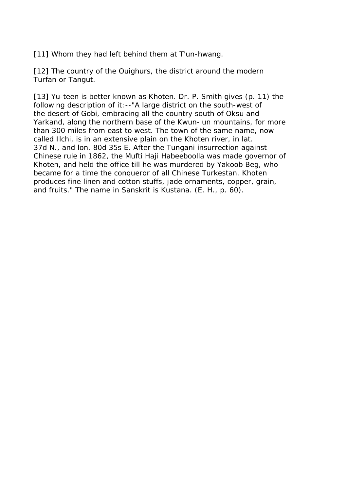[11] Whom they had left behind them at T'un-hwang.

[12] The country of the Ouighurs, the district around the modern Turfan or Tangut.

[13] Yu-teen is better known as Khoten. Dr. P. Smith gives (p. 11) the following description of it:--"A large district on the south-west of the desert of Gobi, embracing all the country south of Oksu and Yarkand, along the northern base of the Kwun-lun mountains, for more than 300 miles from east to west. The town of the same name, now called Ilchi, is in an extensive plain on the Khoten river, in lat. 37d N., and lon. 80d 35s E. After the Tungani insurrection against Chinese rule in 1862, the Mufti Haji Habeeboolla was made governor of Khoten, and held the office till he was murdered by Yakoob Beg, who became for a time the conqueror of all Chinese Turkestan. Khoten produces fine linen and cotton stuffs, jade ornaments, copper, grain, and fruits." The name in Sanskrit is Kustana. (E. H., p. 60).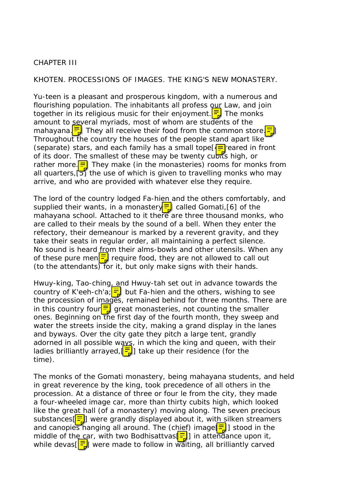#### CHAPTER III

#### KHOTEN. PROCESSIONS OF IMAGES. THE KING'S NEW MONASTERY.

Yu-teen is a pleasant and prosperous kingdom, with a numerous and flourishing population. The inhabitants all profess our Law, and join together in its religious music for their enjoyment.  $\frac{1}{2}$  The monks amount to several myriads, most of whom are students of the mahayana. $\frac{1}{2}$  They all receive their food from the common store. Throughout the country the houses of the people stand apart like (separate) stars, and each family has a small tope  $\sqrt{2}$  reared in front of its door. The smallest of these may be twenty cubits high, or rather more. $\boxed{\equiv}$  They make (in the monasteries) rooms for monks from all quarters,  $\overline{5}$  the use of which is given to travelling monks who may arrive, and who are provided with whatever else they require.

The lord of the country lodged Fa-hien and the others comfortably, and supplied their wants, in a monastery  $\frac{1}{\sqrt{2}}$  called Gomati, [6] of the mahayana school. Attached to it there are three thousand monks, who are called to their meals by the sound of a bell. When they enter the refectory, their demeanour is marked by a reverent gravity, and they take their seats in regular order, all maintaining a perfect silence. No sound is heard from their alms-bowls and other utensils. When any of these pure men $\frac{1}{2}$  require food, they are not allowed to call out (to the attendants) for it, but only make signs with their hands.

Hwuy-king, Tao-ching, and Hwuy-tah set out in advance towards the country of K'eeh-ch'a; $\boxed{\Xi}$  but Fa-hien and the others, wishing to see the procession of images, remained behind for three months. There are in this country four  $\equiv \int$  great monasteries, not counting the smaller ones. Beginning on the first day of the fourth month, they sweep and water the streets inside the city, making a grand display in the lanes and byways. Over the city gate they pitch a large tent, grandly adorned in all possible ways, in which the king and queen, with their ladies brilliantly arrayed,  $\left[\frac{1}{b}\right]$  take up their residence (for the time).

The monks of the Gomati monastery, being mahayana students, and held in great reverence by the king, took precedence of all others in the procession. At a distance of three or four le from the city, they made a four-wheeled image car, more than thirty cubits high, which looked like the great hall (of a monastery) moving along. The seven precious substances $\left[\frac{1}{n}\right]$  were grandly displayed about it, with silken streamers and canopies hanging all around. The (chief) image  $\boxed{\Xi}$ ] stood in the middle of the car, with two Bodhisattvas  $\boxed{\Xi}$ ] in attendance upon it, while devas $[\frac{1}{2}]$  were made to follow in waiting, all brilliantly carved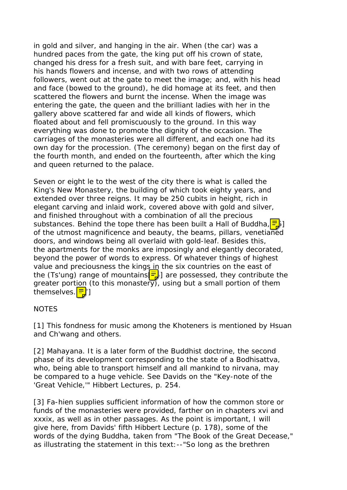in gold and silver, and hanging in the air. When (the car) was a hundred paces from the gate, the king put off his crown of state, changed his dress for a fresh suit, and with bare feet, carrying in his hands flowers and incense, and with two rows of attending followers, went out at the gate to meet the image; and, with his head and face (bowed to the ground), he did homage at its feet, and then scattered the flowers and burnt the incense. When the image was entering the gate, the queen and the brilliant ladies with her in the gallery above scattered far and wide all kinds of flowers, which floated about and fell promiscuously to the ground. In this way everything was done to promote the dignity of the occasion. The carriages of the monasteries were all different, and each one had its own day for the procession. (The ceremony) began on the first day of the fourth month, and ended on the fourteenth, after which the king and queen returned to the palace.

Seven or eight le to the west of the city there is what is called the King's New Monastery, the building of which took eighty years, and extended over three reigns. It may be 250 cubits in height, rich in elegant carving and inlaid work, covered above with gold and silver, and finished throughout with a combination of all the precious substances. Behind the tope there has been built a Hall of Buddha,  $\frac{1}{2}$ of the utmost magnificence and beauty, the beams, pillars, venetianed doors, and windows being all overlaid with gold-leaf. Besides this, the apartments for the monks are imposingly and elegantly decorated, beyond the power of words to express. Of whatever things of highest value and preciousness the kings in the six countries on the east of the (Ts'ung) range of mountains  $\frac{1}{2}$  are possessed, they contribute the greater portion (to this monastery), using but a small portion of them themselves. <mark>크</mark>']

#### NOTES

[1] This fondness for music among the Khoteners is mentioned by Hsuan and Ch'wang and others.

[2] Mahayana. It is a later form of the Buddhist doctrine, the second phase of its development corresponding to the state of a Bodhisattva, who, being able to transport himself and all mankind to nirvana, may be compared to a huge vehicle. See Davids on the "Key-note of the 'Great Vehicle,'" Hibbert Lectures, p. 254.

[3] Fa-hien supplies sufficient information of how the common store or funds of the monasteries were provided, farther on in chapters xvi and xxxix, as well as in other passages. As the point is important, I will give here, from Davids' fifth Hibbert Lecture (p. 178), some of the words of the dying Buddha, taken from "The Book of the Great Decease," as illustrating the statement in this text:--"So long as the brethren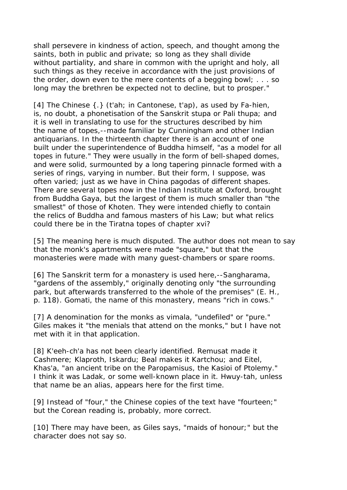shall persevere in kindness of action, speech, and thought among the saints, both in public and private; so long as they shall divide without partiality, and share in common with the upright and holy, all such things as they receive in accordance with the just provisions of the order, down even to the mere contents of a begging bowl; . . . so long may the brethren be expected not to decline, but to prosper."

[4] The Chinese {.} (t'ah; in Cantonese, t'ap), as used by Fa-hien, is, no doubt, a phonetisation of the Sanskrit stupa or Pali thupa; and it is well in translating to use for the structures described by him the name of topes,--made familiar by Cunningham and other Indian antiquarians. In the thirteenth chapter there is an account of one built under the superintendence of Buddha himself, "as a model for all topes in future." They were usually in the form of bell-shaped domes, and were solid, surmounted by a long tapering pinnacle formed with a series of rings, varying in number. But their form, I suppose, was often varied; just as we have in China pagodas of different shapes. There are several topes now in the Indian Institute at Oxford, brought from Buddha Gaya, but the largest of them is much smaller than "the smallest" of those of Khoten. They were intended chiefly to contain the relics of Buddha and famous masters of his Law; but what relics could there be in the Tiratna topes of chapter xvi?

[5] The meaning here is much disputed. The author does not mean to say that the monk's apartments were made "square," but that the monasteries were made with many guest-chambers or spare rooms.

[6] The Sanskrit term for a monastery is used here, --Sangharama, "gardens of the assembly," originally denoting only "the surrounding park, but afterwards transferred to the whole of the premises" (E. H., p. 118). Gomati, the name of this monastery, means "rich in cows."

[7] A denomination for the monks as vimala, "undefiled" or "pure." Giles makes it "the menials that attend on the monks," but I have not met with it in that application.

[8] K'eeh-ch'a has not been clearly identified. Remusat made it Cashmere; Klaproth, Iskardu; Beal makes it Kartchou; and Eitel, Khas'a, "an ancient tribe on the Paropamisus, the Kasioi of Ptolemy." I think it was Ladak, or some well-known place in it. Hwuy-tah, unless that name be an alias, appears here for the first time.

[9] Instead of "four," the Chinese copies of the text have "fourteen;" but the Corean reading is, probably, more correct.

[10] There may have been, as Giles says, "maids of honour;" but the character does not say so.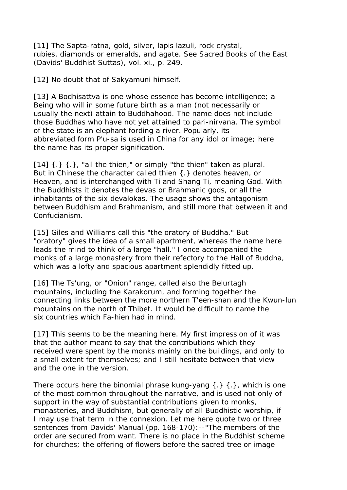[11] The Sapta-ratna, gold, silver, lapis lazuli, rock crystal, rubies, diamonds or emeralds, and agate. See Sacred Books of the East (Davids' Buddhist Suttas), vol. xi., p. 249.

[12] No doubt that of Sakyamuni himself.

[13] A Bodhisattva is one whose essence has become intelligence; a Being who will in some future birth as a man (not necessarily or usually the next) attain to Buddhahood. The name does not include those Buddhas who have not yet attained to pari-nirvana. The symbol of the state is an elephant fording a river. Popularly, its abbreviated form P'u-sa is used in China for any idol or image; here the name has its proper signification.

 $[14]$   $\{.\}$   $\{.\}$ , "all the thien," or simply "the thien" taken as plural. But in Chinese the character called thien {.} denotes heaven, or Heaven, and is interchanged with Ti and Shang Ti, meaning God. With the Buddhists it denotes the devas or Brahmanic gods, or all the inhabitants of the six devalokas. The usage shows the antagonism between Buddhism and Brahmanism, and still more that between it and Confucianism.

[15] Giles and Williams call this "the oratory of Buddha." But "oratory" gives the idea of a small apartment, whereas the name here leads the mind to think of a large "hall." I once accompanied the monks of a large monastery from their refectory to the Hall of Buddha, which was a lofty and spacious apartment splendidly fitted up.

[16] The Ts'ung, or "Onion" range, called also the Belurtagh mountains, including the Karakorum, and forming together the connecting links between the more northern T'een-shan and the Kwun-lun mountains on the north of Thibet. It would be difficult to name the six countries which Fa-hien had in mind.

[17] This seems to be the meaning here. My first impression of it was that the author meant to say that the contributions which they received were spent by the monks mainly on the buildings, and only to a small extent for themselves; and I still hesitate between that view and the one in the version.

There occurs here the binomial phrase kung-yang  $\{.\}$   $\{.\}$ , which is one of the most common throughout the narrative, and is used not only of support in the way of substantial contributions given to monks, monasteries, and Buddhism, but generally of all Buddhistic worship, if I may use that term in the connexion. Let me here quote two or three sentences from Davids' Manual (pp. 168-170): -- "The members of the order are secured from want. There is no place in the Buddhist scheme for churches; the offering of flowers before the sacred tree or image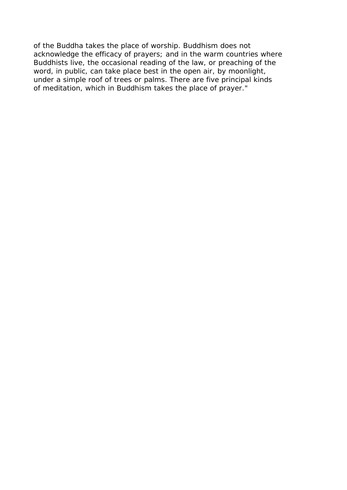of the Buddha takes the place of worship. Buddhism does not acknowledge the efficacy of prayers; and in the warm countries where Buddhists live, the occasional reading of the law, or preaching of the word, in public, can take place best in the open air, by moonlight, under a simple roof of trees or palms. There are five principal kinds of meditation, which in Buddhism takes the place of prayer."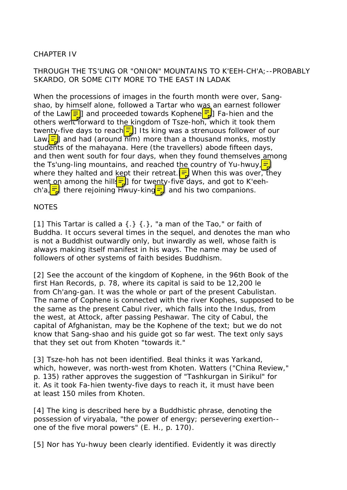## CHAPTER IV

## THROUGH THE TS'UNG OR "ONION" MOUNTAINS TO K'EEH-CH'A;--PROBABLY SKARDO, OR SOME CITY MORE TO THE EAST IN LADAK

When the processions of images in the fourth month were over, Sangshao, by himself alone, followed a Tartar who was an earnest follower of the Law $\boxed{\equiv}$  and proceeded towards Kophene $\boxed{\equiv}$  Fa-hien and the others went forward to the kingdom of Tsze-hoh, which it took them twenty-five days to reach $\equiv$  Its king was a strenuous follower of our Law,  $\frac{1}{2}$  and had (around him) more than a thousand monks, mostly students of the mahayana. Here (the travellers) abode fifteen days, and then went south for four days, when they found themselves among the Ts'ung-ling mountains, and reached the country of Yu-hwuy,  $\frac{1}{2}$ where they halted and kept their retreat.  $\frac{1}{\sqrt{2}}$  When this was over, they went on among the hill  $\frac{1}{2}$  for twenty-five days, and got to K'eehch'a, $\frac{1}{2}$  there rejoining Hwuy-king  $\frac{1}{2}$  and his two companions.

**NOTES** 

[1] This Tartar is called a  $\{\cdot\}$   $\{\cdot\}$ , "a man of the Tao," or faith of Buddha. It occurs several times in the sequel, and denotes the man who is not a Buddhist outwardly only, but inwardly as well, whose faith is always making itself manifest in his ways. The name may be used of followers of other systems of faith besides Buddhism.

[2] See the account of the kingdom of Kophene, in the 96th Book of the first Han Records, p. 78, where its capital is said to be 12,200 le from Ch'ang-gan. It was the whole or part of the present Cabulistan. The name of Cophene is connected with the river Kophes, supposed to be the same as the present Cabul river, which falls into the Indus, from the west, at Attock, after passing Peshawar. The city of Cabul, the capital of Afghanistan, may be the Kophene of the text; but we do not know that Sang-shao and his guide got so far west. The text only says that they set out from Khoten "towards it."

[3] Tsze-hoh has not been identified. Beal thinks it was Yarkand, which, however, was north-west from Khoten. Watters ("China Review," p. 135) rather approves the suggestion of "Tashkurgan in Sirikul" for it. As it took Fa-hien twenty-five days to reach it, it must have been at least 150 miles from Khoten.

[4] The king is described here by a Buddhistic phrase, denoting the possession of viryabala, "the power of energy; persevering exertion- one of the five moral powers" (E. H., p. 170).

[5] Nor has Yu-hwuy been clearly identified. Evidently it was directly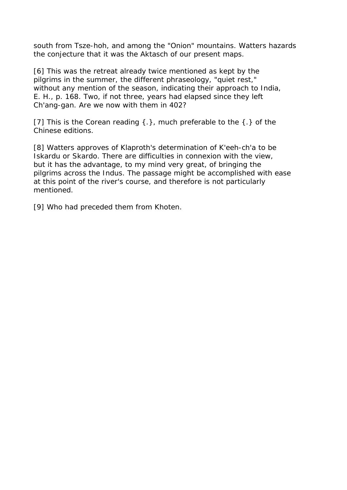south from Tsze-hoh, and among the "Onion" mountains. Watters hazards the conjecture that it was the Aktasch of our present maps.

[6] This was the retreat already twice mentioned as kept by the pilgrims in the summer, the different phraseology, "quiet rest," without any mention of the season, indicating their approach to India, E. H., p. 168. Two, if not three, years had elapsed since they left Ch'ang-gan. Are we now with them in 402?

[7] This is the Corean reading  $\{\cdot\}$ , much preferable to the  $\{\cdot\}$  of the Chinese editions.

[8] Watters approves of Klaproth's determination of K'eeh-ch'a to be Iskardu or Skardo. There are difficulties in connexion with the view, but it has the advantage, to my mind very great, of bringing the pilgrims across the Indus. The passage might be accomplished with ease at this point of the river's course, and therefore is not particularly mentioned.

[9] Who had preceded them from Khoten.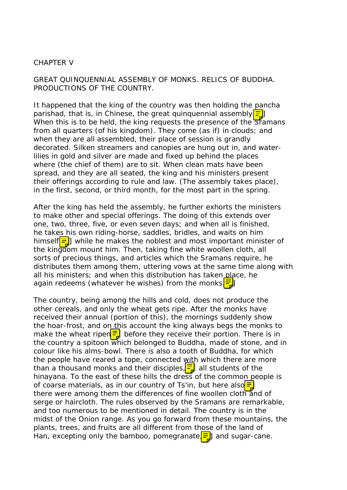#### CHAPTER V

GREAT QUINQUENNIAL ASSEMBLY OF MONKS. RELICS OF BUDDHA. PRODUCTIONS OF THE COUNTRY.

It happened that the king of the country was then holding the pancha parishad, that is, in Chinese, the great quinquennial assembly $\equiv$ When this is to be held, the king requests the presence of the Sramans from all quarters (of his kingdom). They come (as if) in clouds; and when they are all assembled, their place of session is grandly decorated. Silken streamers and canopies are hung out in, and waterlilies in gold and silver are made and fixed up behind the places where (the chief of them) are to sit. When clean mats have been spread, and they are all seated, the king and his ministers present their offerings according to rule and law. (The assembly takes place), in the first, second, or third month, for the most part in the spring.

After the king has held the assembly, he further exhorts the ministers to make other and special offerings. The doing of this extends over one, two, three, five, or even seven days; and when all is finished, he takes his own riding-horse, saddles, bridles, and waits on him himself $\equiv$ ] while he makes the noblest and most important minister of the kingdom mount him. Then, taking fine white woollen cloth, all sorts of precious things, and articles which the Sramans require, he distributes them among them, uttering vows at the same time along with all his ministers; and when this distribution has taken place, he again redeems (whatever he wishes) from the monks $\frac{1}{2}$ 

The country, being among the hills and cold, does not produce the other cereals, and only the wheat gets ripe. After the monks have received their annual (portion of this), the mornings suddenly show the hoar-frost, and on this account the king always begs the monks to make the wheat ripen $\frac{1}{2}$  before they receive their portion. There is in the country a spitoon which belonged to Buddha, made of stone, and in colour like his alms-bowl. There is also a tooth of Buddha, for which the people have reared a tope, connected with which there are more than a thousand monks and their disciples,  $\frac{1}{2}$  all students of the hinayana. To the east of these hills the dress of the common people is of coarse materials, as in our country of Ts'in, but here also $\equiv$ there were among them the differences of fine woollen cloth and of serge or haircloth. The rules observed by the Sramans are remarkable, and too numerous to be mentioned in detail. The country is in the midst of the Onion range. As you go forward from these mountains, the plants, trees, and fruits are all different from those of the land of Han, excepting only the bamboo, pomegranate $\boxed{\Xi}$  and sugar-cane.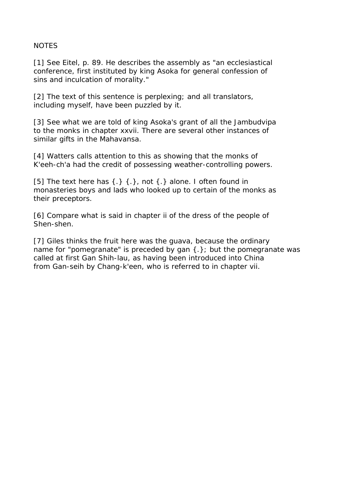#### NOTES

[1] See Eitel, p. 89. He describes the assembly as "an ecclesiastical conference, first instituted by king Asoka for general confession of sins and inculcation of morality."

[2] The text of this sentence is perplexing; and all translators, including myself, have been puzzled by it.

[3] See what we are told of king Asoka's grant of all the Jambudvipa to the monks in chapter xxvii. There are several other instances of similar gifts in the Mahavansa.

[4] Watters calls attention to this as showing that the monks of K'eeh-ch'a had the credit of possessing weather-controlling powers.

[5] The text here has  $\{\cdot\}$   $\{\cdot\}$ , not  $\{\cdot\}$  alone. I often found in monasteries boys and lads who looked up to certain of the monks as their preceptors.

[6] Compare what is said in chapter ii of the dress of the people of Shen-shen.

[7] Giles thinks the fruit here was the guava, because the ordinary name for "pomegranate" is preceded by gan {.}; but the pomegranate was called at first Gan Shih-lau, as having been introduced into China from Gan-seih by Chang-k'een, who is referred to in chapter vii.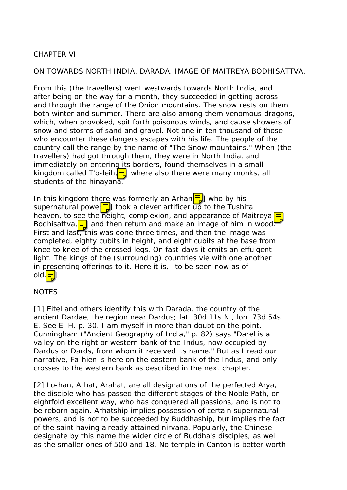## CHAPTER VI

ON TOWARDS NORTH INDIA. DARADA. IMAGE OF MAITREYA BODHISATTVA.

From this (the travellers) went westwards towards North India, and after being on the way for a month, they succeeded in getting across and through the range of the Onion mountains. The snow rests on them both winter and summer. There are also among them venomous dragons, which, when provoked, spit forth poisonous winds, and cause showers of snow and storms of sand and gravel. Not one in ten thousand of those who encounter these dangers escapes with his life. The people of the country call the range by the name of "The Snow mountains." When (the travellers) had got through them, they were in North India, and immediately on entering its borders, found themselves in a small kingdom called T'o-leih,  $\frac{1}{2}$  where also there were many monks, all students of the hinayana.

In this kingdom there was formerly an Arhan $\left[\frac{1}{2}\right]$  who by his supernatural power $\equiv$  took a clever artificer up to the Tushita heaven, to see the height, complexion, and appearance of Maitreya  $\sqrt{2}$ Bodhisattva, $\equiv$  and then return and make an image of him in wood. First and last, this was done three times, and then the image was completed, eighty cubits in height, and eight cubits at the base from knee to knee of the crossed legs. On fast-days it emits an effulgent light. The kings of the (surrounding) countries vie with one another in presenting offerings to it. Here it is,--to be seen now as of old. $\equiv$ 

## NOTES

[1] Eitel and others identify this with Darada, the country of the ancient Dardae, the region near Dardus; lat. 30d 11s N., lon. 73d 54s E. See E. H. p. 30. I am myself in more than doubt on the point. Cunningham ("Ancient Geography of India," p. 82) says "Darel is a valley on the right or western bank of the Indus, now occupied by Dardus or Dards, from whom it received its name." But as I read our narrative, Fa-hien is here on the eastern bank of the Indus, and only crosses to the western bank as described in the next chapter.

[2] Lo-han, Arhat, Arahat, are all designations of the perfected Arya, the disciple who has passed the different stages of the Noble Path, or eightfold excellent way, who has conquered all passions, and is not to be reborn again. Arhatship implies possession of certain supernatural powers, and is not to be succeeded by Buddhaship, but implies the fact of the saint having already attained nirvana. Popularly, the Chinese designate by this name the wider circle of Buddha's disciples, as well as the smaller ones of 500 and 18. No temple in Canton is better worth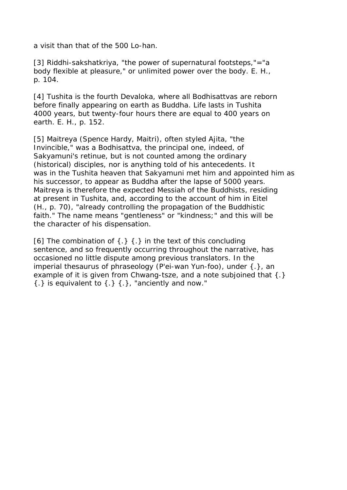a visit than that of the 500 Lo-han.

[3] Riddhi-sakshatkriya, "the power of supernatural footsteps,"="a body flexible at pleasure," or unlimited power over the body. E. H., p. 104.

[4] Tushita is the fourth Devaloka, where all Bodhisattvas are reborn before finally appearing on earth as Buddha. Life lasts in Tushita 4000 years, but twenty-four hours there are equal to 400 years on earth. E. H., p. 152.

[5] Maitreya (Spence Hardy, Maitri), often styled Ajita, "the Invincible," was a Bodhisattva, the principal one, indeed, of Sakyamuni's retinue, but is not counted among the ordinary (historical) disciples, nor is anything told of his antecedents. It was in the Tushita heaven that Sakyamuni met him and appointed him as his successor, to appear as Buddha after the lapse of 5000 years. Maitreya is therefore the expected Messiah of the Buddhists, residing at present in Tushita, and, according to the account of him in Eitel (H., p. 70), "already controlling the propagation of the Buddhistic faith." The name means "gentleness" or "kindness;" and this will be the character of his dispensation.

[6] The combination of  $\{.\}$   $\{.\}$  in the text of this concluding sentence, and so frequently occurring throughout the narrative, has occasioned no little dispute among previous translators. In the imperial thesaurus of phraseology (P'ei-wan Yun-foo), under {.}, an example of it is given from Chwang-tsze, and a note subjoined that {.}  $\{\cdot\}$  is equivalent to  $\{\cdot\}$   $\{\cdot\}$ , "anciently and now."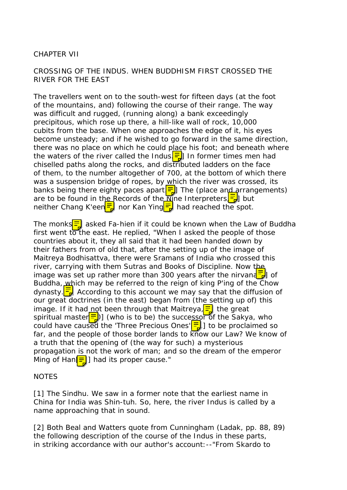## CHAPTER VII

## CROSSING OF THE INDUS. WHEN BUDDHISM FIRST CROSSED THE RIVER FOR THE EAST

The travellers went on to the south-west for fifteen days (at the foot of the mountains, and) following the course of their range. The way was difficult and rugged, (running along) a bank exceedingly precipitous, which rose up there, a hill-like wall of rock, 10,000 cubits from the base. When one approaches the edge of it, his eyes become unsteady; and if he wished to go forward in the same direction, there was no place on which he could place his foot; and beneath where the waters of the river called the Indus $\frac{1}{2}$  In former times men had chiselled paths along the rocks, and distributed ladders on the face of them, to the number altogether of 700, at the bottom of which there was a suspension bridge of ropes, by which the river was crossed, its banks being there eighty paces apart  $\boxed{\Xi}$ . The (place and arrangements) are to be found in the Records of the  $\frac{1}{N}$  ne Interpreters  $\frac{1}{N}$  but neither Chang K'een $\frac{1}{2}$  nor Kan Ying  $\frac{1}{2}$  had reached the spot.

The monks $\equiv$  asked Fa-hien if it could be known when the Law of Buddha first went to the east. He replied, "When I asked the people of those countries about it, they all said that it had been handed down by their fathers from of old that, after the setting up of the image of Maitreya Bodhisattva, there were Sramans of India who crossed this river, carrying with them Sutras and Books of Discipline. Now the image was set up rather more than 300 years after the nirvand  $\frac{1}{b}$  of Buddha, which may be referred to the reign of king P'ing of the Chow dynasty.  $\boxed{\overline{5}}$  According to this account we may say that the diffusion of our great doctrines (in the east) began from (the setting up of) this image. If it had not been through that Maitreya,  $\frac{1}{2}$  the great spiritual master $\equiv$ )] (who is to be) the successor of the Sakya, who could have caused the 'Three Precious Ones' $\left[\frac{1}{12}\right]$  to be proclaimed so far, and the people of those border lands to know our Law? We know of a truth that the opening of (the way for such) a mysterious propagation is not the work of man; and so the dream of the emperor Ming of Han $\equiv$  had its proper cause."

#### NOTES

[1] The Sindhu. We saw in a former note that the earliest name in China for India was Shin-tuh. So, here, the river Indus is called by a name approaching that in sound.

[2] Both Beal and Watters quote from Cunningham (Ladak, pp. 88, 89) the following description of the course of the Indus in these parts, in striking accordance with our author's account:--"From Skardo to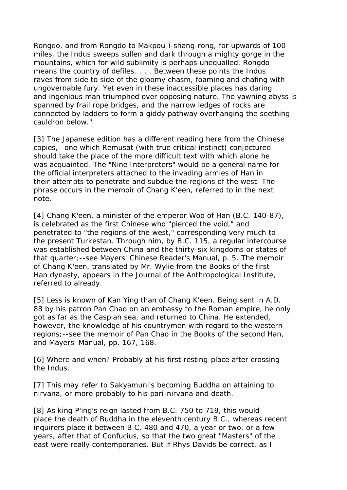Rongdo, and from Rongdo to Makpou-i-shang-rong, for upwards of 100 miles, the Indus sweeps sullen and dark through a mighty gorge in the mountains, which for wild sublimity is perhaps unequalled. Rongdo means the country of defiles. . . . Between these points the Indus raves from side to side of the gloomy chasm, foaming and chafing with ungovernable fury. Yet even in these inaccessible places has daring and ingenious man triumphed over opposing nature. The yawning abyss is spanned by frail rope bridges, and the narrow ledges of rocks are connected by ladders to form a giddy pathway overhanging the seething cauldron below."

[3] The Japanese edition has a different reading here from the Chinese copies,--one which Remusat (with true critical instinct) conjectured should take the place of the more difficult text with which alone he was acquainted. The "Nine Interpreters" would be a general name for the official interpreters attached to the invading armies of Han in their attempts to penetrate and subdue the regions of the west. The phrase occurs in the memoir of Chang K'een, referred to in the next note.

[4] Chang K'een, a minister of the emperor Woo of Han (B.C. 140-87), is celebrated as the first Chinese who "pierced the void," and penetrated to "the regions of the west," corresponding very much to the present Turkestan. Through him, by B.C. 115, a regular intercourse was established between China and the thirty-six kingdoms or states of that quarter;--see Mayers' Chinese Reader's Manual, p. 5. The memoir of Chang K'een, translated by Mr. Wylie from the Books of the first Han dynasty, appears in the Journal of the Anthropological Institute, referred to already.

[5] Less is known of Kan Ying than of Chang K'een. Being sent in A.D. 88 by his patron Pan Chao on an embassy to the Roman empire, he only got as far as the Caspian sea, and returned to China. He extended, however, the knowledge of his countrymen with regard to the western regions;--see the memoir of Pan Chao in the Books of the second Han, and Mayers' Manual, pp. 167, 168.

[6] Where and when? Probably at his first resting-place after crossing the Indus.

[7] This may refer to Sakyamuni's becoming Buddha on attaining to nirvana, or more probably to his pari-nirvana and death.

[8] As king P'ing's reign lasted from B.C. 750 to 719, this would place the death of Buddha in the eleventh century B.C., whereas recent inquirers place it between B.C. 480 and 470, a year or two, or a few years, after that of Confucius, so that the two great "Masters" of the east were really contemporaries. But if Rhys Davids be correct, as I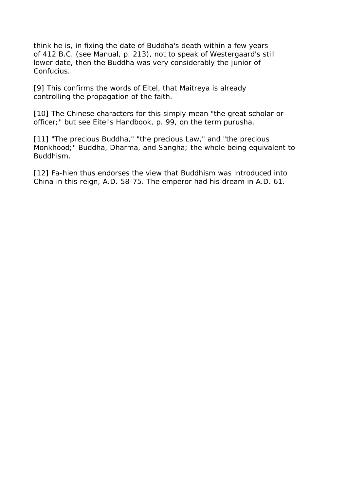think he is, in fixing the date of Buddha's death within a few years of 412 B.C. (see Manual, p. 213), not to speak of Westergaard's still lower date, then the Buddha was very considerably the junior of Confucius.

[9] This confirms the words of Eitel, that Maitreya is already controlling the propagation of the faith.

[10] The Chinese characters for this simply mean "the great scholar or officer;" but see Eitel's Handbook, p. 99, on the term purusha.

[11] "The precious Buddha," "the precious Law," and "the precious Monkhood;" Buddha, Dharma, and Sangha; the whole being equivalent to Buddhism.

[12] Fa-hien thus endorses the view that Buddhism was introduced into China in this reign, A.D. 58-75. The emperor had his dream in A.D. 61.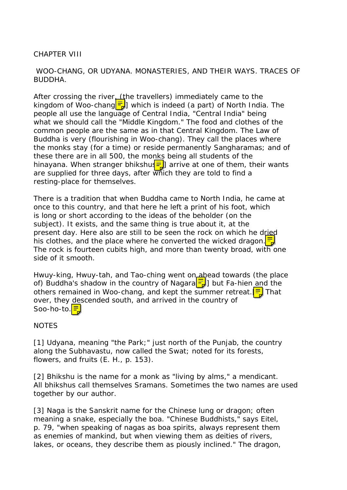## CHAPTER VIII

## WOO-CHANG, OR UDYANA. MONASTERIES, AND THEIR WAYS. TRACES OF BUDDHA.

After crossing the river (the travellers) immediately came to the kingdom of Woo-chang  $\frac{1}{2}$  which is indeed (a part) of North India. The people all use the language of Central India, "Central India" being what we should call the "Middle Kingdom." The food and clothes of the common people are the same as in that Central Kingdom. The Law of Buddha is very (flourishing in Woo-chang). They call the places where the monks stay (for a time) or reside permanently Sangharamas; and of these there are in all 500, the monks being all students of the hinayana. When stranger bhikshu $\left| \frac{1}{2} \right|$  arrive at one of them, their wants are supplied for three days, after which they are told to find a resting-place for themselves.

There is a tradition that when Buddha came to North India, he came at once to this country, and that here he left a print of his foot, which is long or short according to the ideas of the beholder (on the subject). It exists, and the same thing is true about it, at the present day. Here also are still to be seen the rock on which he dried his clothes, and the place where he converted the wicked dragon.  $\frac{1}{2}$ The rock is fourteen cubits high, and more than twenty broad, with one side of it smooth.

Hwuy-king, Hwuy-tah, and Tao-ching went on a head towards (the place of) Buddha's shadow in the country of Nagara $\left[\frac{1}{4}\right]$  but Fa-hien and the others remained in Woo-chang, and kept the summer retreat.  $\equiv$  That over, they descended south, and arrived in the country of Soo-ho-to.<mark>三</mark>

#### **NOTES**

[1] Udyana, meaning "the Park;" just north of the Punjab, the country along the Subhavastu, now called the Swat; noted for its forests, flowers, and fruits (E. H., p. 153).

[2] Bhikshu is the name for a monk as "living by alms," a mendicant. All bhikshus call themselves Sramans. Sometimes the two names are used together by our author.

[3] Naga is the Sanskrit name for the Chinese lung or dragon; often meaning a snake, especially the boa. "Chinese Buddhists," says Eitel, p. 79, "when speaking of nagas as boa spirits, always represent them as enemies of mankind, but when viewing them as deities of rivers, lakes, or oceans, they describe them as piously inclined." The dragon,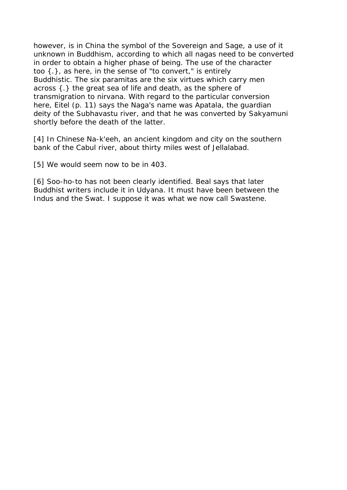however, is in China the symbol of the Sovereign and Sage, a use of it unknown in Buddhism, according to which all nagas need to be converted in order to obtain a higher phase of being. The use of the character too {.}, as here, in the sense of "to convert," is entirely Buddhistic. The six paramitas are the six virtues which carry men across {.} the great sea of life and death, as the sphere of transmigration to nirvana. With regard to the particular conversion here, Eitel (p. 11) says the Naga's name was Apatala, the guardian deity of the Subhavastu river, and that he was converted by Sakyamuni shortly before the death of the latter.

[4] In Chinese Na-k'eeh, an ancient kingdom and city on the southern bank of the Cabul river, about thirty miles west of Jellalabad.

[5] We would seem now to be in 403.

[6] Soo-ho-to has not been clearly identified. Beal says that later Buddhist writers include it in Udyana. It must have been between the Indus and the Swat. I suppose it was what we now call Swastene.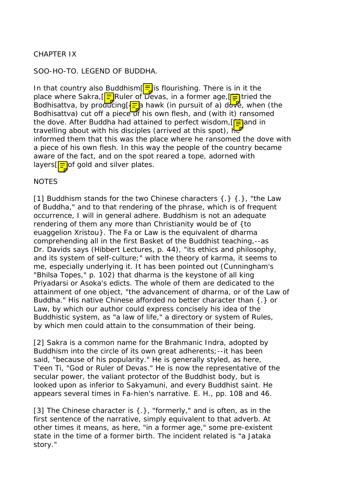# CHAPTER IX

### SOO-HO-TO. LEGEND OF BUDDHA.

In that country also Buddhism $\left[\frac{1}{n}\right]$  is flourishing. There is in it the place where Sakra,  $\sqrt{2}$  Ruler of Devas, in a former age,  $\sqrt{2}$  tried the Bodhisattva, by producing  $\sqrt{2}$  hawk (in pursuit of a) dove, when (the Bodhisattva) cut off a piece of his own flesh, and (with it) ransomed the dove. After Buddha had attained to perfect wisdom,  $\boxed{\equiv}$  and in travelling about with his disciples (arrived at this spot),  $h_{\overline{b}}$ informed them that this was the place where he ransomed the dove with a piece of his own flesh. In this way the people of the country became aware of the fact, and on the spot reared a tope, adorned with layers  $\sqrt{2}$  of gold and silver plates.

### **NOTES**

[1] Buddhism stands for the two Chinese characters  $\{.\}$   $\{.\}$ , "the Law of Buddha," and to that rendering of the phrase, which is of frequent occurrence, I will in general adhere. Buddhism is not an adequate rendering of them any more than Christianity would be of {to euaggelion Xristou}. The Fa or Law is the equivalent of dharma comprehending all in the first Basket of the Buddhist teaching,--as Dr. Davids says (Hibbert Lectures, p. 44), "its ethics and philosophy, and its system of self-culture;" with the theory of karma, it seems to me, especially underlying it. It has been pointed out (Cunningham's "Bhilsa Topes," p. 102) that dharma is the keystone of all king Priyadarsi or Asoka's edicts. The whole of them are dedicated to the attainment of one object, "the advancement of dharma, or of the Law of Buddha." His native Chinese afforded no better character than {.} or Law, by which our author could express concisely his idea of the Buddhistic system, as "a law of life," a directory or system of Rules, by which men could attain to the consummation of their being.

[2] Sakra is a common name for the Brahmanic Indra, adopted by Buddhism into the circle of its own great adherents;--it has been said, "because of his popularity." He is generally styled, as here, T'een Ti, "God or Ruler of Devas." He is now the representative of the secular power, the valiant protector of the Buddhist body, but is looked upon as inferior to Sakyamuni, and every Buddhist saint. He appears several times in Fa-hien's narrative. E. H., pp. 108 and 46.

[3] The Chinese character is {.}, "formerly," and is often, as in the first sentence of the narrative, simply equivalent to that adverb. At other times it means, as here, "in a former age," some pre-existent state in the time of a former birth. The incident related is "a Jataka story."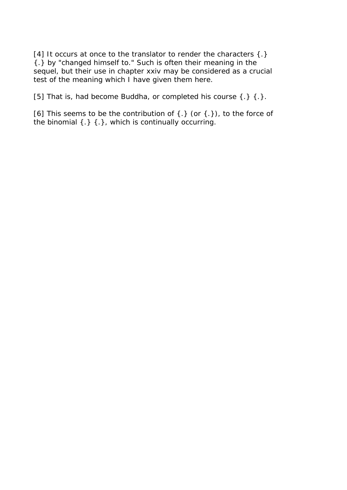[4] It occurs at once to the translator to render the characters  $\{\cdot\}$ {.} by "changed himself to." Such is often their meaning in the sequel, but their use in chapter xxiv may be considered as a crucial test of the meaning which I have given them here.

[5] That is, had become Buddha, or completed his course  $\{\cdot\}$   $\{\cdot\}$ .

[6] This seems to be the contribution of  $\{.\}$  (or  $\{.\}$ ), to the force of the binomial {.} {.}, which is continually occurring.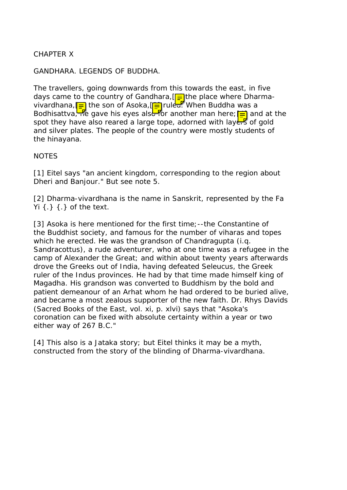CHAPTER X

GANDHARA. LEGENDS OF BUDDHA.

The travellers, going downwards from this towards the east, in five days came to the country of Gandhara,  $\left[\frac{1}{n}\right]$  the place where Dharmavivardhana, <mark>=</mark> the son of Asoka, <sub>[</sub>⊒] ruled. When Buddha was a Bodhisattva, he gave his eyes also for another man here; **[=]** and at the spot they have also reared a large tope, adorned with layers of gold and silver plates. The people of the country were mostly students of the hinayana.

#### **NOTES**

[1] Eitel says "an ancient kingdom, corresponding to the region about Dheri and Banjour." But see note 5.

[2] Dharma-vivardhana is the name in Sanskrit, represented by the Fa Yi  $\{.\}$   $\{.\}$  of the text.

[3] Asoka is here mentioned for the first time;--the Constantine of the Buddhist society, and famous for the number of viharas and topes which he erected. He was the grandson of Chandragupta (i.g. Sandracottus), a rude adventurer, who at one time was a refugee in the camp of Alexander the Great; and within about twenty years afterwards drove the Greeks out of India, having defeated Seleucus, the Greek ruler of the Indus provinces. He had by that time made himself king of Magadha. His grandson was converted to Buddhism by the bold and patient demeanour of an Arhat whom he had ordered to be buried alive, and became a most zealous supporter of the new faith. Dr. Rhys Davids (Sacred Books of the East, vol. xi, p. xlvi) says that "Asoka's coronation can be fixed with absolute certainty within a year or two either way of 267 B.C."

[4] This also is a Jataka story; but Eitel thinks it may be a myth, constructed from the story of the blinding of Dharma-vivardhana.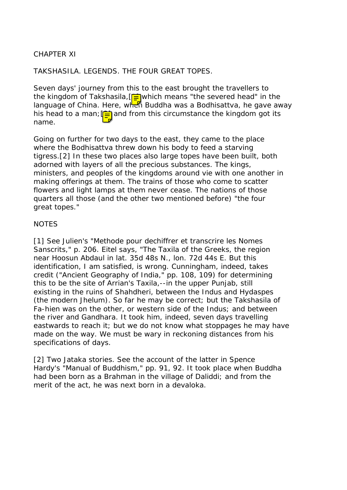## CHAPTER XI

TAKSHASILA. LEGENDS. THE FOUR GREAT TOPES.

Seven days' journey from this to the east brought the travellers to the kingdom of Takshasila,  $\sqrt{2}$  which means "the severed head" in the language of China. Here, when Buddha was a Bodhisattva, he gave away his head to a man;  $\boxed{=}$  and from this circumstance the kingdom got its name.

Going on further for two days to the east, they came to the place where the Bodhisattva threw down his body to feed a starving tigress.[2] In these two places also large topes have been built, both adorned with layers of all the precious substances. The kings, ministers, and peoples of the kingdoms around vie with one another in making offerings at them. The trains of those who come to scatter flowers and light lamps at them never cease. The nations of those quarters all those (and the other two mentioned before) "the four great topes."

### **NOTES**

[1] See Julien's "Methode pour dechiffrer et transcrire les Nomes Sanscrits," p. 206. Eitel says, "The Taxila of the Greeks, the region near Hoosun Abdaul in lat. 35d 48s N., lon. 72d 44s E. But this identification, I am satisfied, is wrong. Cunningham, indeed, takes credit ("Ancient Geography of India," pp. 108, 109) for determining this to be the site of Arrian's Taxila,--in the upper Punjab, still existing in the ruins of Shahdheri, between the Indus and Hydaspes (the modern Jhelum). So far he may be correct; but the Takshasila of Fa-hien was on the other, or western side of the Indus; and between the river and Gandhara. It took him, indeed, seven days travelling eastwards to reach it; but we do not know what stoppages he may have made on the way. We must be wary in reckoning distances from his specifications of days.

[2] Two Jataka stories. See the account of the latter in Spence Hardy's "Manual of Buddhism," pp. 91, 92. It took place when Buddha had been born as a Brahman in the village of Daliddi; and from the merit of the act, he was next born in a devaloka.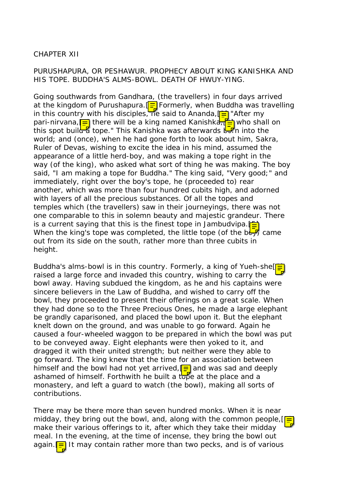## CHAPTER XII

## PURUSHAPURA, OR PESHAWUR. PROPHECY ABOUT KING KANISHKA AND HIS TOPE. BUDDHA'S ALMS-BOWL. DEATH OF HWUY-YING.

Going southwards from Gandhara, (the travellers) in four days arrived at the kingdom of Purushapura.  $\boxed{=}$  Formerly, when Buddha was travelling in this country with his disciples, he said to Ananda,  $\boxed{=}$  "After my pari-nirvana,  $\equiv$  there will be a king named Kanishka,  $\equiv$  who shall on this spot build a tope." This Kanishka was afterwards but into the world; and (once), when he had gone forth to look about him, Sakra, Ruler of Devas, wishing to excite the idea in his mind, assumed the appearance of a little herd-boy, and was making a tope right in the way (of the king), who asked what sort of thing he was making. The boy said, "I am making a tope for Buddha." The king said, "Very good;" and immediately, right over the boy's tope, he (proceeded to) rear another, which was more than four hundred cubits high, and adorned with layers of all the precious substances. Of all the topes and temples which (the travellers) saw in their journeyings, there was not one comparable to this in solemn beauty and majestic grandeur. There is a current saying that this is the finest tope in Jambudvipa.  $F =$ When the king's tope was completed, the little tope (of the  $b\overline{\mathbf{L}}$  came out from its side on the south, rather more than three cubits in height.

Buddha's alms-bowl is in this country. Formerly, a king of Yueh-she<sup>[1]</sup> raised a large force and invaded this country, wishing to carry the bowl away. Having subdued the kingdom, as he and his captains were sincere believers in the Law of Buddha, and wished to carry off the bowl, they proceeded to present their offerings on a great scale. When they had done so to the Three Precious Ones, he made a large elephant be grandly caparisoned, and placed the bowl upon it. But the elephant knelt down on the ground, and was unable to go forward. Again he caused a four-wheeled waggon to be prepared in which the bowl was put to be conveyed away. Eight elephants were then yoked to it, and dragged it with their united strength; but neither were they able to go forward. The king knew that the time for an association between himself and the bowl had not yet arrived,  $\equiv$  and was sad and deeply ashamed of himself. Forthwith he built a tope at the place and a monastery, and left a guard to watch (the bowl), making all sorts of contributions.

There may be there more than seven hundred monks. When it is near midday, they bring out the bowl, and, along with the common people,  $\sqrt{2}$ make their various offerings to it, after which they take their midday meal. In the evening, at the time of incense, they bring the bowl out again.  $\equiv$  It may contain rather more than two pecks, and is of various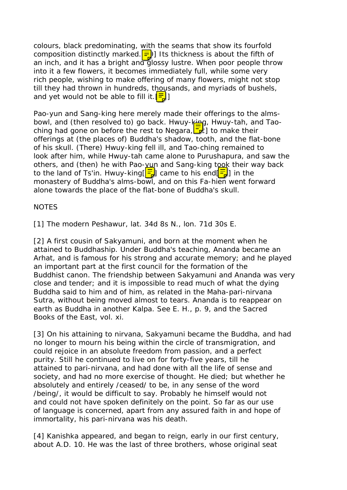colours, black predominating, with the seams that show its fourfold composition distinctly marked.  $\boxed{=}$  Its thickness is about the fifth of an inch, and it has a bright and glossy lustre. When poor people throw into it a few flowers, it becomes immediately full, while some very rich people, wishing to make offering of many flowers, might not stop till they had thrown in hundreds, thousands, and myriads of bushels, and yet would not be able to fill it.  $\frac{1}{2}$ ]

Pao-yun and Sang-king here merely made their offerings to the almsbowl, and (then resolved to) go back. Hwuy-king, Hwuy-tah, and Taoching had gone on before the rest to Negara,  $\mathbf{I}$ ] to make their offerings at (the places of) Buddha's shadow, tooth, and the flat-bone of his skull. (There) Hwuy-king fell ill, and Tao-ching remained to look after him, while Hwuy-tah came alone to Purushapura, and saw the others, and (then) he with Pao-yun and Sang-king took their way back to the land of Ts'in. Hwuy-king $\left[\frac{1}{2}\right]$  came to his end $\left[\frac{1}{2}\right]$  in the monastery of Buddha's alms-bowl, and on this Fa-hien went forward alone towards the place of the flat-bone of Buddha's skull.

NOTES

[1] The modern Peshawur, lat. 34d 8s N., lon. 71d 30s E.

[2] A first cousin of Sakyamuni, and born at the moment when he attained to Buddhaship. Under Buddha's teaching, Ananda became an Arhat, and is famous for his strong and accurate memory; and he played an important part at the first council for the formation of the Buddhist canon. The friendship between Sakyamuni and Ananda was very close and tender; and it is impossible to read much of what the dying Buddha said to him and of him, as related in the Maha-pari-nirvana Sutra, without being moved almost to tears. Ananda is to reappear on earth as Buddha in another Kalpa. See E. H., p. 9, and the Sacred Books of the East, vol. xi.

[3] On his attaining to nirvana, Sakyamuni became the Buddha, and had no longer to mourn his being within the circle of transmigration, and could rejoice in an absolute freedom from passion, and a perfect purity. Still he continued to live on for forty-five years, till he attained to pari-nirvana, and had done with all the life of sense and society, and had no more exercise of thought. He died; but whether he absolutely and entirely /ceased/ to be, in any sense of the word /being/, it would be difficult to say. Probably he himself would not and could not have spoken definitely on the point. So far as our use of language is concerned, apart from any assured faith in and hope of immortality, his pari-nirvana was his death.

[4] Kanishka appeared, and began to reign, early in our first century, about A.D. 10. He was the last of three brothers, whose original seat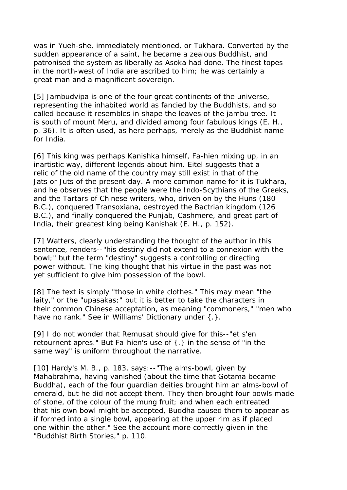was in Yueh-she, immediately mentioned, or Tukhara. Converted by the sudden appearance of a saint, he became a zealous Buddhist, and patronised the system as liberally as Asoka had done. The finest topes in the north-west of India are ascribed to him; he was certainly a great man and a magnificent sovereign.

[5] Jambudvipa is one of the four great continents of the universe, representing the inhabited world as fancied by the Buddhists, and so called because it resembles in shape the leaves of the jambu tree. It is south of mount Meru, and divided among four fabulous kings (E. H., p. 36). It is often used, as here perhaps, merely as the Buddhist name for India.

[6] This king was perhaps Kanishka himself, Fa-hien mixing up, in an inartistic way, different legends about him. Eitel suggests that a relic of the old name of the country may still exist in that of the Jats or Juts of the present day. A more common name for it is Tukhara, and he observes that the people were the Indo-Scythians of the Greeks, and the Tartars of Chinese writers, who, driven on by the Huns (180 B.C.), conquered Transoxiana, destroyed the Bactrian kingdom (126 B.C.), and finally conquered the Punjab, Cashmere, and great part of India, their greatest king being Kanishak (E. H., p. 152).

[7] Watters, clearly understanding the thought of the author in this sentence, renders--"his destiny did not extend to a connexion with the bowl;" but the term "destiny" suggests a controlling or directing power without. The king thought that his virtue in the past was not yet sufficient to give him possession of the bowl.

[8] The text is simply "those in white clothes." This may mean "the laity," or the "upasakas;" but it is better to take the characters in their common Chinese acceptation, as meaning "commoners," "men who have no rank." See in Williams' Dictionary under {.}.

[9] I do not wonder that Remusat should give for this--"et s'en retournent apres." But Fa-hien's use of {.} in the sense of "in the same way" is uniform throughout the narrative.

[10] Hardy's M. B., p. 183, says: -- "The alms-bowl, given by Mahabrahma, having vanished (about the time that Gotama became Buddha), each of the four guardian deities brought him an alms-bowl of emerald, but he did not accept them. They then brought four bowls made of stone, of the colour of the mung fruit; and when each entreated that his own bowl might be accepted, Buddha caused them to appear as if formed into a single bowl, appearing at the upper rim as if placed one within the other." See the account more correctly given in the "Buddhist Birth Stories," p. 110.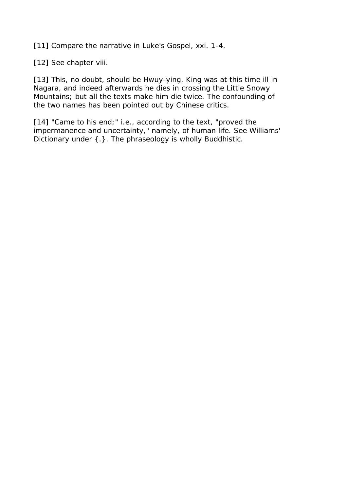[11] Compare the narrative in Luke's Gospel, xxi. 1-4.

[12] See chapter viii.

[13] This, no doubt, should be Hwuy-ying. King was at this time ill in Nagara, and indeed afterwards he dies in crossing the Little Snowy Mountains; but all the texts make him die twice. The confounding of the two names has been pointed out by Chinese critics.

[14] "Came to his end;" i.e., according to the text, "proved the impermanence and uncertainty," namely, of human life. See Williams' Dictionary under {.}. The phraseology is wholly Buddhistic.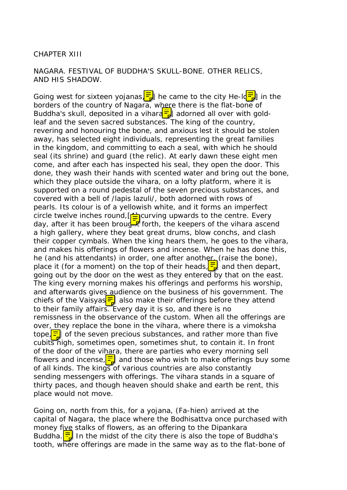#### CHAPTER XIII

NAGARA. FESTIVAL OF BUDDHA'S SKULL-BONE. OTHER RELICS, AND HIS SHADOW.

Going west for sixteen yojanas,  $\frac{1}{\sqrt{2}}$  he came to the city He-I $\frac{1}{\sqrt{2}}$  in the borders of the country of Nagara, where there is the flat-bone of Buddha's skull, deposited in a vihara $\frac{1}{2}$  adorned all over with goldleaf and the seven sacred substances. The king of the country, revering and honouring the bone, and anxious lest it should be stolen away, has selected eight individuals, representing the great families in the kingdom, and committing to each a seal, with which he should seal (its shrine) and guard (the relic). At early dawn these eight men come, and after each has inspected his seal, they open the door. This done, they wash their hands with scented water and bring out the bone, which they place outside the vihara, on a lofty platform, where it is supported on a round pedestal of the seven precious substances, and covered with a bell of /lapis lazuli/, both adorned with rows of pearls. Its colour is of a yellowish white, and it forms an imperfect circle twelve inches round,  $[\frac{4}{2}]$  curving upwards to the centre. Every day, after it has been broud  $\mathbb{R}$  forth, the keepers of the vihara ascend a high gallery, where they beat great drums, blow conchs, and clash their copper cymbals. When the king hears them, he goes to the vihara, and makes his offerings of flowers and incense. When he has done this, he (and his attendants) in order, one after another, (raise the bone), place it (for a moment) on the top of their heads,  $\frac{1}{2}$  and then depart, going out by the door on the west as they entered by that on the east. The king every morning makes his offerings and performs his worship, and afterwards gives audience on the business of his government. The chiefs of the Vaisyas $\equiv$  also make their offerings before they attend to their family affairs. Every day it is so, and there is no remissness in the observance of the custom. When all the offerings are over, they replace the bone in the vihara, where there is a vimoksha tope,  $\frac{1}{2}$  of the seven precious substances, and rather more than five cubits high, sometimes open, sometimes shut, to contain it. In front of the door of the vihara, there are parties who every morning sell flowers and incense,  $\equiv$  and those who wish to make offerings buy some of all kinds. The kings of various countries are also constantly sending messengers with offerings. The vihara stands in a square of thirty paces, and though heaven should shake and earth be rent, this place would not move.

Going on, north from this, for a yojana, (Fa-hien) arrived at the capital of Nagara, the place where the Bodhisattva once purchased with money five stalks of flowers, as an offering to the Dipankara Buddha. $\left|\frac{1}{2}\right|$  In the midst of the city there is also the tope of Buddha's tooth, where offerings are made in the same way as to the flat-bone of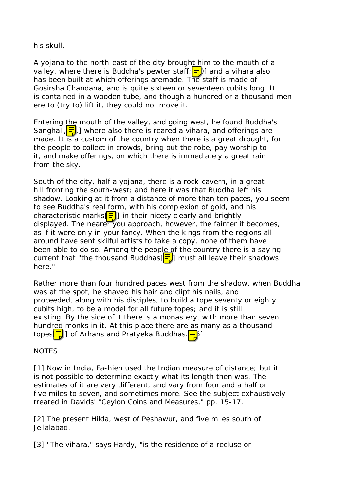his skull.

A yojana to the north-east of the city brought him to the mouth of a valley, where there is Buddha's pewter staff;  $\frac{1}{2}$ ) and a vihara also has been built at which offerings aremade. The staff is made of Gosirsha Chandana, and is quite sixteen or seventeen cubits long. It is contained in a wooden tube, and though a hundred or a thousand men ere to (try to) lift it, they could not move it.

Entering the mouth of the valley, and going west, he found Buddha's Sanghali,  $\frac{1}{2}$  where also there is reared a vihara, and offerings are made. It is a custom of the country when there is a great drought, for the people to collect in crowds, bring out the robe, pay worship to it, and make offerings, on which there is immediately a great rain from the sky.

South of the city, half a yojana, there is a rock-cavern, in a great hill fronting the south-west; and here it was that Buddha left his shadow. Looking at it from a distance of more than ten paces, you seem to see Buddha's real form, with his complexion of gold, and his characteristic marks $\equiv$ ] in their nicety clearly and brightly displayed. The nearer you approach, however, the fainter it becomes, as if it were only in your fancy. When the kings from the regions all around have sent skilful artists to take a copy, none of them have been able to do so. Among the people of the country there is a saying current that "the thousand Buddhas $\left[\frac{1}{2}\right]$  must all leave their shadows here."

Rather more than four hundred paces west from the shadow, when Buddha was at the spot, he shaved his hair and clipt his nails, and proceeded, along with his disciples, to build a tope seventy or eighty cubits high, to be a model for all future topes; and it is still existing. By the side of it there is a monastery, with more than seven hundred monks in it. At this place there are as many as a thousand topes  $\frac{1}{2}$ ] of Arhans and Pratyeka Buddhas.  $\boxed{=}$  1

#### **NOTES**

[1] Now in India, Fa-hien used the Indian measure of distance; but it is not possible to determine exactly what its length then was. The estimates of it are very different, and vary from four and a half or five miles to seven, and sometimes more. See the subject exhaustively treated in Davids' "Ceylon Coins and Measures," pp. 15-17.

[2] The present Hilda, west of Peshawur, and five miles south of Jellalabad.

[3] "The vihara," says Hardy, "is the residence of a recluse or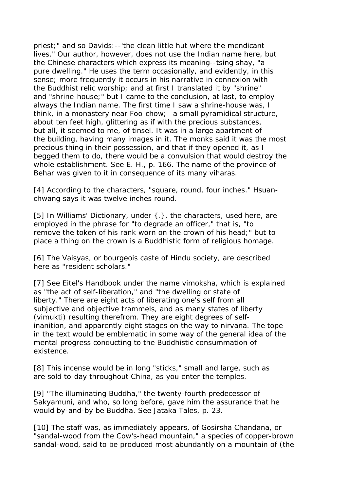priest;" and so Davids:--'the clean little hut where the mendicant lives." Our author, however, does not use the Indian name here, but the Chinese characters which express its meaning--tsing shay, "a pure dwelling." He uses the term occasionally, and evidently, in this sense; more frequently it occurs in his narrative in connexion with the Buddhist relic worship; and at first I translated it by "shrine" and "shrine-house;" but I came to the conclusion, at last, to employ always the Indian name. The first time I saw a shrine-house was, I think, in a monastery near Foo-chow;--a small pyramidical structure, about ten feet high, glittering as if with the precious substances, but all, it seemed to me, of tinsel. It was in a large apartment of the building, having many images in it. The monks said it was the most precious thing in their possession, and that if they opened it, as I begged them to do, there would be a convulsion that would destroy the whole establishment. See E. H., p. 166. The name of the province of Behar was given to it in consequence of its many viharas.

[4] According to the characters, "square, round, four inches." Hsuanchwang says it was twelve inches round.

[5] In Williams' Dictionary, under {.}, the characters, used here, are employed in the phrase for "to degrade an officer," that is, "to remove the token of his rank worn on the crown of his head;" but to place a thing on the crown is a Buddhistic form of religious homage.

[6] The Vaisyas, or bourgeois caste of Hindu society, are described here as "resident scholars."

[7] See Eitel's Handbook under the name vimoksha, which is explained as "the act of self-liberation," and "the dwelling or state of liberty." There are eight acts of liberating one's self from all subjective and objective trammels, and as many states of liberty (vimukti) resulting therefrom. They are eight degrees of selfinanition, and apparently eight stages on the way to nirvana. The tope in the text would be emblematic in some way of the general idea of the mental progress conducting to the Buddhistic consummation of existence.

[8] This incense would be in long "sticks," small and large, such as are sold to-day throughout China, as you enter the temples.

[9] "The illuminating Buddha," the twenty-fourth predecessor of Sakyamuni, and who, so long before, gave him the assurance that he would by-and-by be Buddha. See Jataka Tales, p. 23.

[10] The staff was, as immediately appears, of Gosirsha Chandana, or "sandal-wood from the Cow's-head mountain," a species of copper-brown sandal-wood, said to be produced most abundantly on a mountain of (the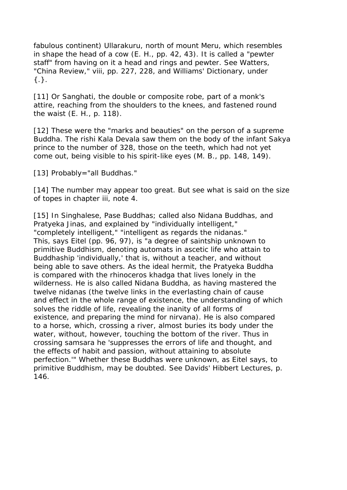fabulous continent) Ullarakuru, north of mount Meru, which resembles in shape the head of a cow (E. H., pp. 42, 43). It is called a "pewter staff" from having on it a head and rings and pewter. See Watters, "China Review," viii, pp. 227, 228, and Williams' Dictionary, under {.}.

[11] Or Sanghati, the double or composite robe, part of a monk's attire, reaching from the shoulders to the knees, and fastened round the waist (E. H., p. 118).

[12] These were the "marks and beauties" on the person of a supreme Buddha. The rishi Kala Devala saw them on the body of the infant Sakya prince to the number of 328, those on the teeth, which had not yet come out, being visible to his spirit-like eyes (M. B., pp. 148, 149).

[13] Probably="all Buddhas."

[14] The number may appear too great. But see what is said on the size of topes in chapter iii, note 4.

[15] In Singhalese, Pase Buddhas; called also Nidana Buddhas, and Pratyeka Jinas, and explained by "individually intelligent," "completely intelligent," "intelligent as regards the nidanas." This, says Eitel (pp. 96, 97), is "a degree of saintship unknown to primitive Buddhism, denoting automats in ascetic life who attain to Buddhaship 'individually,' that is, without a teacher, and without being able to save others. As the ideal hermit, the Pratyeka Buddha is compared with the rhinoceros khadga that lives lonely in the wilderness. He is also called Nidana Buddha, as having mastered the twelve nidanas (the twelve links in the everlasting chain of cause and effect in the whole range of existence, the understanding of which solves the riddle of life, revealing the inanity of all forms of existence, and preparing the mind for nirvana). He is also compared to a horse, which, crossing a river, almost buries its body under the water, without, however, touching the bottom of the river. Thus in crossing samsara he 'suppresses the errors of life and thought, and the effects of habit and passion, without attaining to absolute perfection.'" Whether these Buddhas were unknown, as Eitel says, to primitive Buddhism, may be doubted. See Davids' Hibbert Lectures, p. 146.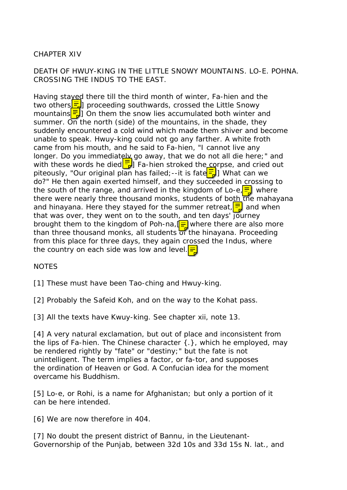# CHAPTER XIV

## DEATH OF HWUY-KING IN THE LITTLE SNOWY MOUNTAINS. LO-E. POHNA. CROSSING THE INDUS TO THE EAST.

Having stayed there till the third month of winter, Fa-hien and the two others $\frac{1}{2}$  proceeding southwards, crossed the Little Snowy mountains $\left[\frac{1}{2}\right]$  On them the snow lies accumulated both winter and summer. On the north (side) of the mountains, in the shade, they suddenly encountered a cold wind which made them shiver and become unable to speak. Hwuy-king could not go any farther. A white froth came from his mouth, and he said to Fa-hien, "I cannot live any longer. Do you immediately go away, that we do not all die here;" and with these words he died  $\frac{1}{2}$  Fa-hien stroked the corpse, and cried out piteously, "Our original plan has failed;--it is fate $\frac{1}{b}$  What can we do?" He then again exerted himself, and they succeeded in crossing to the south of the range, and arrived in the kingdom of Lo-e $\frac{1}{2}$  where there were nearly three thousand monks, students of both the mahayana and hinayana. Here they stayed for the summer retreat,  $\frac{1}{2}$  and when that was over, they went on to the south, and ten days' journey brought them to the kingdom of Poh-na,  $\mathbf{F}$  where there are also more than three thousand monks, all students of the hinayana. Proceeding from this place for three days, they again crossed the Indus, where the country on each side was low and level.  $\equiv$ 

## **NOTES**

[1] These must have been Tao-ching and Hwuy-king.

[2] Probably the Safeid Koh, and on the way to the Kohat pass.

[3] All the texts have Kwuy-king. See chapter xii, note 13.

[4] A very natural exclamation, but out of place and inconsistent from the lips of Fa-hien. The Chinese character {.}, which he employed, may be rendered rightly by "fate" or "destiny;" but the fate is not unintelligent. The term implies a factor, or fa-tor, and supposes the ordination of Heaven or God. A Confucian idea for the moment overcame his Buddhism.

[5] Lo-e, or Rohi, is a name for Afghanistan; but only a portion of it can be here intended.

[6] We are now therefore in 404.

[7] No doubt the present district of Bannu, in the Lieutenant-Governorship of the Punjab, between 32d 10s and 33d 15s N. lat., and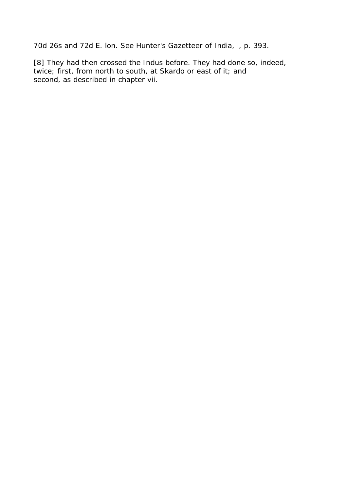70d 26s and 72d E. lon. See Hunter's Gazetteer of India, i, p. 393.

[8] They had then crossed the Indus before. They had done so, indeed, twice; first, from north to south, at Skardo or east of it; and second, as described in chapter vii.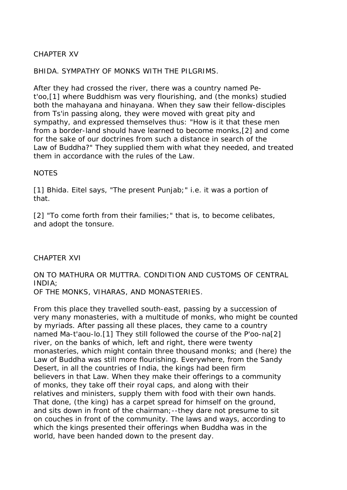# CHAPTER XV

## BHIDA. SYMPATHY OF MONKS WITH THE PILGRIMS.

After they had crossed the river, there was a country named Pet'oo,[1] where Buddhism was very flourishing, and (the monks) studied both the mahayana and hinayana. When they saw their fellow-disciples from Ts'in passing along, they were moved with great pity and sympathy, and expressed themselves thus: "How is it that these men from a border-land should have learned to become monks,[2] and come for the sake of our doctrines from such a distance in search of the Law of Buddha?" They supplied them with what they needed, and treated them in accordance with the rules of the Law.

### NOTES

[1] Bhida. Eitel says, "The present Punjab;" i.e. it was a portion of that.

[2] "To come forth from their families;" that is, to become celibates, and adopt the tonsure.

#### CHAPTER XVI

#### ON TO MATHURA OR MUTTRA. CONDITION AND CUSTOMS OF CENTRAL INDIA; OF THE MONKS, VIHARAS, AND MONASTERIES.

From this place they travelled south-east, passing by a succession of very many monasteries, with a multitude of monks, who might be counted by myriads. After passing all these places, they came to a country named Ma-t'aou-lo.[1] They still followed the course of the P'oo-na[2] river, on the banks of which, left and right, there were twenty monasteries, which might contain three thousand monks; and (here) the Law of Buddha was still more flourishing. Everywhere, from the Sandy Desert, in all the countries of India, the kings had been firm believers in that Law. When they make their offerings to a community of monks, they take off their royal caps, and along with their relatives and ministers, supply them with food with their own hands. That done, (the king) has a carpet spread for himself on the ground, and sits down in front of the chairman;--they dare not presume to sit on couches in front of the community. The laws and ways, according to which the kings presented their offerings when Buddha was in the world, have been handed down to the present day.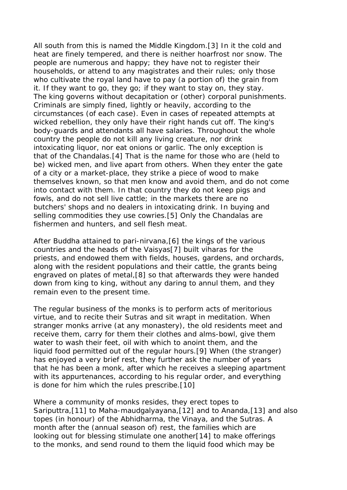All south from this is named the Middle Kingdom.[3] In it the cold and heat are finely tempered, and there is neither hoarfrost nor snow. The people are numerous and happy; they have not to register their households, or attend to any magistrates and their rules; only those who cultivate the royal land have to pay (a portion of) the grain from it. If they want to go, they go; if they want to stay on, they stay. The king governs without decapitation or (other) corporal punishments. Criminals are simply fined, lightly or heavily, according to the circumstances (of each case). Even in cases of repeated attempts at wicked rebellion, they only have their right hands cut off. The king's body-guards and attendants all have salaries. Throughout the whole country the people do not kill any living creature, nor drink intoxicating liquor, nor eat onions or garlic. The only exception is that of the Chandalas.[4] That is the name for those who are (held to be) wicked men, and live apart from others. When they enter the gate of a city or a market-place, they strike a piece of wood to make themselves known, so that men know and avoid them, and do not come into contact with them. In that country they do not keep pigs and fowls, and do not sell live cattle; in the markets there are no butchers' shops and no dealers in intoxicating drink. In buying and selling commodities they use cowries.<sup>[5]</sup> Only the Chandalas are fishermen and hunters, and sell flesh meat.

After Buddha attained to pari-nirvana,[6] the kings of the various countries and the heads of the Vaisyas[7] built viharas for the priests, and endowed them with fields, houses, gardens, and orchards, along with the resident populations and their cattle, the grants being engraved on plates of metal,[8] so that afterwards they were handed down from king to king, without any daring to annul them, and they remain even to the present time.

The regular business of the monks is to perform acts of meritorious virtue, and to recite their Sutras and sit wrapt in meditation. When stranger monks arrive (at any monastery), the old residents meet and receive them, carry for them their clothes and alms-bowl, give them water to wash their feet, oil with which to anoint them, and the liquid food permitted out of the regular hours.[9] When (the stranger) has enjoyed a very brief rest, they further ask the number of years that he has been a monk, after which he receives a sleeping apartment with its appurtenances, according to his regular order, and everything is done for him which the rules prescribe.[10]

Where a community of monks resides, they erect topes to Sariputtra,[11] to Maha-maudgalyayana,[12] and to Ananda,[13] and also topes (in honour) of the Abhidharma, the Vinaya, and the Sutras. A month after the (annual season of) rest, the families which are looking out for blessing stimulate one another[14] to make offerings to the monks, and send round to them the liquid food which may be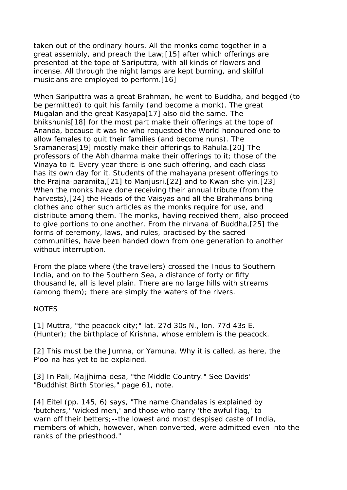taken out of the ordinary hours. All the monks come together in a great assembly, and preach the Law;[15] after which offerings are presented at the tope of Sariputtra, with all kinds of flowers and incense. All through the night lamps are kept burning, and skilful musicians are employed to perform.[16]

When Sariputtra was a great Brahman, he went to Buddha, and begged (to be permitted) to quit his family (and become a monk). The great Mugalan and the great Kasyapa[17] also did the same. The bhikshunis[18] for the most part make their offerings at the tope of Ananda, because it was he who requested the World-honoured one to allow females to quit their families (and become nuns). The Sramaneras[19] mostly make their offerings to Rahula.[20] The professors of the Abhidharma make their offerings to it; those of the Vinaya to it. Every year there is one such offering, and each class has its own day for it. Students of the mahayana present offerings to the Prajna-paramita,[21] to Manjusri,[22] and to Kwan-she-yin.[23] When the monks have done receiving their annual tribute (from the harvests),[24] the Heads of the Vaisyas and all the Brahmans bring clothes and other such articles as the monks require for use, and distribute among them. The monks, having received them, also proceed to give portions to one another. From the nirvana of Buddha,[25] the forms of ceremony, laws, and rules, practised by the sacred communities, have been handed down from one generation to another without interruption.

From the place where (the travellers) crossed the Indus to Southern India, and on to the Southern Sea, a distance of forty or fifty thousand le, all is level plain. There are no large hills with streams (among them); there are simply the waters of the rivers.

#### **NOTES**

[1] Muttra, "the peacock city;" lat. 27d 30s N., lon. 77d 43s E. (Hunter); the birthplace of Krishna, whose emblem is the peacock.

[2] This must be the Jumna, or Yamuna. Why it is called, as here, the P'oo-na has yet to be explained.

[3] In Pali, Majjhima-desa, "the Middle Country." See Davids' "Buddhist Birth Stories," page 61, note.

[4] Eitel (pp. 145, 6) says, "The name Chandalas is explained by 'butchers,' 'wicked men,' and those who carry 'the awful flag,' to warn off their betters; --the lowest and most despised caste of India, members of which, however, when converted, were admitted even into the ranks of the priesthood."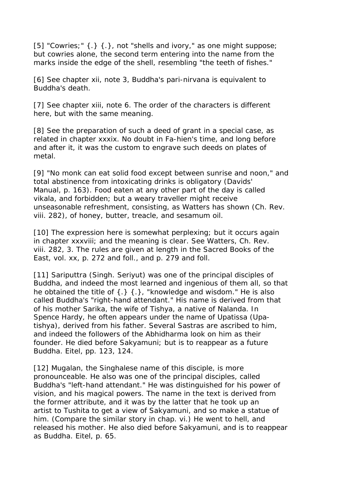[5] "Cowries;" {.} {.}, not "shells and ivory," as one might suppose; but cowries alone, the second term entering into the name from the marks inside the edge of the shell, resembling "the teeth of fishes."

[6] See chapter xii, note 3, Buddha's pari-nirvana is equivalent to Buddha's death.

[7] See chapter xiii, note 6. The order of the characters is different here, but with the same meaning.

[8] See the preparation of such a deed of grant in a special case, as related in chapter xxxix. No doubt in Fa-hien's time, and long before and after it, it was the custom to engrave such deeds on plates of metal.

[9] "No monk can eat solid food except between sunrise and noon," and total abstinence from intoxicating drinks is obligatory (Davids' Manual, p. 163). Food eaten at any other part of the day is called vikala, and forbidden; but a weary traveller might receive unseasonable refreshment, consisting, as Watters has shown (Ch. Rev. viii. 282), of honey, butter, treacle, and sesamum oil.

[10] The expression here is somewhat perplexing; but it occurs again in chapter xxxviii; and the meaning is clear. See Watters, Ch. Rev. viii. 282, 3. The rules are given at length in the Sacred Books of the East, vol. xx, p. 272 and foll., and p. 279 and foll.

[11] Sariputtra (Singh. Seriyut) was one of the principal disciples of Buddha, and indeed the most learned and ingenious of them all, so that he obtained the title of  $\{.\}$   $\{.\}$ , "knowledge and wisdom." He is also called Buddha's "right-hand attendant." His name is derived from that of his mother Sarika, the wife of Tishya, a native of Nalanda. In Spence Hardy, he often appears under the name of Upatissa (Upatishya), derived from his father. Several Sastras are ascribed to him, and indeed the followers of the Abhidharma look on him as their founder. He died before Sakyamuni; but is to reappear as a future Buddha. Eitel, pp. 123, 124.

[12] Mugalan, the Singhalese name of this disciple, is more pronounceable. He also was one of the principal disciples, called Buddha's "left-hand attendant." He was distinguished for his power of vision, and his magical powers. The name in the text is derived from the former attribute, and it was by the latter that he took up an artist to Tushita to get a view of Sakyamuni, and so make a statue of him. (Compare the similar story in chap. vi.) He went to hell, and released his mother. He also died before Sakyamuni, and is to reappear as Buddha. Eitel, p. 65.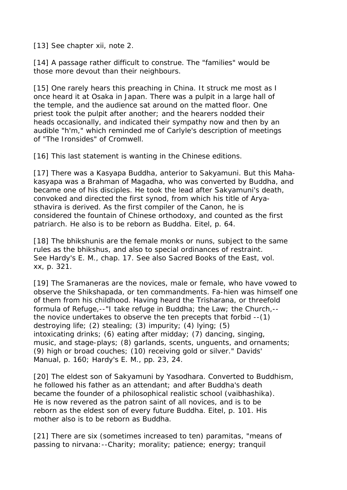[13] See chapter xii, note 2.

[14] A passage rather difficult to construe. The "families" would be those more devout than their neighbours.

[15] One rarely hears this preaching in China. It struck me most as I once heard it at Osaka in Japan. There was a pulpit in a large hall of the temple, and the audience sat around on the matted floor. One priest took the pulpit after another; and the hearers nodded their heads occasionally, and indicated their sympathy now and then by an audible "h'm," which reminded me of Carlyle's description of meetings of "The Ironsides" of Cromwell.

[16] This last statement is wanting in the Chinese editions.

[17] There was a Kasyapa Buddha, anterior to Sakyamuni. But this Mahakasyapa was a Brahman of Magadha, who was converted by Buddha, and became one of his disciples. He took the lead after Sakyamuni's death, convoked and directed the first synod, from which his title of Aryasthavira is derived. As the first compiler of the Canon, he is considered the fountain of Chinese orthodoxy, and counted as the first patriarch. He also is to be reborn as Buddha. Eitel, p. 64.

[18] The bhikshunis are the female monks or nuns, subject to the same rules as the bhikshus, and also to special ordinances of restraint. See Hardy's E. M., chap. 17. See also Sacred Books of the East, vol. xx, p. 321.

[19] The Sramaneras are the novices, male or female, who have vowed to observe the Shikshapada, or ten commandments. Fa-hien was himself one of them from his childhood. Having heard the Trisharana, or threefold formula of Refuge,--"I take refuge in Buddha; the Law; the Church,- the novice undertakes to observe the ten precepts that forbid --(1) destroying life; (2) stealing; (3) impurity; (4) lying; (5) intoxicating drinks; (6) eating after midday; (7) dancing, singing, music, and stage-plays; (8) garlands, scents, unguents, and ornaments; (9) high or broad couches; (10) receiving gold or silver." Davids' Manual, p. 160; Hardy's E. M., pp. 23, 24.

[20] The eldest son of Sakyamuni by Yasodhara. Converted to Buddhism, he followed his father as an attendant; and after Buddha's death became the founder of a philosophical realistic school (vaibhashika). He is now revered as the patron saint of all novices, and is to be reborn as the eldest son of every future Buddha. Eitel, p. 101. His mother also is to be reborn as Buddha.

[21] There are six (sometimes increased to ten) paramitas, "means of passing to nirvana:--Charity; morality; patience; energy; tranquil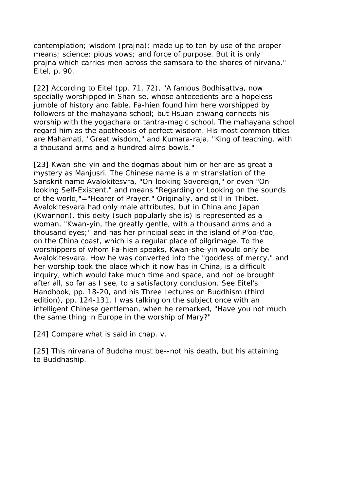contemplation; wisdom (prajna); made up to ten by use of the proper means; science; pious vows; and force of purpose. But it is only prajna which carries men across the samsara to the shores of nirvana." Eitel, p. 90.

[22] According to Eitel (pp. 71, 72), "A famous Bodhisattva, now specially worshipped in Shan-se, whose antecedents are a hopeless jumble of history and fable. Fa-hien found him here worshipped by followers of the mahayana school; but Hsuan-chwang connects his worship with the yogachara or tantra-magic school. The mahayana school regard him as the apotheosis of perfect wisdom. His most common titles are Mahamati, "Great wisdom," and Kumara-raja, "King of teaching, with a thousand arms and a hundred alms-bowls."

[23] Kwan-she-yin and the dogmas about him or her are as great a mystery as Manjusri. The Chinese name is a mistranslation of the Sanskrit name Avalokitesvra, "On-looking Sovereign," or even "Onlooking Self-Existent," and means "Regarding or Looking on the sounds of the world,"="Hearer of Prayer." Originally, and still in Thibet, Avalokitesvara had only male attributes, but in China and Japan (Kwannon), this deity (such popularly she is) is represented as a woman, "Kwan-yin, the greatly gentle, with a thousand arms and a thousand eyes;" and has her principal seat in the island of P'oo-t'oo, on the China coast, which is a regular place of pilgrimage. To the worshippers of whom Fa-hien speaks, Kwan-she-yin would only be Avalokitesvara. How he was converted into the "goddess of mercy," and her worship took the place which it now has in China, is a difficult inquiry, which would take much time and space, and not be brought after all, so far as I see, to a satisfactory conclusion. See Eitel's Handbook, pp. 18-20, and his Three Lectures on Buddhism (third edition), pp. 124-131. I was talking on the subject once with an intelligent Chinese gentleman, when he remarked, "Have you not much the same thing in Europe in the worship of Mary?"

[24] Compare what is said in chap. v.

[25] This nirvana of Buddha must be--not his death, but his attaining to Buddhaship.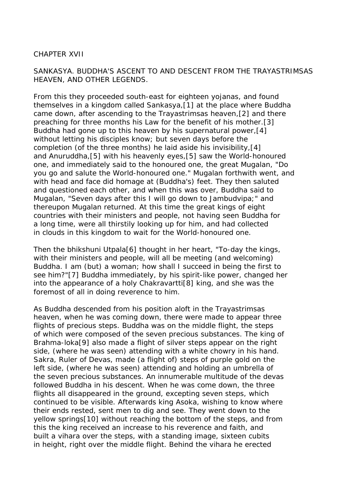### CHAPTER XVII

SANKASYA. BUDDHA'S ASCENT TO AND DESCENT FROM THE TRAYASTRIMSAS HEAVEN, AND OTHER LEGENDS.

From this they proceeded south-east for eighteen yojanas, and found themselves in a kingdom called Sankasya,[1] at the place where Buddha came down, after ascending to the Trayastrimsas heaven,[2] and there preaching for three months his Law for the benefit of his mother.[3] Buddha had gone up to this heaven by his supernatural power,[4] without letting his disciples know; but seven days before the completion (of the three months) he laid aside his invisibility,[4] and Anuruddha,[5] with his heavenly eyes,[5] saw the World-honoured one, and immediately said to the honoured one, the great Mugalan, "Do you go and salute the World-honoured one." Mugalan forthwith went, and with head and face did homage at (Buddha's) feet. They then saluted and questioned each other, and when this was over, Buddha said to Mugalan, "Seven days after this I will go down to Jambudvipa;" and thereupon Mugalan returned. At this time the great kings of eight countries with their ministers and people, not having seen Buddha for a long time, were all thirstily looking up for him, and had collected in clouds in this kingdom to wait for the World-honoured one.

Then the bhikshuni Utpala[6] thought in her heart, "To-day the kings, with their ministers and people, will all be meeting (and welcoming) Buddha. I am (but) a woman; how shall I succeed in being the first to see him?"[7] Buddha immediately, by his spirit-like power, changed her into the appearance of a holy Chakravartti[8] king, and she was the foremost of all in doing reverence to him.

As Buddha descended from his position aloft in the Trayastrimsas heaven, when he was coming down, there were made to appear three flights of precious steps. Buddha was on the middle flight, the steps of which were composed of the seven precious substances. The king of Brahma-loka[9] also made a flight of silver steps appear on the right side, (where he was seen) attending with a white chowry in his hand. Sakra, Ruler of Devas, made (a flight of) steps of purple gold on the left side, (where he was seen) attending and holding an umbrella of the seven precious substances. An innumerable multitude of the devas followed Buddha in his descent. When he was come down, the three flights all disappeared in the ground, excepting seven steps, which continued to be visible. Afterwards king Asoka, wishing to know where their ends rested, sent men to dig and see. They went down to the yellow springs[10] without reaching the bottom of the steps, and from this the king received an increase to his reverence and faith, and built a vihara over the steps, with a standing image, sixteen cubits in height, right over the middle flight. Behind the vihara he erected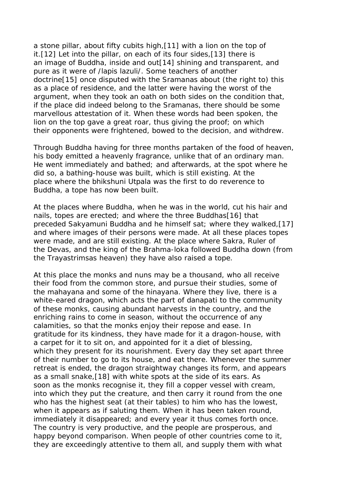a stone pillar, about fifty cubits high,[11] with a lion on the top of it.[12] Let into the pillar, on each of its four sides,[13] there is an image of Buddha, inside and out[14] shining and transparent, and pure as it were of /lapis lazuli/. Some teachers of another doctrine[15] once disputed with the Sramanas about (the right to) this as a place of residence, and the latter were having the worst of the argument, when they took an oath on both sides on the condition that, if the place did indeed belong to the Sramanas, there should be some marvellous attestation of it. When these words had been spoken, the lion on the top gave a great roar, thus giving the proof; on which their opponents were frightened, bowed to the decision, and withdrew.

Through Buddha having for three months partaken of the food of heaven, his body emitted a heavenly fragrance, unlike that of an ordinary man. He went immediately and bathed; and afterwards, at the spot where he did so, a bathing-house was built, which is still existing. At the place where the bhikshuni Utpala was the first to do reverence to Buddha, a tope has now been built.

At the places where Buddha, when he was in the world, cut his hair and nails, topes are erected; and where the three Buddhas[16] that preceded Sakyamuni Buddha and he himself sat; where they walked,[17] and where images of their persons were made. At all these places topes were made, and are still existing. At the place where Sakra, Ruler of the Devas, and the king of the Brahma-loka followed Buddha down (from the Trayastrimsas heaven) they have also raised a tope.

At this place the monks and nuns may be a thousand, who all receive their food from the common store, and pursue their studies, some of the mahayana and some of the hinayana. Where they live, there is a white-eared dragon, which acts the part of danapati to the community of these monks, causing abundant harvests in the country, and the enriching rains to come in season, without the occurrence of any calamities, so that the monks enjoy their repose and ease. In gratitude for its kindness, they have made for it a dragon-house, with a carpet for it to sit on, and appointed for it a diet of blessing, which they present for its nourishment. Every day they set apart three of their number to go to its house, and eat there. Whenever the summer retreat is ended, the dragon straightway changes its form, and appears as a small snake,[18] with white spots at the side of its ears. As soon as the monks recognise it, they fill a copper vessel with cream, into which they put the creature, and then carry it round from the one who has the highest seat (at their tables) to him who has the lowest, when it appears as if saluting them. When it has been taken round, immediately it disappeared; and every year it thus comes forth once. The country is very productive, and the people are prosperous, and happy beyond comparison. When people of other countries come to it, they are exceedingly attentive to them all, and supply them with what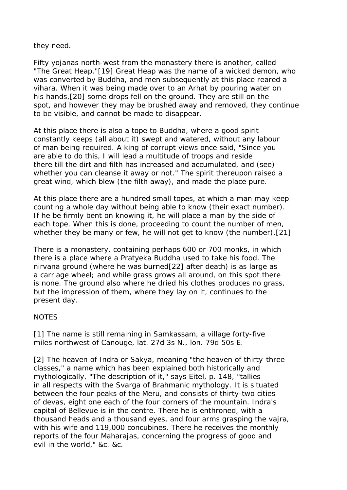they need.

Fifty yojanas north-west from the monastery there is another, called "The Great Heap."[19] Great Heap was the name of a wicked demon, who was converted by Buddha, and men subsequently at this place reared a vihara. When it was being made over to an Arhat by pouring water on his hands,[20] some drops fell on the ground. They are still on the spot, and however they may be brushed away and removed, they continue to be visible, and cannot be made to disappear.

At this place there is also a tope to Buddha, where a good spirit constantly keeps (all about it) swept and watered, without any labour of man being required. A king of corrupt views once said, "Since you are able to do this, I will lead a multitude of troops and reside there till the dirt and filth has increased and accumulated, and (see) whether you can cleanse it away or not." The spirit thereupon raised a great wind, which blew (the filth away), and made the place pure.

At this place there are a hundred small topes, at which a man may keep counting a whole day without being able to know (their exact number). If he be firmly bent on knowing it, he will place a man by the side of each tope. When this is done, proceeding to count the number of men, whether they be many or few, he will not get to know (the number).[21]

There is a monastery, containing perhaps 600 or 700 monks, in which there is a place where a Pratyeka Buddha used to take his food. The nirvana ground (where he was burned[22] after death) is as large as a carriage wheel; and while grass grows all around, on this spot there is none. The ground also where he dried his clothes produces no grass, but the impression of them, where they lay on it, continues to the present day.

## **NOTES**

[1] The name is still remaining in Samkassam, a village forty-five miles northwest of Canouge, lat. 27d 3s N., lon. 79d 50s E.

[2] The heaven of Indra or Sakya, meaning "the heaven of thirty-three classes," a name which has been explained both historically and mythologically. "The description of it," says Eitel, p. 148, "tallies in all respects with the Svarga of Brahmanic mythology. It is situated between the four peaks of the Meru, and consists of thirty-two cities of devas, eight one each of the four corners of the mountain. Indra's capital of Bellevue is in the centre. There he is enthroned, with a thousand heads and a thousand eyes, and four arms grasping the vajra, with his wife and 119,000 concubines. There he receives the monthly reports of the four Maharajas, concerning the progress of good and evil in the world," &c. &c.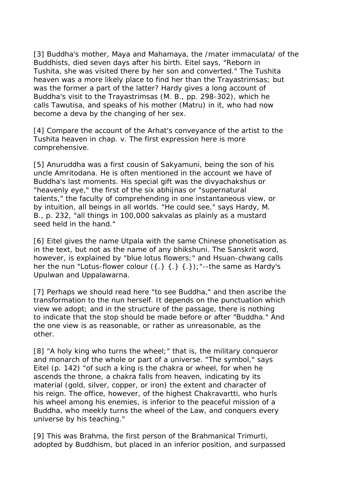[3] Buddha's mother, Maya and Mahamaya, the /mater immaculata/ of the Buddhists, died seven days after his birth. Eitel says, "Reborn in Tushita, she was visited there by her son and converted." The Tushita heaven was a more likely place to find her than the Trayastrimsas; but was the former a part of the latter? Hardy gives a long account of Buddha's visit to the Trayastrimsas (M. B., pp. 298-302), which he calls Tawutisa, and speaks of his mother (Matru) in it, who had now become a deva by the changing of her sex.

[4] Compare the account of the Arhat's conveyance of the artist to the Tushita heaven in chap. v. The first expression here is more comprehensive.

[5] Anuruddha was a first cousin of Sakyamuni, being the son of his uncle Amritodana. He is often mentioned in the account we have of Buddha's last moments. His special gift was the divyachakshus or "heavenly eye," the first of the six abhijnas or "supernatural talents," the faculty of comprehending in one instantaneous view, or by intuition, all beings in all worlds. "He could see," says Hardy, M. B., p. 232, "all things in 100,000 sakvalas as plainly as a mustard seed held in the hand."

[6] Eitel gives the name Utpala with the same Chinese phonetisation as in the text, but not as the name of any bhikshuni. The Sanskrit word, however, is explained by "blue lotus flowers;" and Hsuan-chwang calls her the nun "Lotus-flower colour  $({.} }$   $({.} })$   $({.} })$   $({.} })$  : "--the same as Hardy's Upulwan and Uppalawarna.

[7] Perhaps we should read here "to see Buddha," and then ascribe the transformation to the nun herself. It depends on the punctuation which view we adopt; and in the structure of the passage, there is nothing to indicate that the stop should be made before or after "Buddha." And the one view is as reasonable, or rather as unreasonable, as the other.

[8] "A holy king who turns the wheel;" that is, the military conqueror and monarch of the whole or part of a universe. "The symbol," says Eitel (p. 142) "of such a king is the chakra or wheel, for when he ascends the throne, a chakra falls from heaven, indicating by its material (gold, silver, copper, or iron) the extent and character of his reign. The office, however, of the highest Chakravartti, who hurls his wheel among his enemies, is inferior to the peaceful mission of a Buddha, who meekly turns the wheel of the Law, and conquers every universe by his teaching."

[9] This was Brahma, the first person of the Brahmanical Trimurti, adopted by Buddhism, but placed in an inferior position, and surpassed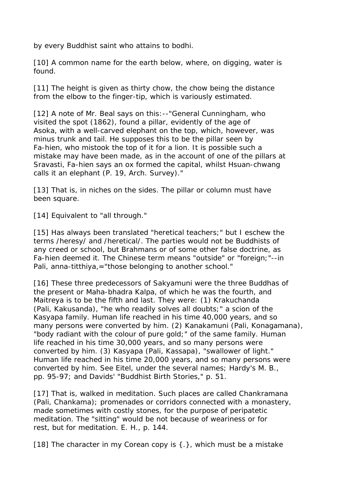by every Buddhist saint who attains to bodhi.

[10] A common name for the earth below, where, on digging, water is found.

[11] The height is given as thirty chow, the chow being the distance from the elbow to the finger-tip, which is variously estimated.

[12] A note of Mr. Beal says on this: -- "General Cunningham, who visited the spot (1862), found a pillar, evidently of the age of Asoka, with a well-carved elephant on the top, which, however, was minus trunk and tail. He supposes this to be the pillar seen by Fa-hien, who mistook the top of it for a lion. It is possible such a mistake may have been made, as in the account of one of the pillars at Sravasti, Fa-hien says an ox formed the capital, whilst Hsuan-chwang calls it an elephant (P. 19, Arch. Survey)."

[13] That is, in niches on the sides. The pillar or column must have been square.

[14] Equivalent to "all through."

[15] Has always been translated "heretical teachers;" but I eschew the terms /heresy/ and /heretical/. The parties would not be Buddhists of any creed or school, but Brahmans or of some other false doctrine, as Fa-hien deemed it. The Chinese term means "outside" or "foreign;"--in Pali, anna-titthiya, = "those belonging to another school."

[16] These three predecessors of Sakyamuni were the three Buddhas of the present or Maha-bhadra Kalpa, of which he was the fourth, and Maitreya is to be the fifth and last. They were: (1) Krakuchanda (Pali, Kakusanda), "he who readily solves all doubts;" a scion of the Kasyapa family. Human life reached in his time 40,000 years, and so many persons were converted by him. (2) Kanakamuni (Pali, Konagamana), "body radiant with the colour of pure gold;" of the same family. Human life reached in his time 30,000 years, and so many persons were converted by him. (3) Kasyapa (Pali, Kassapa), "swallower of light." Human life reached in his time 20,000 years, and so many persons were converted by him. See Eitel, under the several names; Hardy's M. B., pp. 95-97; and Davids' "Buddhist Birth Stories," p. 51.

[17] That is, walked in meditation. Such places are called Chankramana (Pali, Chankama); promenades or corridors connected with a monastery, made sometimes with costly stones, for the purpose of peripatetic meditation. The "sitting" would be not because of weariness or for rest, but for meditation. E. H., p. 144.

[18] The character in my Corean copy is {.}, which must be a mistake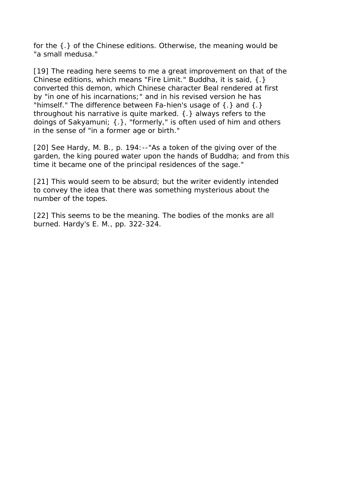for the {.} of the Chinese editions. Otherwise, the meaning would be "a small medusa."

[19] The reading here seems to me a great improvement on that of the Chinese editions, which means "Fire Limit." Buddha, it is said, {.} converted this demon, which Chinese character Beal rendered at first by "in one of his incarnations;" and in his revised version he has "himself." The difference between Fa-hien's usage of {.} and {.} throughout his narrative is quite marked. {.} always refers to the doings of Sakyamuni; {.}, "formerly," is often used of him and others in the sense of "in a former age or birth."

[20] See Hardy, M. B., p. 194:--"As a token of the giving over of the garden, the king poured water upon the hands of Buddha; and from this time it became one of the principal residences of the sage."

[21] This would seem to be absurd; but the writer evidently intended to convey the idea that there was something mysterious about the number of the topes.

[22] This seems to be the meaning. The bodies of the monks are all burned. Hardy's E. M., pp. 322-324.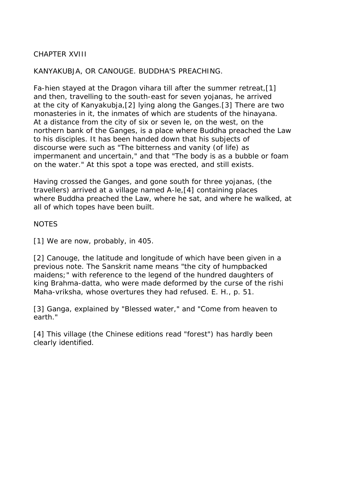# CHAPTER XVIII

## KANYAKUBJA, OR CANOUGE. BUDDHA'S PREACHING.

Fa-hien stayed at the Dragon vihara till after the summer retreat,[1] and then, travelling to the south-east for seven yojanas, he arrived at the city of Kanyakubja,[2] lying along the Ganges.[3] There are two monasteries in it, the inmates of which are students of the hinayana. At a distance from the city of six or seven le, on the west, on the northern bank of the Ganges, is a place where Buddha preached the Law to his disciples. It has been handed down that his subjects of discourse were such as "The bitterness and vanity (of life) as impermanent and uncertain," and that "The body is as a bubble or foam on the water." At this spot a tope was erected, and still exists.

Having crossed the Ganges, and gone south for three yojanas, (the travellers) arrived at a village named A-le,[4] containing places where Buddha preached the Law, where he sat, and where he walked, at all of which topes have been built.

### **NOTES**

[1] We are now, probably, in 405.

[2] Canouge, the latitude and longitude of which have been given in a previous note. The Sanskrit name means "the city of humpbacked maidens;" with reference to the legend of the hundred daughters of king Brahma-datta, who were made deformed by the curse of the rishi Maha-vriksha, whose overtures they had refused. E. H., p. 51.

[3] Ganga, explained by "Blessed water," and "Come from heaven to earth."

[4] This village (the Chinese editions read "forest") has hardly been clearly identified.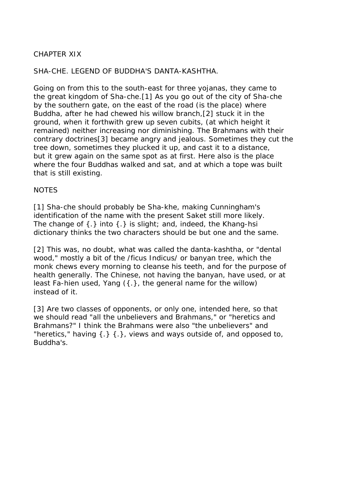# CHAPTER XIX

### SHA-CHE. LEGEND OF BUDDHA'S DANTA-KASHTHA.

Going on from this to the south-east for three yojanas, they came to the great kingdom of Sha-che.[1] As you go out of the city of Sha-che by the southern gate, on the east of the road (is the place) where Buddha, after he had chewed his willow branch,[2] stuck it in the ground, when it forthwith grew up seven cubits, (at which height it remained) neither increasing nor diminishing. The Brahmans with their contrary doctrines[3] became angry and jealous. Sometimes they cut the tree down, sometimes they plucked it up, and cast it to a distance, but it grew again on the same spot as at first. Here also is the place where the four Buddhas walked and sat, and at which a tope was built that is still existing.

#### **NOTES**

[1] Sha-che should probably be Sha-khe, making Cunningham's identification of the name with the present Saket still more likely. The change of {.} into {.} is slight; and, indeed, the Khang-hsi dictionary thinks the two characters should be but one and the same.

[2] This was, no doubt, what was called the danta-kashtha, or "dental" wood," mostly a bit of the /ficus Indicus/ or banyan tree, which the monk chews every morning to cleanse his teeth, and for the purpose of health generally. The Chinese, not having the banyan, have used, or at least Fa-hien used, Yang ({.}, the general name for the willow) instead of it.

[3] Are two classes of opponents, or only one, intended here, so that we should read "all the unbelievers and Brahmans," or "heretics and Brahmans?" I think the Brahmans were also "the unbelievers" and "heretics," having  $\{\cdot\}$   $\{\cdot\}$ , views and ways outside of, and opposed to, Buddha's.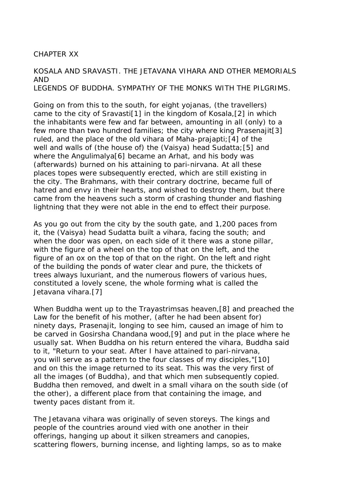#### CHAPTER XX

KOSALA AND SRAVASTI. THE JETAVANA VIHARA AND OTHER MEMORIALS AND LEGENDS OF BUDDHA. SYMPATHY OF THE MONKS WITH THE PILGRIMS.

Going on from this to the south, for eight yojanas, (the travellers) came to the city of Sravasti[1] in the kingdom of Kosala,[2] in which the inhabitants were few and far between, amounting in all (only) to a few more than two hundred families; the city where king Prasenajit[3] ruled, and the place of the old vihara of Maha-prajapti;[4] of the well and walls of (the house of) the (Vaisya) head Sudatta;[5] and where the Angulimalya[6] became an Arhat, and his body was (afterwards) burned on his attaining to pari-nirvana. At all these places topes were subsequently erected, which are still existing in the city. The Brahmans, with their contrary doctrine, became full of hatred and envy in their hearts, and wished to destroy them, but there came from the heavens such a storm of crashing thunder and flashing lightning that they were not able in the end to effect their purpose.

As you go out from the city by the south gate, and 1,200 paces from it, the (Vaisya) head Sudatta built a vihara, facing the south; and when the door was open, on each side of it there was a stone pillar, with the figure of a wheel on the top of that on the left, and the figure of an ox on the top of that on the right. On the left and right of the building the ponds of water clear and pure, the thickets of trees always luxuriant, and the numerous flowers of various hues, constituted a lovely scene, the whole forming what is called the Jetavana vihara.[7]

When Buddha went up to the Trayastrimsas heaven,[8] and preached the Law for the benefit of his mother, (after he had been absent for) ninety days, Prasenajit, longing to see him, caused an image of him to be carved in Gosirsha Chandana wood,[9] and put in the place where he usually sat. When Buddha on his return entered the vihara, Buddha said to it, "Return to your seat. After I have attained to pari-nirvana, you will serve as a pattern to the four classes of my disciples,"[10] and on this the image returned to its seat. This was the very first of all the images (of Buddha), and that which men subsequently copied. Buddha then removed, and dwelt in a small vihara on the south side (of the other), a different place from that containing the image, and twenty paces distant from it.

The Jetavana vihara was originally of seven storeys. The kings and people of the countries around vied with one another in their offerings, hanging up about it silken streamers and canopies, scattering flowers, burning incense, and lighting lamps, so as to make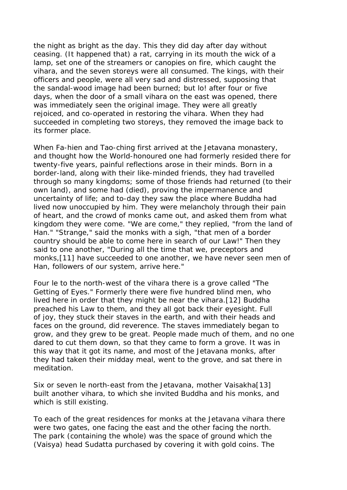the night as bright as the day. This they did day after day without ceasing. (It happened that) a rat, carrying in its mouth the wick of a lamp, set one of the streamers or canopies on fire, which caught the vihara, and the seven storeys were all consumed. The kings, with their officers and people, were all very sad and distressed, supposing that the sandal-wood image had been burned; but lo! after four or five days, when the door of a small vihara on the east was opened, there was immediately seen the original image. They were all greatly rejoiced, and co-operated in restoring the vihara. When they had succeeded in completing two storeys, they removed the image back to its former place.

When Fa-hien and Tao-ching first arrived at the Jetavana monastery, and thought how the World-honoured one had formerly resided there for twenty-five years, painful reflections arose in their minds. Born in a border-land, along with their like-minded friends, they had travelled through so many kingdoms; some of those friends had returned (to their own land), and some had (died), proving the impermanence and uncertainty of life; and to-day they saw the place where Buddha had lived now unoccupied by him. They were melancholy through their pain of heart, and the crowd of monks came out, and asked them from what kingdom they were come. "We are come," they replied, "from the land of Han." "Strange," said the monks with a sigh, "that men of a border country should be able to come here in search of our Law!" Then they said to one another, "During all the time that we, preceptors and monks,[11] have succeeded to one another, we have never seen men of Han, followers of our system, arrive here."

Four le to the north-west of the vihara there is a grove called "The Getting of Eyes." Formerly there were five hundred blind men, who lived here in order that they might be near the vihara.[12] Buddha preached his Law to them, and they all got back their eyesight. Full of joy, they stuck their staves in the earth, and with their heads and faces on the ground, did reverence. The staves immediately began to grow, and they grew to be great. People made much of them, and no one dared to cut them down, so that they came to form a grove. It was in this way that it got its name, and most of the Jetavana monks, after they had taken their midday meal, went to the grove, and sat there in meditation.

Six or seven le north-east from the Jetavana, mother Vaisakha[13] built another vihara, to which she invited Buddha and his monks, and which is still existing.

To each of the great residences for monks at the Jetavana vihara there were two gates, one facing the east and the other facing the north. The park (containing the whole) was the space of ground which the (Vaisya) head Sudatta purchased by covering it with gold coins. The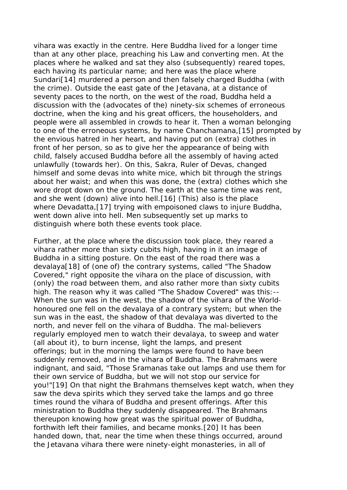vihara was exactly in the centre. Here Buddha lived for a longer time than at any other place, preaching his Law and converting men. At the places where he walked and sat they also (subsequently) reared topes, each having its particular name; and here was the place where Sundari[14] murdered a person and then falsely charged Buddha (with the crime). Outside the east gate of the Jetavana, at a distance of seventy paces to the north, on the west of the road, Buddha held a discussion with the (advocates of the) ninety-six schemes of erroneous doctrine, when the king and his great officers, the householders, and people were all assembled in crowds to hear it. Then a woman belonging to one of the erroneous systems, by name Chanchamana,[15] prompted by the envious hatred in her heart, and having put on (extra) clothes in front of her person, so as to give her the appearance of being with child, falsely accused Buddha before all the assembly of having acted unlawfully (towards her). On this, Sakra, Ruler of Devas, changed himself and some devas into white mice, which bit through the strings about her waist; and when this was done, the (extra) clothes which she wore dropt down on the ground. The earth at the same time was rent, and she went (down) alive into hell.[16] (This) also is the place where Devadatta,[17] trying with empoisoned claws to injure Buddha, went down alive into hell. Men subsequently set up marks to distinguish where both these events took place.

Further, at the place where the discussion took place, they reared a vihara rather more than sixty cubits high, having in it an image of Buddha in a sitting posture. On the east of the road there was a devalaya[18] of (one of) the contrary systems, called "The Shadow Covered," right opposite the vihara on the place of discussion, with (only) the road between them, and also rather more than sixty cubits high. The reason why it was called "The Shadow Covered" was this:-- When the sun was in the west, the shadow of the vihara of the Worldhonoured one fell on the devalaya of a contrary system; but when the sun was in the east, the shadow of that devalaya was diverted to the north, and never fell on the vihara of Buddha. The mal-believers regularly employed men to watch their devalaya, to sweep and water (all about it), to burn incense, light the lamps, and present offerings; but in the morning the lamps were found to have been suddenly removed, and in the vihara of Buddha. The Brahmans were indignant, and said, "Those Sramanas take out lamps and use them for their own service of Buddha, but we will not stop our service for you!"[19] On that night the Brahmans themselves kept watch, when they saw the deva spirits which they served take the lamps and go three times round the vihara of Buddha and present offerings. After this ministration to Buddha they suddenly disappeared. The Brahmans thereupon knowing how great was the spiritual power of Buddha, forthwith left their families, and became monks.[20] It has been handed down, that, near the time when these things occurred, around the Jetavana vihara there were ninety-eight monasteries, in all of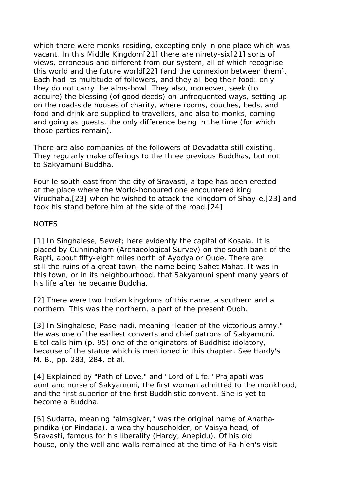which there were monks residing, excepting only in one place which was vacant. In this Middle Kingdom[21] there are ninety-six[21] sorts of views, erroneous and different from our system, all of which recognise this world and the future world[22] (and the connexion between them). Each had its multitude of followers, and they all beg their food: only they do not carry the alms-bowl. They also, moreover, seek (to acquire) the blessing (of good deeds) on unfrequented ways, setting up on the road-side houses of charity, where rooms, couches, beds, and food and drink are supplied to travellers, and also to monks, coming and going as guests, the only difference being in the time (for which those parties remain).

There are also companies of the followers of Devadatta still existing. They regularly make offerings to the three previous Buddhas, but not to Sakyamuni Buddha.

Four le south-east from the city of Sravasti, a tope has been erected at the place where the World-honoured one encountered king Virudhaha,[23] when he wished to attack the kingdom of Shay-e,[23] and took his stand before him at the side of the road.[24]

### **NOTES**

[1] In Singhalese, Sewet; here evidently the capital of Kosala. It is placed by Cunningham (Archaeological Survey) on the south bank of the Rapti, about fifty-eight miles north of Ayodya or Oude. There are still the ruins of a great town, the name being Sahet Mahat. It was in this town, or in its neighbourhood, that Sakyamuni spent many years of his life after he became Buddha.

[2] There were two Indian kingdoms of this name, a southern and a northern. This was the northern, a part of the present Oudh.

[3] In Singhalese, Pase-nadi, meaning "leader of the victorious army." He was one of the earliest converts and chief patrons of Sakyamuni. Eitel calls him (p. 95) one of the originators of Buddhist idolatory, because of the statue which is mentioned in this chapter. See Hardy's M. B., pp. 283, 284, et al.

[4] Explained by "Path of Love," and "Lord of Life." Prajapati was aunt and nurse of Sakyamuni, the first woman admitted to the monkhood, and the first superior of the first Buddhistic convent. She is yet to become a Buddha.

[5] Sudatta, meaning "almsgiver," was the original name of Anathapindika (or Pindada), a wealthy householder, or Vaisya head, of Sravasti, famous for his liberality (Hardy, Anepidu). Of his old house, only the well and walls remained at the time of Fa-hien's visit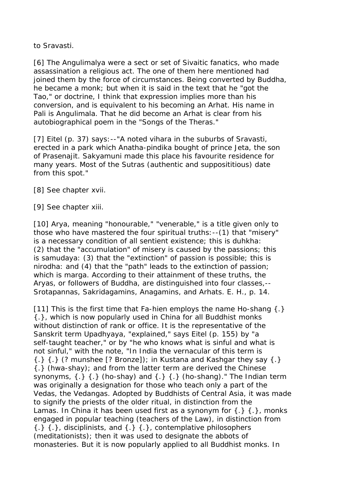to Sravasti.

[6] The Angulimalya were a sect or set of Sivaitic fanatics, who made assassination a religious act. The one of them here mentioned had joined them by the force of circumstances. Being converted by Buddha, he became a monk; but when it is said in the text that he "got the Tao," or doctrine, I think that expression implies more than his conversion, and is equivalent to his becoming an Arhat. His name in Pali is Angulimala. That he did become an Arhat is clear from his autobiographical poem in the "Songs of the Theras."

[7] Eitel (p. 37) says: --"A noted vihara in the suburbs of Sravasti, erected in a park which Anatha-pindika bought of prince Jeta, the son of Prasenajit. Sakyamuni made this place his favourite residence for many years. Most of the Sutras (authentic and supposititious) date from this spot."

[8] See chapter xvii.

[9] See chapter xiii.

[10] Arya, meaning "honourable," "venerable," is a title given only to those who have mastered the four spiritual truths:--(1) that "misery" is a necessary condition of all sentient existence; this is duhkha: (2) that the "accumulation" of misery is caused by the passions; this is samudaya: (3) that the "extinction" of passion is possible; this is nirodha: and (4) that the "path" leads to the extinction of passion; which is marga. According to their attainment of these truths, the Aryas, or followers of Buddha, are distinguished into four classes,-- Srotapannas, Sakridagamins, Anagamins, and Arhats. E. H., p. 14.

[11] This is the first time that Fa-hien employs the name Ho-shang  $\{\cdot\}$ {.}, which is now popularly used in China for all Buddhist monks without distinction of rank or office. It is the representative of the Sanskrit term Upadhyaya, "explained," says Eitel (p. 155) by "a self-taught teacher," or by "he who knows what is sinful and what is not sinful," with the note, "In India the vernacular of this term is  $\{\cdot\}$   $\{\cdot\}$  (? munshee [? Bronze]); in Kustana and Kashgar they say  $\{\cdot\}$ {.} (hwa-shay); and from the latter term are derived the Chinese synonyms,  $\{.\}$   $\{.\}$  (ho-shay) and  $\{.\}$   $\{.\}$  (ho-shang)." The Indian term was originally a designation for those who teach only a part of the Vedas, the Vedangas. Adopted by Buddhists of Central Asia, it was made to signify the priests of the older ritual, in distinction from the Lamas. In China it has been used first as a synonym for  $\{.\}$   $\{.\}$ , monks engaged in popular teaching (teachers of the Law), in distinction from  $\{\cdot\}$   $\{\cdot\}$ , disciplinists, and  $\{\cdot\}$   $\{\cdot\}$ , contemplative philosophers (meditationists); then it was used to designate the abbots of monasteries. But it is now popularly applied to all Buddhist monks. In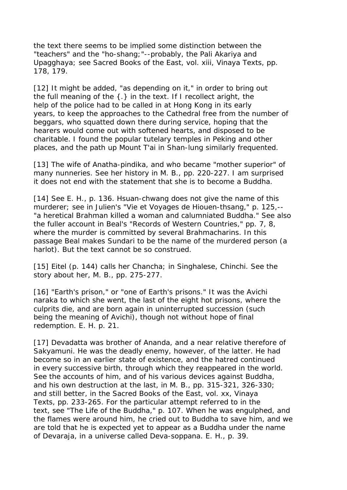the text there seems to be implied some distinction between the "teachers" and the "ho-shang;"--probably, the Pali Akariya and Upagghaya; see Sacred Books of the East, vol. xiii, Vinaya Texts, pp. 178, 179.

[12] It might be added, "as depending on it," in order to bring out the full meaning of the {.} in the text. If I recollect aright, the help of the police had to be called in at Hong Kong in its early years, to keep the approaches to the Cathedral free from the number of beggars, who squatted down there during service, hoping that the hearers would come out with softened hearts, and disposed to be charitable. I found the popular tutelary temples in Peking and other places, and the path up Mount T'ai in Shan-lung similarly frequented.

[13] The wife of Anatha-pindika, and who became "mother superior" of many nunneries. See her history in M. B., pp. 220-227. I am surprised it does not end with the statement that she is to become a Buddha.

[14] See E. H., p. 136. Hsuan-chwang does not give the name of this murderer; see in Julien's "Vie et Voyages de Hiouen-thsang," p. 125,-- "a heretical Brahman killed a woman and calumniated Buddha." See also the fuller account in Beal's "Records of Western Countries," pp. 7, 8, where the murder is committed by several Brahmacharins. In this passage Beal makes Sundari to be the name of the murdered person (a harlot). But the text cannot be so construed.

[15] Eitel (p. 144) calls her Chancha; in Singhalese, Chinchi. See the story about her, M. B., pp. 275-277.

[16] "Earth's prison," or "one of Earth's prisons." It was the Avichi naraka to which she went, the last of the eight hot prisons, where the culprits die, and are born again in uninterrupted succession (such being the meaning of Avichi), though not without hope of final redemption. E. H. p. 21.

[17] Devadatta was brother of Ananda, and a near relative therefore of Sakyamuni. He was the deadly enemy, however, of the latter. He had become so in an earlier state of existence, and the hatred continued in every successive birth, through which they reappeared in the world. See the accounts of him, and of his various devices against Buddha, and his own destruction at the last, in M. B., pp. 315-321, 326-330; and still better, in the Sacred Books of the East, vol. xx, Vinaya Texts, pp. 233-265. For the particular attempt referred to in the text, see "The Life of the Buddha," p. 107. When he was engulphed, and the flames were around him, he cried out to Buddha to save him, and we are told that he is expected yet to appear as a Buddha under the name of Devaraja, in a universe called Deva-soppana. E. H., p. 39.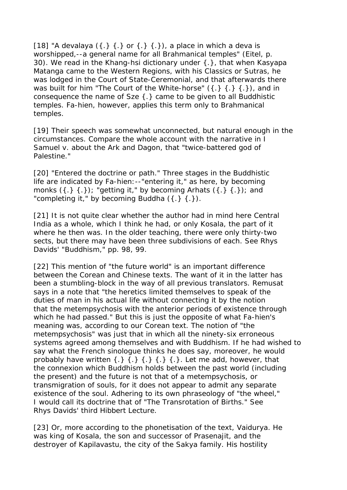[18] "A devalaya  $({.} }$   $({.} }$  or  ${.}$   $({.} }$   $({.} })$ , a place in which a deva is worshipped,--a general name for all Brahmanical temples" (Eitel, p. 30). We read in the Khang-hsi dictionary under {.}, that when Kasyapa Matanga came to the Western Regions, with his Classics or Sutras, he was lodged in the Court of State-Ceremonial, and that afterwards there was built for him "The Court of the White-horse"  $({.} 3,{.} 3,{.} 1)$ , and in consequence the name of Sze {.} came to be given to all Buddhistic temples. Fa-hien, however, applies this term only to Brahmanical temples.

[19] Their speech was somewhat unconnected, but natural enough in the circumstances. Compare the whole account with the narrative in I Samuel v. about the Ark and Dagon, that "twice-battered god of Palestine."

[20] "Entered the doctrine or path." Three stages in the Buddhistic life are indicated by Fa-hien:--"entering it," as here, by becoming monks  $({.} {.} {.} )$ ; "getting it," by becoming Arhats  $({.} {.} {.} {.} )$ ; and "completing it," by becoming Buddha  $({.}~;~;~).$ 

[21] It is not quite clear whether the author had in mind here Central India as a whole, which I think he had, or only Kosala, the part of it where he then was. In the older teaching, there were only thirty-two sects, but there may have been three subdivisions of each. See Rhys Davids' "Buddhism," pp. 98, 99.

[22] This mention of "the future world" is an important difference between the Corean and Chinese texts. The want of it in the latter has been a stumbling-block in the way of all previous translators. Remusat says in a note that "the heretics limited themselves to speak of the duties of man in his actual life without connecting it by the notion that the metempsychosis with the anterior periods of existence through which he had passed." But this is just the opposite of what Fa-hien's meaning was, according to our Corean text. The notion of "the metempsychosis" was just that in which all the ninety-six erroneous systems agreed among themselves and with Buddhism. If he had wished to say what the French sinologue thinks he does say, moreover, he would probably have written  $\{.\}$   $\{.\}$   $\{.\}$   $\{.\}$   $\{.\}$ . Let me add, however, that the connexion which Buddhism holds between the past world (including the present) and the future is not that of a metempsychosis, or transmigration of souls, for it does not appear to admit any separate existence of the soul. Adhering to its own phraseology of "the wheel," I would call its doctrine that of "The Transrotation of Births." See Rhys Davids' third Hibbert Lecture.

[23] Or, more according to the phonetisation of the text, Vaidurya. He was king of Kosala, the son and successor of Prasenajit, and the destroyer of Kapilavastu, the city of the Sakya family. His hostility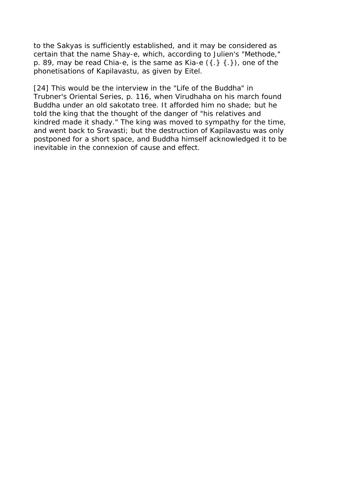to the Sakyas is sufficiently established, and it may be considered as certain that the name Shay-e, which, according to Julien's "Methode," p. 89, may be read Chia-e, is the same as Kia-e  $({.}~;~;~;~).$  one of the phonetisations of Kapilavastu, as given by Eitel.

[24] This would be the interview in the "Life of the Buddha" in Trubner's Oriental Series, p. 116, when Virudhaha on his march found Buddha under an old sakotato tree. It afforded him no shade; but he told the king that the thought of the danger of "his relatives and kindred made it shady." The king was moved to sympathy for the time, and went back to Sravasti; but the destruction of Kapilavastu was only postponed for a short space, and Buddha himself acknowledged it to be inevitable in the connexion of cause and effect.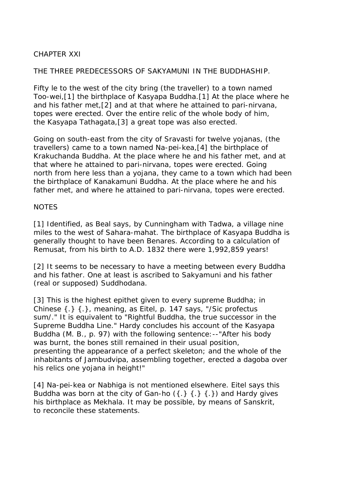# CHAPTER XXI

## THE THREE PREDECESSORS OF SAKYAMUNI IN THE BUDDHASHIP.

Fifty le to the west of the city bring (the traveller) to a town named Too-wei,[1] the birthplace of Kasyapa Buddha.[1] At the place where he and his father met,[2] and at that where he attained to pari-nirvana, topes were erected. Over the entire relic of the whole body of him, the Kasyapa Tathagata,[3] a great tope was also erected.

Going on south-east from the city of Sravasti for twelve yojanas, (the travellers) came to a town named Na-pei-kea,[4] the birthplace of Krakuchanda Buddha. At the place where he and his father met, and at that where he attained to pari-nirvana, topes were erected. Going north from here less than a yojana, they came to a town which had been the birthplace of Kanakamuni Buddha. At the place where he and his father met, and where he attained to pari-nirvana, topes were erected.

## **NOTES**

[1] Identified, as Beal says, by Cunningham with Tadwa, a village nine miles to the west of Sahara-mahat. The birthplace of Kasyapa Buddha is generally thought to have been Benares. According to a calculation of Remusat, from his birth to A.D. 1832 there were 1,992,859 years!

[2] It seems to be necessary to have a meeting between every Buddha and his father. One at least is ascribed to Sakyamuni and his father (real or supposed) Suddhodana.

[3] This is the highest epithet given to every supreme Buddha; in Chinese {.} {.}, meaning, as Eitel, p. 147 says, "/Sic profectus sum/." It is equivalent to "Rightful Buddha, the true successor in the Supreme Buddha Line." Hardy concludes his account of the Kasyapa Buddha (M. B., p. 97) with the following sentence:--"After his body was burnt, the bones still remained in their usual position, presenting the appearance of a perfect skeleton; and the whole of the inhabitants of Jambudvipa, assembling together, erected a dagoba over his relics one yojana in height!"

[4] Na-pei-kea or Nabhiga is not mentioned elsewhere. Eitel says this Buddha was born at the city of Gan-ho  $({.} \} {.} \} {.})$  and Hardy gives his birthplace as Mekhala. It may be possible, by means of Sanskrit, to reconcile these statements.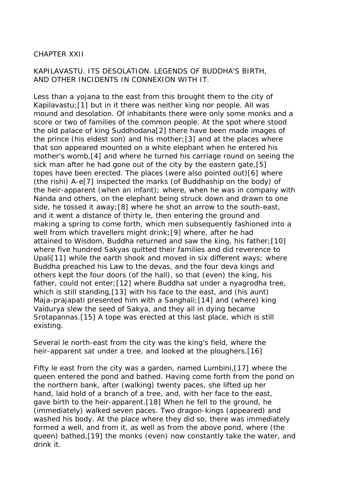# CHAPTER XXII

# KAPILAVASTU. ITS DESOLATION. LEGENDS OF BUDDHA'S BIRTH, AND OTHER INCIDENTS IN CONNEXION WITH IT.

Less than a yojana to the east from this brought them to the city of Kapilavastu;[1] but in it there was neither king nor people. All was mound and desolation. Of inhabitants there were only some monks and a score or two of families of the common people. At the spot where stood the old palace of king Suddhodana[2] there have been made images of the prince (his eldest son) and his mother;[3] and at the places where that son appeared mounted on a white elephant when he entered his mother's womb,[4] and where he turned his carriage round on seeing the sick man after he had gone out of the city by the eastern gate,[5] topes have been erected. The places (were also pointed out)[6] where (the rishi) A-e[7] inspected the marks (of Buddhaship on the body) of the heir-apparent (when an infant); where, when he was in company with Nanda and others, on the elephant being struck down and drawn to one side, he tossed it away;[8] where he shot an arrow to the south-east, and it went a distance of thirty le, then entering the ground and making a spring to come forth, which men subsequently fashioned into a well from which travellers might drink;[9] where, after he had attained to Wisdom, Buddha returned and saw the king, his father;[10] where five hundred Sakyas quitted their families and did reverence to Upali[11] while the earth shook and moved in six different ways; where Buddha preached his Law to the devas, and the four deva kings and others kept the four doors (of the hall), so that (even) the king, his father, could not enter;[12] where Buddha sat under a nyagrodha tree, which is still standing,[13] with his face to the east, and (his aunt) Maja-prajapati presented him with a Sanghali;[14] and (where) king Vaidurya slew the seed of Sakya, and they all in dying became Srotapannas.[15] A tope was erected at this last place, which is still existing.

Several le north-east from the city was the king's field, where the heir-apparent sat under a tree, and looked at the ploughers.[16]

Fifty le east from the city was a garden, named Lumbini,[17] where the queen entered the pond and bathed. Having come forth from the pond on the northern bank, after (walking) twenty paces, she lifted up her hand, laid hold of a branch of a tree, and, with her face to the east, gave birth to the heir-apparent.[18] When he fell to the ground, he (immediately) walked seven paces. Two dragon-kings (appeared) and washed his body. At the place where they did so, there was immediately formed a well, and from it, as well as from the above pond, where (the queen) bathed,[19] the monks (even) now constantly take the water, and drink it.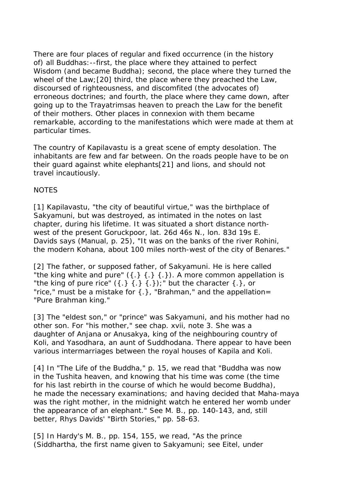There are four places of regular and fixed occurrence (in the history of) all Buddhas:--first, the place where they attained to perfect Wisdom (and became Buddha); second, the place where they turned the wheel of the Law;[20] third, the place where they preached the Law, discoursed of righteousness, and discomfited (the advocates of) erroneous doctrines; and fourth, the place where they came down, after going up to the Trayatrimsas heaven to preach the Law for the benefit of their mothers. Other places in connexion with them became remarkable, according to the manifestations which were made at them at particular times.

The country of Kapilavastu is a great scene of empty desolation. The inhabitants are few and far between. On the roads people have to be on their guard against white elephants[21] and lions, and should not travel incautiously.

## **NOTES**

[1] Kapilavastu, "the city of beautiful virtue," was the birthplace of Sakyamuni, but was destroyed, as intimated in the notes on last chapter, during his lifetime. It was situated a short distance northwest of the present Goruckpoor, lat. 26d 46s N., lon. 83d 19s E. Davids says (Manual, p. 25), "It was on the banks of the river Rohini, the modern Kohana, about 100 miles north-west of the city of Benares."

[2] The father, or supposed father, of Sakyamuni. He is here called "the king white and pure"  $({).}$   ${).}$   ${).}$  A more common appellation is "the king of pure rice"  $({.} } , {{.} } , {{.} } , {{.} }$ " but the character  ${.}$ , or "rice," must be a mistake for  $\{\cdot\}$ , "Brahman," and the appellation= "Pure Brahman king."

[3] The "eldest son," or "prince" was Sakyamuni, and his mother had no other son. For "his mother," see chap. xvii, note 3. She was a daughter of Anjana or Anusakya, king of the neighbouring country of Koli, and Yasodhara, an aunt of Suddhodana. There appear to have been various intermarriages between the royal houses of Kapila and Koli.

[4] In "The Life of the Buddha," p. 15, we read that "Buddha was now in the Tushita heaven, and knowing that his time was come (the time for his last rebirth in the course of which he would become Buddha), he made the necessary examinations; and having decided that Maha-maya was the right mother, in the midnight watch he entered her womb under the appearance of an elephant." See M. B., pp. 140-143, and, still better, Rhys Davids' "Birth Stories," pp. 58-63.

[5] In Hardy's M. B., pp. 154, 155, we read, "As the prince (Siddhartha, the first name given to Sakyamuni; see Eitel, under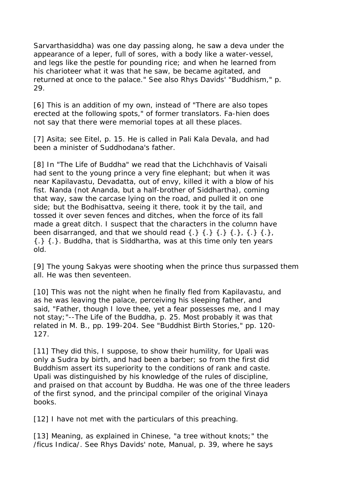Sarvarthasiddha) was one day passing along, he saw a deva under the appearance of a leper, full of sores, with a body like a water-vessel, and legs like the pestle for pounding rice; and when he learned from his charioteer what it was that he saw, be became agitated, and returned at once to the palace." See also Rhys Davids' "Buddhism," p. 29.

[6] This is an addition of my own, instead of "There are also topes erected at the following spots," of former translators. Fa-hien does not say that there were memorial topes at all these places.

[7] Asita; see Eitel, p. 15. He is called in Pali Kala Devala, and had been a minister of Suddhodana's father.

[8] In "The Life of Buddha" we read that the Lichchhavis of Vaisali had sent to the young prince a very fine elephant; but when it was near Kapilavastu, Devadatta, out of envy, killed it with a blow of his fist. Nanda (not Ananda, but a half-brother of Siddhartha), coming that way, saw the carcase lying on the road, and pulled it on one side; but the Bodhisattva, seeing it there, took it by the tail, and tossed it over seven fences and ditches, when the force of its fall made a great ditch. I suspect that the characters in the column have been disarranged, and that we should read  $\{.\}$   $\{.\}$   $\{.\}$   $\{.\}$   $\{.\}$   $\{.\}$ {.} {.}. Buddha, that is Siddhartha, was at this time only ten years old.

[9] The young Sakyas were shooting when the prince thus surpassed them all. He was then seventeen.

[10] This was not the night when he finally fled from Kapilavastu, and as he was leaving the palace, perceiving his sleeping father, and said, "Father, though I love thee, yet a fear possesses me, and I may not stay;"--The Life of the Buddha, p. 25. Most probably it was that related in M. B., pp. 199-204. See "Buddhist Birth Stories," pp. 120- 127.

[11] They did this, I suppose, to show their humility, for Upali was only a Sudra by birth, and had been a barber; so from the first did Buddhism assert its superiority to the conditions of rank and caste. Upali was distinguished by his knowledge of the rules of discipline, and praised on that account by Buddha. He was one of the three leaders of the first synod, and the principal compiler of the original Vinaya books.

[12] I have not met with the particulars of this preaching.

[13] Meaning, as explained in Chinese, "a tree without knots;" the /ficus Indica/. See Rhys Davids' note, Manual, p. 39, where he says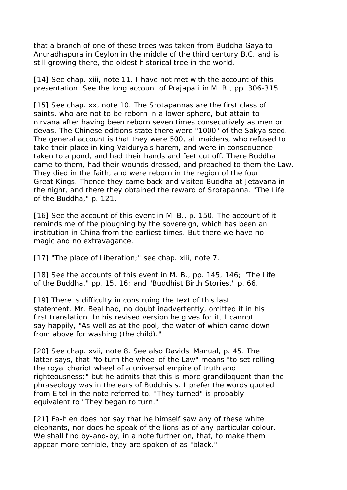that a branch of one of these trees was taken from Buddha Gaya to Anuradhapura in Ceylon in the middle of the third century B.C, and is still growing there, the oldest historical tree in the world.

[14] See chap. xiii, note 11. I have not met with the account of this presentation. See the long account of Prajapati in M. B., pp. 306-315.

[15] See chap. xx, note 10. The Srotapannas are the first class of saints, who are not to be reborn in a lower sphere, but attain to nirvana after having been reborn seven times consecutively as men or devas. The Chinese editions state there were "1000" of the Sakya seed. The general account is that they were 500, all maidens, who refused to take their place in king Vaidurya's harem, and were in consequence taken to a pond, and had their hands and feet cut off. There Buddha came to them, had their wounds dressed, and preached to them the Law. They died in the faith, and were reborn in the region of the four Great Kings. Thence they came back and visited Buddha at Jetavana in the night, and there they obtained the reward of Srotapanna. "The Life of the Buddha," p. 121.

[16] See the account of this event in M. B., p. 150. The account of it reminds me of the ploughing by the sovereign, which has been an institution in China from the earliest times. But there we have no magic and no extravagance.

[17] "The place of Liberation;" see chap. xiii, note 7.

[18] See the accounts of this event in M. B., pp. 145, 146; "The Life" of the Buddha," pp. 15, 16; and "Buddhist Birth Stories," p. 66.

[19] There is difficulty in construing the text of this last statement. Mr. Beal had, no doubt inadvertently, omitted it in his first translation. In his revised version he gives for it, I cannot say happily, "As well as at the pool, the water of which came down from above for washing (the child)."

[20] See chap. xvii, note 8. See also Davids' Manual, p. 45. The latter says, that "to turn the wheel of the Law" means "to set rolling the royal chariot wheel of a universal empire of truth and righteousness;" but he admits that this is more grandiloquent than the phraseology was in the ears of Buddhists. I prefer the words quoted from Eitel in the note referred to. "They turned" is probably equivalent to "They began to turn."

[21] Fa-hien does not say that he himself saw any of these white elephants, nor does he speak of the lions as of any particular colour. We shall find by-and-by, in a note further on, that, to make them appear more terrible, they are spoken of as "black."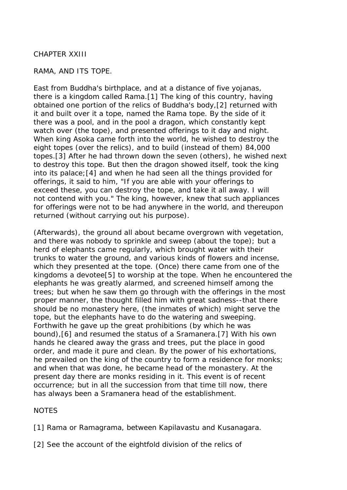## CHAPTER XXIII

## RAMA, AND ITS TOPE.

East from Buddha's birthplace, and at a distance of five yojanas, there is a kingdom called Rama.[1] The king of this country, having obtained one portion of the relics of Buddha's body,[2] returned with it and built over it a tope, named the Rama tope. By the side of it there was a pool, and in the pool a dragon, which constantly kept watch over (the tope), and presented offerings to it day and night. When king Asoka came forth into the world, he wished to destroy the eight topes (over the relics), and to build (instead of them) 84,000 topes.[3] After he had thrown down the seven (others), he wished next to destroy this tope. But then the dragon showed itself, took the king into its palace;[4] and when he had seen all the things provided for offerings, it said to him, "If you are able with your offerings to exceed these, you can destroy the tope, and take it all away. I will not contend with you." The king, however, knew that such appliances for offerings were not to be had anywhere in the world, and thereupon returned (without carrying out his purpose).

(Afterwards), the ground all about became overgrown with vegetation, and there was nobody to sprinkle and sweep (about the tope); but a herd of elephants came regularly, which brought water with their trunks to water the ground, and various kinds of flowers and incense, which they presented at the tope. (Once) there came from one of the kingdoms a devotee[5] to worship at the tope. When he encountered the elephants he was greatly alarmed, and screened himself among the trees; but when he saw them go through with the offerings in the most proper manner, the thought filled him with great sadness--that there should be no monastery here, (the inmates of which) might serve the tope, but the elephants have to do the watering and sweeping. Forthwith he gave up the great prohibitions (by which he was bound),[6] and resumed the status of a Sramanera.[7] With his own hands he cleared away the grass and trees, put the place in good order, and made it pure and clean. By the power of his exhortations, he prevailed on the king of the country to form a residence for monks; and when that was done, he became head of the monastery. At the present day there are monks residing in it. This event is of recent occurrence; but in all the succession from that time till now, there has always been a Sramanera head of the establishment.

### **NOTES**

[1] Rama or Ramagrama, between Kapilavastu and Kusanagara.

[2] See the account of the eightfold division of the relics of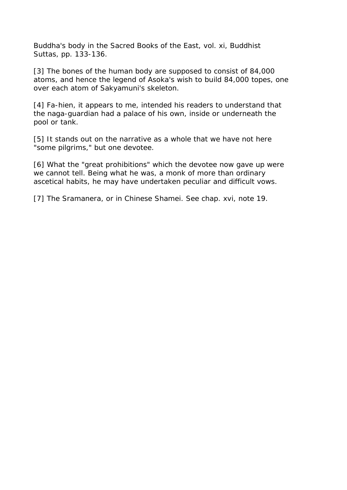Buddha's body in the Sacred Books of the East, vol. xi, Buddhist Suttas, pp. 133-136.

[3] The bones of the human body are supposed to consist of 84,000 atoms, and hence the legend of Asoka's wish to build 84,000 topes, one over each atom of Sakyamuni's skeleton.

[4] Fa-hien, it appears to me, intended his readers to understand that the naga-guardian had a palace of his own, inside or underneath the pool or tank.

[5] It stands out on the narrative as a whole that we have not here "some pilgrims," but one devotee.

[6] What the "great prohibitions" which the devotee now gave up were we cannot tell. Being what he was, a monk of more than ordinary ascetical habits, he may have undertaken peculiar and difficult vows.

[7] The Sramanera, or in Chinese Shamei. See chap. xvi, note 19.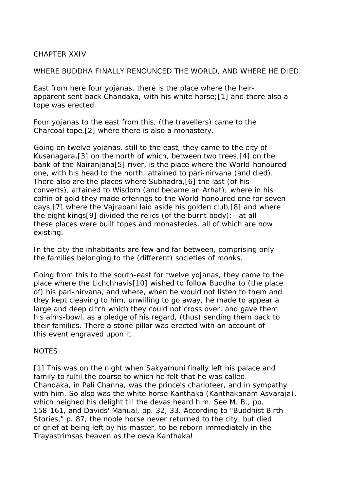## CHAPTER XXIV

WHERE BUDDHA FINALLY RENOUNCED THE WORLD, AND WHERE HE DIED.

East from here four yojanas, there is the place where the heirapparent sent back Chandaka, with his white horse;[1] and there also a tope was erected.

Four yojanas to the east from this, (the travellers) came to the Charcoal tope,[2] where there is also a monastery.

Going on twelve yojanas, still to the east, they came to the city of Kusanagara,[3] on the north of which, between two trees,[4] on the bank of the Nairanjana[5] river, is the place where the World-honoured one, with his head to the north, attained to pari-nirvana (and died). There also are the places where Subhadra,[6] the last (of his converts), attained to Wisdom (and became an Arhat); where in his coffin of gold they made offerings to the World-honoured one for seven days,[7] where the Vajrapani laid aside his golden club,[8] and where the eight kings[9] divided the relics (of the burnt body):--at all these places were built topes and monasteries, all of which are now existing.

In the city the inhabitants are few and far between, comprising only the families belonging to the (different) societies of monks.

Going from this to the south-east for twelve yojanas, they came to the place where the Lichchhavis[10] wished to follow Buddha to (the place of) his pari-nirvana, and where, when he would not listen to them and they kept cleaving to him, unwilling to go away, he made to appear a large and deep ditch which they could not cross over, and gave them his alms-bowl, as a pledge of his regard, (thus) sending them back to their families. There a stone pillar was erected with an account of this event engraved upon it.

# **NOTES**

[1] This was on the night when Sakyamuni finally left his palace and family to fulfil the course to which he felt that he was called. Chandaka, in Pali Channa, was the prince's charioteer, and in sympathy with him. So also was the white horse Kanthaka (Kanthakanam Asvaraja), which neighed his delight till the devas heard him. See M. B., pp. 158-161, and Davids' Manual, pp. 32, 33. According to "Buddhist Birth Stories," p. 87, the noble horse never returned to the city, but died of grief at being left by his master, to be reborn immediately in the Trayastrimsas heaven as the deva Kanthaka!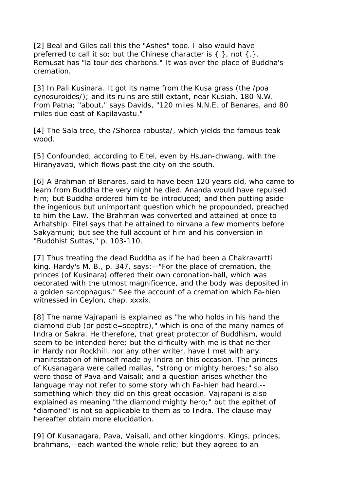[2] Beal and Giles call this the "Ashes" tope. I also would have preferred to call it so; but the Chinese character is  $\{\cdot\}$ , not  $\{\cdot\}$ . Remusat has "la tour des charbons." It was over the place of Buddha's cremation.

[3] In Pali Kusinara. It got its name from the Kusa grass (the /poa cynosuroides/); and its ruins are still extant, near Kusiah, 180 N.W. from Patna; "about," says Davids, "120 miles N.N.E. of Benares, and 80 miles due east of Kapilavastu."

[4] The Sala tree, the /Shorea robusta/, which yields the famous teak wood.

[5] Confounded, according to Eitel, even by Hsuan-chwang, with the Hiranyavati, which flows past the city on the south.

[6] A Brahman of Benares, said to have been 120 years old, who came to learn from Buddha the very night he died. Ananda would have repulsed him; but Buddha ordered him to be introduced; and then putting aside the ingenious but unimportant question which he propounded, preached to him the Law. The Brahman was converted and attained at once to Arhatship. Eitel says that he attained to nirvana a few moments before Sakyamuni; but see the full account of him and his conversion in "Buddhist Suttas," p. 103-110.

[7] Thus treating the dead Buddha as if he had been a Chakravartti king. Hardy's M. B., p. 347, says:--"For the place of cremation, the princes (of Kusinara) offered their own coronation-hall, which was decorated with the utmost magnificence, and the body was deposited in a golden sarcophagus." See the account of a cremation which Fa-hien witnessed in Ceylon, chap. xxxix.

[8] The name Vajrapani is explained as "he who holds in his hand the diamond club (or pestle=sceptre)," which is one of the many names of Indra or Sakra. He therefore, that great protector of Buddhism, would seem to be intended here; but the difficulty with me is that neither in Hardy nor Rockhill, nor any other writer, have I met with any manifestation of himself made by Indra on this occasion. The princes of Kusanagara were called mallas, "strong or mighty heroes;" so also were those of Pava and Vaisali; and a question arises whether the language may not refer to some story which Fa-hien had heard,- something which they did on this great occasion. Vajrapani is also explained as meaning "the diamond mighty hero;" but the epithet of "diamond" is not so applicable to them as to Indra. The clause may hereafter obtain more elucidation.

[9] Of Kusanagara, Pava, Vaisali, and other kingdoms. Kings, princes, brahmans,--each wanted the whole relic; but they agreed to an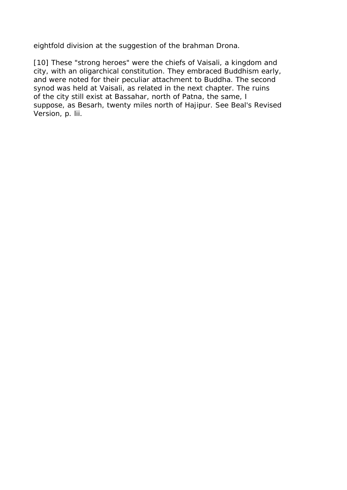eightfold division at the suggestion of the brahman Drona.

[10] These "strong heroes" were the chiefs of Vaisali, a kingdom and city, with an oligarchical constitution. They embraced Buddhism early, and were noted for their peculiar attachment to Buddha. The second synod was held at Vaisali, as related in the next chapter. The ruins of the city still exist at Bassahar, north of Patna, the same, I suppose, as Besarh, twenty miles north of Hajipur. See Beal's Revised Version, p. lii.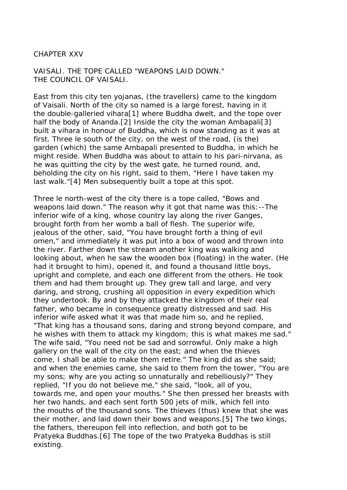CHAPTER XXV

VAISALI. THE TOPE CALLED "WEAPONS LAID DOWN." THE COUNCIL OF VAISALI.

East from this city ten yojanas, (the travellers) came to the kingdom of Vaisali. North of the city so named is a large forest, having in it the double-galleried vihara[1] where Buddha dwelt, and the tope over half the body of Ananda.[2] Inside the city the woman Ambapali[3] built a vihara in honour of Buddha, which is now standing as it was at first. Three le south of the city, on the west of the road, (is the) garden (which) the same Ambapali presented to Buddha, in which he might reside. When Buddha was about to attain to his pari-nirvana, as he was quitting the city by the west gate, he turned round, and, beholding the city on his right, said to them, "Here I have taken my last walk."[4] Men subsequently built a tope at this spot.

Three le north-west of the city there is a tope called, "Bows and weapons laid down." The reason why it got that name was this:--The inferior wife of a king, whose country lay along the river Ganges, brought forth from her womb a ball of flesh. The superior wife, jealous of the other, said, "You have brought forth a thing of evil omen," and immediately it was put into a box of wood and thrown into the river. Farther down the stream another king was walking and looking about, when he saw the wooden box (floating) in the water. (He had it brought to him), opened it, and found a thousand little boys, upright and complete, and each one different from the others. He took them and had them brought up. They grew tall and large, and very daring, and strong, crushing all opposition in every expedition which they undertook. By and by they attacked the kingdom of their real father, who became in consequence greatly distressed and sad. His inferior wife asked what it was that made him so, and he replied, "That king has a thousand sons, daring and strong beyond compare, and he wishes with them to attack my kingdom; this is what makes me sad." The wife said, "You need not be sad and sorrowful. Only make a high gallery on the wall of the city on the east; and when the thieves come, I shall be able to make them retire." The king did as she said; and when the enemies came, she said to them from the tower, "You are my sons; why are you acting so unnaturally and rebelliously?" They replied, "If you do not believe me," she said, "look, all of you, towards me, and open your mouths." She then pressed her breasts with her two hands, and each sent forth 500 jets of milk, which fell into the mouths of the thousand sons. The thieves (thus) knew that she was their mother, and laid down their bows and weapons.[5] The two kings, the fathers, thereupon fell into reflection, and both got to be Pratyeka Buddhas.[6] The tope of the two Pratyeka Buddhas is still existing.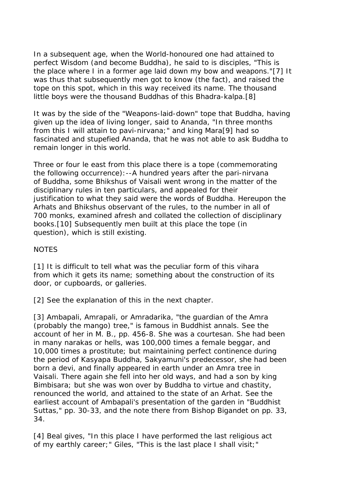In a subsequent age, when the World-honoured one had attained to perfect Wisdom (and become Buddha), he said to is disciples, "This is the place where I in a former age laid down my bow and weapons."[7] It was thus that subsequently men got to know (the fact), and raised the tope on this spot, which in this way received its name. The thousand little boys were the thousand Buddhas of this Bhadra-kalpa.[8]

It was by the side of the "Weapons-laid-down" tope that Buddha, having given up the idea of living longer, said to Ananda, "In three months from this I will attain to pavi-nirvana;" and king Mara[9] had so fascinated and stupefied Ananda, that he was not able to ask Buddha to remain longer in this world.

Three or four le east from this place there is a tope (commemorating the following occurrence):--A hundred years after the pari-nirvana of Buddha, some Bhikshus of Vaisali went wrong in the matter of the disciplinary rules in ten particulars, and appealed for their justification to what they said were the words of Buddha. Hereupon the Arhats and Bhikshus observant of the rules, to the number in all of 700 monks, examined afresh and collated the collection of disciplinary books.[10] Subsequently men built at this place the tope (in question), which is still existing.

### **NOTES**

[1] It is difficult to tell what was the peculiar form of this vihara from which it gets its name; something about the construction of its door, or cupboards, or galleries.

[2] See the explanation of this in the next chapter.

[3] Ambapali, Amrapali, or Amradarika, "the quardian of the Amra (probably the mango) tree," is famous in Buddhist annals. See the account of her in M. B., pp. 456-8. She was a courtesan. She had been in many narakas or hells, was 100,000 times a female beggar, and 10,000 times a prostitute; but maintaining perfect continence during the period of Kasyapa Buddha, Sakyamuni's predecessor, she had been born a devi, and finally appeared in earth under an Amra tree in Vaisali. There again she fell into her old ways, and had a son by king Bimbisara; but she was won over by Buddha to virtue and chastity, renounced the world, and attained to the state of an Arhat. See the earliest account of Ambapali's presentation of the garden in "Buddhist Suttas," pp. 30-33, and the note there from Bishop Bigandet on pp. 33, 34.

[4] Beal gives, "In this place I have performed the last religious act of my earthly career;" Giles, "This is the last place I shall visit;"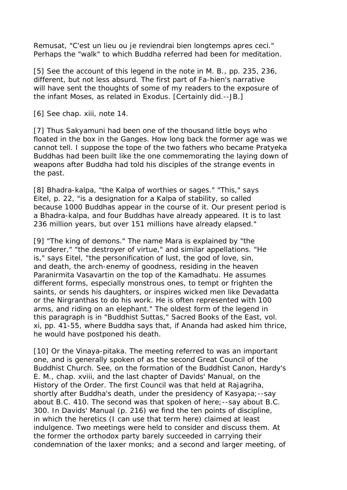Remusat, "C'est un lieu ou je reviendrai bien longtemps apres ceci." Perhaps the "walk" to which Buddha referred had been for meditation.

[5] See the account of this legend in the note in M. B., pp. 235, 236, different, but not less absurd. The first part of Fa-hien's narrative will have sent the thoughts of some of my readers to the exposure of the infant Moses, as related in Exodus. [Certainly did.--JB.]

[6] See chap. xiii, note 14.

[7] Thus Sakyamuni had been one of the thousand little boys who floated in the box in the Ganges. How long back the former age was we cannot tell. I suppose the tope of the two fathers who became Pratyeka Buddhas had been built like the one commemorating the laying down of weapons after Buddha had told his disciples of the strange events in the past.

[8] Bhadra-kalpa, "the Kalpa of worthies or sages." "This," says Eitel, p. 22, "is a designation for a Kalpa of stability, so called because 1000 Buddhas appear in the course of it. Our present period is a Bhadra-kalpa, and four Buddhas have already appeared. It is to last 236 million years, but over 151 millions have already elapsed."

[9] "The king of demons." The name Mara is explained by "the murderer," "the destroyer of virtue," and similar appellations. "He is," says Eitel, "the personification of lust, the god of love, sin, and death, the arch-enemy of goodness, residing in the heaven Paranirmita Vasavartin on the top of the Kamadhatu. He assumes different forms, especially monstrous ones, to tempt or frighten the saints, or sends his daughters, or inspires wicked men like Devadatta or the Nirgranthas to do his work. He is often represented with 100 arms, and riding on an elephant." The oldest form of the legend in this paragraph is in "Buddhist Suttas," Sacred Books of the East, vol. xi, pp. 41-55, where Buddha says that, if Ananda had asked him thrice, he would have postponed his death.

[10] Or the Vinaya-pitaka. The meeting referred to was an important one, and is generally spoken of as the second Great Council of the Buddhist Church. See, on the formation of the Buddhist Canon, Hardy's E. M., chap. xviii, and the last chapter of Davids' Manual, on the History of the Order. The first Council was that held at Rajagriha, shortly after Buddha's death, under the presidency of Kasyapa;--say about B.C. 410. The second was that spoken of here;--say about B.C. 300. In Davids' Manual (p. 216) we find the ten points of discipline, in which the heretics (I can use that term here) claimed at least indulgence. Two meetings were held to consider and discuss them. At the former the orthodox party barely succeeded in carrying their condemnation of the laxer monks; and a second and larger meeting, of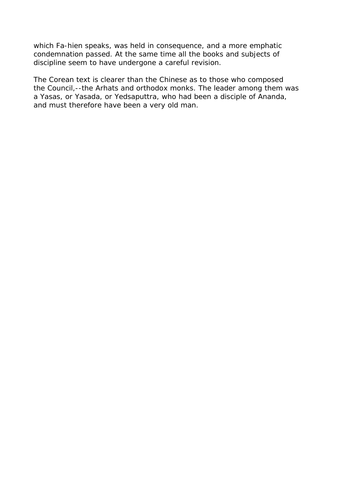which Fa-hien speaks, was held in consequence, and a more emphatic condemnation passed. At the same time all the books and subjects of discipline seem to have undergone a careful revision.

The Corean text is clearer than the Chinese as to those who composed the Council,--the Arhats and orthodox monks. The leader among them was a Yasas, or Yasada, or Yedsaputtra, who had been a disciple of Ananda, and must therefore have been a very old man.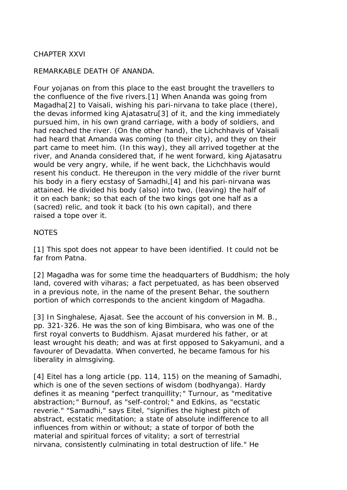# CHAPTER XXVI

## REMARKABLE DEATH OF ANANDA.

Four yojanas on from this place to the east brought the travellers to the confluence of the five rivers.[1] When Ananda was going from Magadha<sup>[2]</sup> to Vaisali, wishing his pari-nirvana to take place (there), the devas informed king Ajatasatru[3] of it, and the king immediately pursued him, in his own grand carriage, with a body of soldiers, and had reached the river. (On the other hand), the Lichchhavis of Vaisali had heard that Amanda was coming (to their city), and they on their part came to meet him. (In this way), they all arrived together at the river, and Ananda considered that, if he went forward, king Ajatasatru would be very angry, while, if he went back, the Lichchhavis would resent his conduct. He thereupon in the very middle of the river burnt his body in a fiery ecstasy of Samadhi,[4] and his pari-nirvana was attained. He divided his body (also) into two, (leaving) the half of it on each bank; so that each of the two kings got one half as a (sacred) relic, and took it back (to his own capital), and there raised a tope over it.

### **NOTES**

[1] This spot does not appear to have been identified. It could not be far from Patna.

[2] Magadha was for some time the headquarters of Buddhism; the holy land, covered with viharas; a fact perpetuated, as has been observed in a previous note, in the name of the present Behar, the southern portion of which corresponds to the ancient kingdom of Magadha.

[3] In Singhalese, Ajasat. See the account of his conversion in M. B., pp. 321-326. He was the son of king Bimbisara, who was one of the first royal converts to Buddhism. Ajasat murdered his father, or at least wrought his death; and was at first opposed to Sakyamuni, and a favourer of Devadatta. When converted, he became famous for his liberality in almsgiving.

[4] Eitel has a long article (pp. 114, 115) on the meaning of Samadhi, which is one of the seven sections of wisdom (bodhyanga). Hardy defines it as meaning "perfect tranquillity;" Turnour, as "meditative abstraction;" Burnouf, as "self-control;" and Edkins, as "ecstatic reverie." "Samadhi," says Eitel, "signifies the highest pitch of abstract, ecstatic meditation; a state of absolute indifference to all influences from within or without; a state of torpor of both the material and spiritual forces of vitality; a sort of terrestrial nirvana, consistently culminating in total destruction of life." He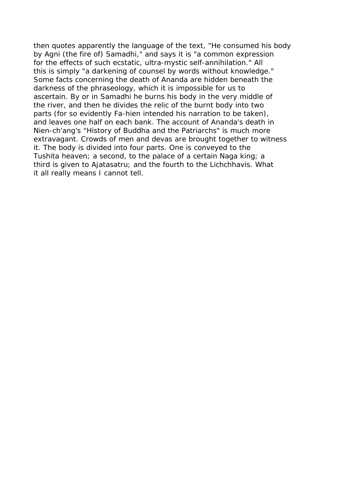then quotes apparently the language of the text, "He consumed his body by Agni (the fire of) Samadhi," and says it is "a common expression for the effects of such ecstatic, ultra-mystic self-annihilation." All this is simply "a darkening of counsel by words without knowledge." Some facts concerning the death of Ananda are hidden beneath the darkness of the phraseology, which it is impossible for us to ascertain. By or in Samadhi he burns his body in the very middle of the river, and then he divides the relic of the burnt body into two parts (for so evidently Fa-hien intended his narration to be taken), and leaves one half on each bank. The account of Ananda's death in Nien-ch'ang's "History of Buddha and the Patriarchs" is much more extravagant. Crowds of men and devas are brought together to witness it. The body is divided into four parts. One is conveyed to the Tushita heaven; a second, to the palace of a certain Naga king; a third is given to Ajatasatru; and the fourth to the Lichchhavis. What it all really means I cannot tell.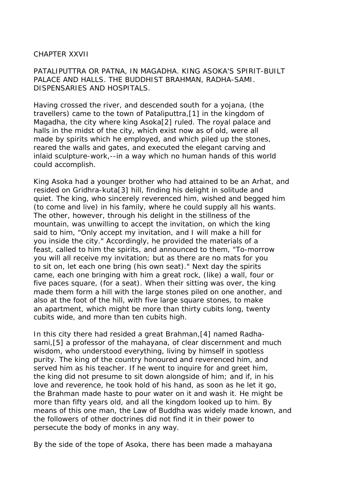## CHAPTER XXVII

PATALIPUTTRA OR PATNA, IN MAGADHA. KING ASOKA'S SPIRIT-BUILT PALACE AND HALLS. THE BUDDHIST BRAHMAN, RADHA-SAMI. DISPENSARIES AND HOSPITALS.

Having crossed the river, and descended south for a yojana, (the travellers) came to the town of Pataliputtra,[1] in the kingdom of Magadha, the city where king Asoka[2] ruled. The royal palace and halls in the midst of the city, which exist now as of old, were all made by spirits which he employed, and which piled up the stones, reared the walls and gates, and executed the elegant carving and inlaid sculpture-work,--in a way which no human hands of this world could accomplish.

King Asoka had a younger brother who had attained to be an Arhat, and resided on Gridhra-kuta[3] hill, finding his delight in solitude and quiet. The king, who sincerely reverenced him, wished and begged him (to come and live) in his family, where he could supply all his wants. The other, however, through his delight in the stillness of the mountain, was unwilling to accept the invitation, on which the king said to him, "Only accept my invitation, and I will make a hill for you inside the city." Accordingly, he provided the materials of a feast, called to him the spirits, and announced to them, "To-morrow you will all receive my invitation; but as there are no mats for you to sit on, let each one bring (his own seat)." Next day the spirits came, each one bringing with him a great rock, (like) a wall, four or five paces square, (for a seat). When their sitting was over, the king made them form a hill with the large stones piled on one another, and also at the foot of the hill, with five large square stones, to make an apartment, which might be more than thirty cubits long, twenty cubits wide, and more than ten cubits high.

In this city there had resided a great Brahman,[4] named Radhasami,[5] a professor of the mahayana, of clear discernment and much wisdom, who understood everything, living by himself in spotless purity. The king of the country honoured and reverenced him, and served him as his teacher. If he went to inquire for and greet him, the king did not presume to sit down alongside of him; and if, in his love and reverence, he took hold of his hand, as soon as he let it go, the Brahman made haste to pour water on it and wash it. He might be more than fifty years old, and all the kingdom looked up to him. By means of this one man, the Law of Buddha was widely made known, and the followers of other doctrines did not find it in their power to persecute the body of monks in any way.

By the side of the tope of Asoka, there has been made a mahayana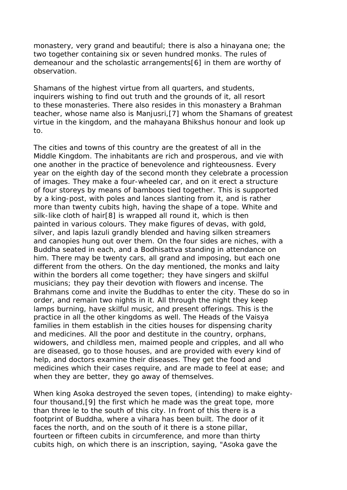monastery, very grand and beautiful; there is also a hinayana one; the two together containing six or seven hundred monks. The rules of demeanour and the scholastic arrangements[6] in them are worthy of observation.

Shamans of the highest virtue from all quarters, and students, inquirers wishing to find out truth and the grounds of it, all resort to these monasteries. There also resides in this monastery a Brahman teacher, whose name also is Manjusri,[7] whom the Shamans of greatest virtue in the kingdom, and the mahayana Bhikshus honour and look up to.

The cities and towns of this country are the greatest of all in the Middle Kingdom. The inhabitants are rich and prosperous, and vie with one another in the practice of benevolence and righteousness. Every year on the eighth day of the second month they celebrate a procession of images. They make a four-wheeled car, and on it erect a structure of four storeys by means of bamboos tied together. This is supported by a king-post, with poles and lances slanting from it, and is rather more than twenty cubits high, having the shape of a tope. White and silk-like cloth of hair[8] is wrapped all round it, which is then painted in various colours. They make figures of devas, with gold, silver, and lapis lazuli grandly blended and having silken streamers and canopies hung out over them. On the four sides are niches, with a Buddha seated in each, and a Bodhisattva standing in attendance on him. There may be twenty cars, all grand and imposing, but each one different from the others. On the day mentioned, the monks and laity within the borders all come together; they have singers and skilful musicians; they pay their devotion with flowers and incense. The Brahmans come and invite the Buddhas to enter the city. These do so in order, and remain two nights in it. All through the night they keep lamps burning, have skilful music, and present offerings. This is the practice in all the other kingdoms as well. The Heads of the Vaisya families in them establish in the cities houses for dispensing charity and medicines. All the poor and destitute in the country, orphans, widowers, and childless men, maimed people and cripples, and all who are diseased, go to those houses, and are provided with every kind of help, and doctors examine their diseases. They get the food and medicines which their cases require, and are made to feel at ease; and when they are better, they go away of themselves.

When king Asoka destroyed the seven topes, (intending) to make eightyfour thousand,[9] the first which he made was the great tope, more than three le to the south of this city. In front of this there is a footprint of Buddha, where a vihara has been built. The door of it faces the north, and on the south of it there is a stone pillar, fourteen or fifteen cubits in circumference, and more than thirty cubits high, on which there is an inscription, saying, "Asoka gave the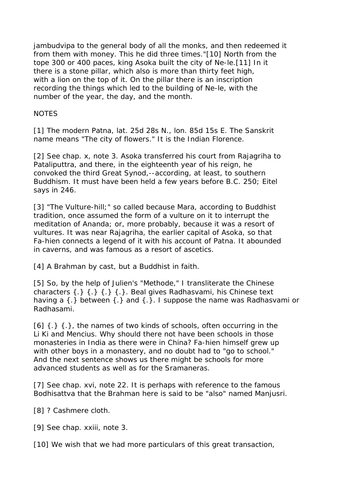jambudvipa to the general body of all the monks, and then redeemed it from them with money. This he did three times."[10] North from the tope 300 or 400 paces, king Asoka built the city of Ne-le.[11] In it there is a stone pillar, which also is more than thirty feet high, with a lion on the top of it. On the pillar there is an inscription recording the things which led to the building of Ne-le, with the number of the year, the day, and the month.

# **NOTES**

[1] The modern Patna, lat. 25d 28s N., lon. 85d 15s E. The Sanskrit name means "The city of flowers." It is the Indian Florence.

[2] See chap. x, note 3. Asoka transferred his court from Rajagriha to Pataliputtra, and there, in the eighteenth year of his reign, he convoked the third Great Synod,--according, at least, to southern Buddhism. It must have been held a few years before B.C. 250; Eitel says in 246.

[3] "The Vulture-hill;" so called because Mara, according to Buddhist tradition, once assumed the form of a vulture on it to interrupt the meditation of Ananda; or, more probably, because it was a resort of vultures. It was near Rajagriha, the earlier capital of Asoka, so that Fa-hien connects a legend of it with his account of Patna. It abounded in caverns, and was famous as a resort of ascetics.

[4] A Brahman by cast, but a Buddhist in faith.

[5] So, by the help of Julien's "Methode," I transliterate the Chinese characters {.} {.} {.} {.}. Beal gives Radhasvami, his Chinese text having a {.} between {.} and {.}. I suppose the name was Radhasvami or Radhasami.

 $[6]$   $\{.\}$   $\{.\}$ , the names of two kinds of schools, often occurring in the Li Ki and Mencius. Why should there not have been schools in those monasteries in India as there were in China? Fa-hien himself grew up with other boys in a monastery, and no doubt had to "go to school." And the next sentence shows us there might be schools for more advanced students as well as for the Sramaneras.

[7] See chap. xvi, note 22. It is perhaps with reference to the famous Bodhisattva that the Brahman here is said to be "also" named Manjusri.

[8] ? Cashmere cloth.

[9] See chap. xxiii, note 3.

[10] We wish that we had more particulars of this great transaction,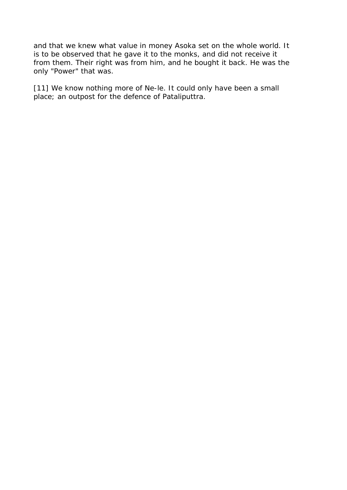and that we knew what value in money Asoka set on the whole world. It is to be observed that he gave it to the monks, and did not receive it from them. Their right was from him, and he bought it back. He was the only "Power" that was.

[11] We know nothing more of Ne-le. It could only have been a small place; an outpost for the defence of Pataliputtra.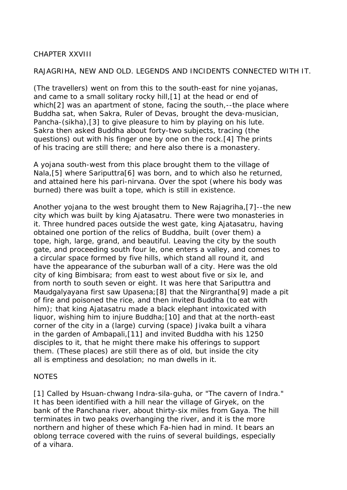# CHAPTER XXVIII

# RAJAGRIHA, NEW AND OLD. LEGENDS AND INCIDENTS CONNECTED WITH IT.

(The travellers) went on from this to the south-east for nine yojanas, and came to a small solitary rocky hill,[1] at the head or end of which[2] was an apartment of stone, facing the south,--the place where Buddha sat, when Sakra, Ruler of Devas, brought the deva-musician, Pancha-(sikha),[3] to give pleasure to him by playing on his lute. Sakra then asked Buddha about forty-two subjects, tracing (the questions) out with his finger one by one on the rock.[4] The prints of his tracing are still there; and here also there is a monastery.

A yojana south-west from this place brought them to the village of Nala, [5] where Sariputtra [6] was born, and to which also he returned, and attained here his pari-nirvana. Over the spot (where his body was burned) there was built a tope, which is still in existence.

Another yojana to the west brought them to New Rajagriha,[7]--the new city which was built by king Ajatasatru. There were two monasteries in it. Three hundred paces outside the west gate, king Ajatasatru, having obtained one portion of the relics of Buddha, built (over them) a tope, high, large, grand, and beautiful. Leaving the city by the south gate, and proceeding south four le, one enters a valley, and comes to a circular space formed by five hills, which stand all round it, and have the appearance of the suburban wall of a city. Here was the old city of king Bimbisara; from east to west about five or six le, and from north to south seven or eight. It was here that Sariputtra and Maudgalyayana first saw Upasena; [8] that the Nirgrantha[9] made a pit of fire and poisoned the rice, and then invited Buddha (to eat with him); that king Ajatasatru made a black elephant intoxicated with liquor, wishing him to injure Buddha;[10] and that at the north-east corner of the city in a (large) curving (space) Jivaka built a vihara in the garden of Ambapali,[11] and invited Buddha with his 1250 disciples to it, that he might there make his offerings to support them. (These places) are still there as of old, but inside the city all is emptiness and desolation; no man dwells in it.

### NOTES

[1] Called by Hsuan-chwang Indra-sila-guha, or "The cavern of Indra." It has been identified with a hill near the village of Giryek, on the bank of the Panchana river, about thirty-six miles from Gaya. The hill terminates in two peaks overhanging the river, and it is the more northern and higher of these which Fa-hien had in mind. It bears an oblong terrace covered with the ruins of several buildings, especially of a vihara.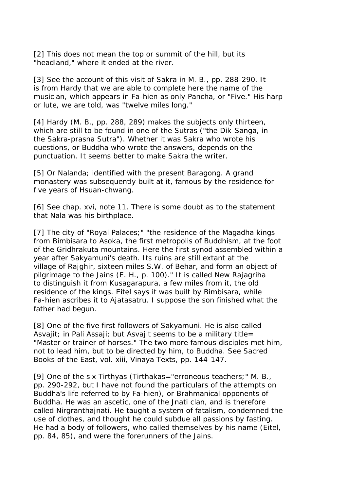[2] This does not mean the top or summit of the hill, but its "headland," where it ended at the river.

[3] See the account of this visit of Sakra in M. B., pp. 288-290. It is from Hardy that we are able to complete here the name of the musician, which appears in Fa-hien as only Pancha, or "Five." His harp or lute, we are told, was "twelve miles long."

[4] Hardy (M. B., pp. 288, 289) makes the subjects only thirteen, which are still to be found in one of the Sutras ("the Dik-Sanga, in the Sakra-prasna Sutra"). Whether it was Sakra who wrote his questions, or Buddha who wrote the answers, depends on the punctuation. It seems better to make Sakra the writer.

[5] Or Nalanda; identified with the present Baragong. A grand monastery was subsequently built at it, famous by the residence for five years of Hsuan-chwang.

[6] See chap. xvi, note 11. There is some doubt as to the statement that Nala was his birthplace.

[7] The city of "Royal Palaces;" "the residence of the Magadha kings from Bimbisara to Asoka, the first metropolis of Buddhism, at the foot of the Gridhrakuta mountains. Here the first synod assembled within a year after Sakyamuni's death. Its ruins are still extant at the village of Rajghir, sixteen miles S.W. of Behar, and form an object of pilgrimage to the Jains (E. H., p. 100)." It is called New Rajagriha to distinguish it from Kusagarapura, a few miles from it, the old residence of the kings. Eitel says it was built by Bimbisara, while Fa-hien ascribes it to Ajatasatru. I suppose the son finished what the father had begun.

[8] One of the five first followers of Sakyamuni. He is also called Asvajit; in Pali Assaji; but Asvajit seems to be a military title= "Master or trainer of horses." The two more famous disciples met him, not to lead him, but to be directed by him, to Buddha. See Sacred Books of the East, vol. xiii, Vinaya Texts, pp. 144-147.

[9] One of the six Tirthyas (Tirthakas="erroneous teachers;" M. B., pp. 290-292, but I have not found the particulars of the attempts on Buddha's life referred to by Fa-hien), or Brahmanical opponents of Buddha. He was an ascetic, one of the Jnati clan, and is therefore called Nirgranthajnati. He taught a system of fatalism, condemned the use of clothes, and thought he could subdue all passions by fasting. He had a body of followers, who called themselves by his name (Eitel, pp. 84, 85), and were the forerunners of the Jains.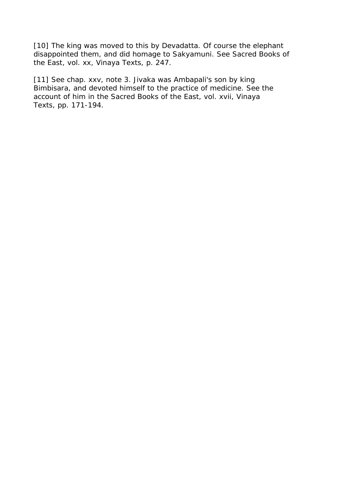[10] The king was moved to this by Devadatta. Of course the elephant disappointed them, and did homage to Sakyamuni. See Sacred Books of the East, vol. xx, Vinaya Texts, p. 247.

[11] See chap. xxv, note 3. Jivaka was Ambapali's son by king Bimbisara, and devoted himself to the practice of medicine. See the account of him in the Sacred Books of the East, vol. xvii, Vinaya Texts, pp. 171-194.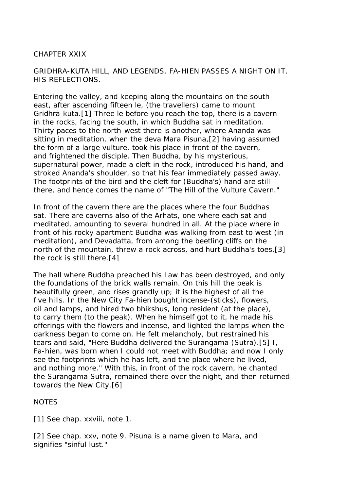## CHAPTER XXIX

# GRIDHRA-KUTA HILL, AND LEGENDS. FA-HIEN PASSES A NIGHT ON IT. HIS REFLECTIONS.

Entering the valley, and keeping along the mountains on the southeast, after ascending fifteen le, (the travellers) came to mount Gridhra-kuta.[1] Three le before you reach the top, there is a cavern in the rocks, facing the south, in which Buddha sat in meditation. Thirty paces to the north-west there is another, where Ananda was sitting in meditation, when the deva Mara Pisuna,[2] having assumed the form of a large vulture, took his place in front of the cavern, and frightened the disciple. Then Buddha, by his mysterious, supernatural power, made a cleft in the rock, introduced his hand, and stroked Ananda's shoulder, so that his fear immediately passed away. The footprints of the bird and the cleft for (Buddha's) hand are still there, and hence comes the name of "The Hill of the Vulture Cavern."

In front of the cavern there are the places where the four Buddhas sat. There are caverns also of the Arhats, one where each sat and meditated, amounting to several hundred in all. At the place where in front of his rocky apartment Buddha was walking from east to west (in meditation), and Devadatta, from among the beetling cliffs on the north of the mountain, threw a rock across, and hurt Buddha's toes,[3] the rock is still there.[4]

The hall where Buddha preached his Law has been destroyed, and only the foundations of the brick walls remain. On this hill the peak is beautifully green, and rises grandly up; it is the highest of all the five hills. In the New City Fa-hien bought incense-(sticks), flowers, oil and lamps, and hired two bhikshus, long resident (at the place), to carry them (to the peak). When he himself got to it, he made his offerings with the flowers and incense, and lighted the lamps when the darkness began to come on. He felt melancholy, but restrained his tears and said, "Here Buddha delivered the Surangama (Sutra).[5] I, Fa-hien, was born when I could not meet with Buddha; and now I only see the footprints which he has left, and the place where he lived, and nothing more." With this, in front of the rock cavern, he chanted the Surangama Sutra, remained there over the night, and then returned towards the New City.[6]

**NOTES** 

[1] See chap. xxviii, note 1.

[2] See chap. xxy, note 9. Pisuna is a name given to Mara, and signifies "sinful lust."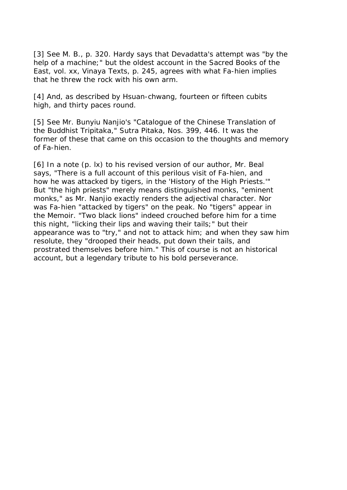[3] See M. B., p. 320. Hardy says that Devadatta's attempt was "by the help of a machine;" but the oldest account in the Sacred Books of the East, vol. xx, Vinaya Texts, p. 245, agrees with what Fa-hien implies that he threw the rock with his own arm.

[4] And, as described by Hsuan-chwang, fourteen or fifteen cubits high, and thirty paces round.

[5] See Mr. Bunyiu Nanjio's "Catalogue of the Chinese Translation of the Buddhist Tripitaka," Sutra Pitaka, Nos. 399, 446. It was the former of these that came on this occasion to the thoughts and memory of Fa-hien.

[6] In a note (p. lx) to his revised version of our author, Mr. Beal says, "There is a full account of this perilous visit of Fa-hien, and how he was attacked by tigers, in the 'History of the High Priests.'" But "the high priests" merely means distinguished monks, "eminent monks," as Mr. Nanjio exactly renders the adjectival character. Nor was Fa-hien "attacked by tigers" on the peak. No "tigers" appear in the Memoir. "Two black lions" indeed crouched before him for a time this night, "licking their lips and waving their tails;" but their appearance was to "try," and not to attack him; and when they saw him resolute, they "drooped their heads, put down their tails, and prostrated themselves before him." This of course is not an historical account, but a legendary tribute to his bold perseverance.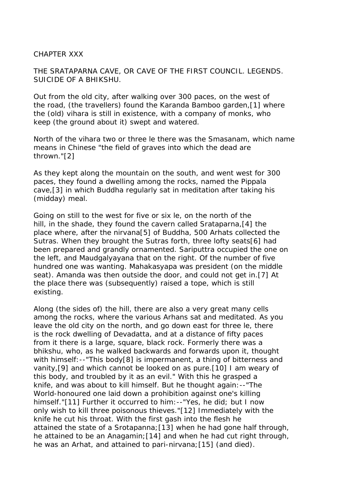### CHAPTER XXX

THE SRATAPARNA CAVE, OR CAVE OF THE FIRST COUNCIL. LEGENDS. SUICIDE OF A BHIKSHU.

Out from the old city, after walking over 300 paces, on the west of the road, (the travellers) found the Karanda Bamboo garden,[1] where the (old) vihara is still in existence, with a company of monks, who keep (the ground about it) swept and watered.

North of the vihara two or three le there was the Smasanam, which name means in Chinese "the field of graves into which the dead are thrown."[2]

As they kept along the mountain on the south, and went west for 300 paces, they found a dwelling among the rocks, named the Pippala cave,[3] in which Buddha regularly sat in meditation after taking his (midday) meal.

Going on still to the west for five or six le, on the north of the hill, in the shade, they found the cavern called Srataparna,[4] the place where, after the nirvana[5] of Buddha, 500 Arhats collected the Sutras. When they brought the Sutras forth, three lofty seats[6] had been prepared and grandly ornamented. Sariputtra occupied the one on the left, and Maudgalyayana that on the right. Of the number of five hundred one was wanting. Mahakasyapa was president (on the middle seat). Amanda was then outside the door, and could not get in.[7] At the place there was (subsequently) raised a tope, which is still existing.

Along (the sides of) the hill, there are also a very great many cells among the rocks, where the various Arhans sat and meditated. As you leave the old city on the north, and go down east for three le, there is the rock dwelling of Devadatta, and at a distance of fifty paces from it there is a large, square, black rock. Formerly there was a bhikshu, who, as he walked backwards and forwards upon it, thought with himself:--"This body[8] is impermanent, a thing of bitterness and vanity,[9] and which cannot be looked on as pure.[10] I am weary of this body, and troubled by it as an evil." With this he grasped a knife, and was about to kill himself. But he thought again:--"The World-honoured one laid down a prohibition against one's killing himself."[11] Further it occurred to him:--"Yes, he did; but I now only wish to kill three poisonous thieves."[12] Immediately with the knife he cut his throat. With the first gash into the flesh he attained the state of a Srotapanna;[13] when he had gone half through, he attained to be an Anagamin; [14] and when he had cut right through, he was an Arhat, and attained to pari-nirvana;[15] (and died).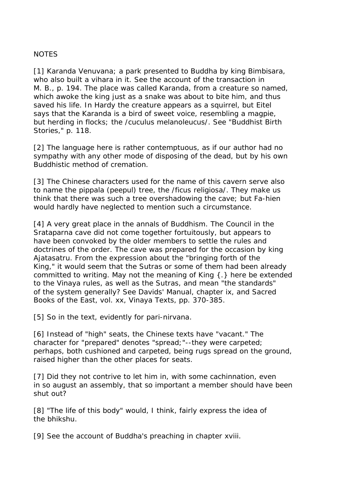## NOTES

[1] Karanda Venuvana; a park presented to Buddha by king Bimbisara, who also built a vihara in it. See the account of the transaction in M. B., p. 194. The place was called Karanda, from a creature so named, which awoke the king just as a snake was about to bite him, and thus saved his life. In Hardy the creature appears as a squirrel, but Eitel says that the Karanda is a bird of sweet voice, resembling a magpie, but herding in flocks; the /cuculus melanoleucus/. See "Buddhist Birth Stories," p. 118.

[2] The language here is rather contemptuous, as if our author had no sympathy with any other mode of disposing of the dead, but by his own Buddhistic method of cremation.

[3] The Chinese characters used for the name of this cavern serve also to name the pippala (peepul) tree, the /ficus religiosa/. They make us think that there was such a tree overshadowing the cave; but Fa-hien would hardly have neglected to mention such a circumstance.

[4] A very great place in the annals of Buddhism. The Council in the Srataparna cave did not come together fortuitously, but appears to have been convoked by the older members to settle the rules and doctrines of the order. The cave was prepared for the occasion by king Ajatasatru. From the expression about the "bringing forth of the King," it would seem that the Sutras or some of them had been already committed to writing. May not the meaning of King {.} here be extended to the Vinaya rules, as well as the Sutras, and mean "the standards" of the system generally? See Davids' Manual, chapter ix, and Sacred Books of the East, vol. xx, Vinaya Texts, pp. 370-385.

[5] So in the text, evidently for pari-nirvana.

[6] Instead of "high" seats, the Chinese texts have "vacant." The character for "prepared" denotes "spread;"--they were carpeted; perhaps, both cushioned and carpeted, being rugs spread on the ground, raised higher than the other places for seats.

[7] Did they not contrive to let him in, with some cachinnation, even in so august an assembly, that so important a member should have been shut out?

[8] "The life of this body" would, I think, fairly express the idea of the bhikshu.

[9] See the account of Buddha's preaching in chapter xviii.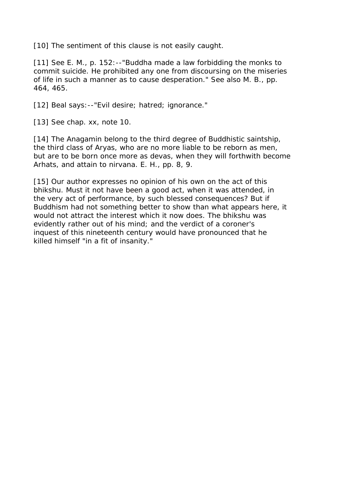[10] The sentiment of this clause is not easily caught.

[11] See E. M., p. 152:--"Buddha made a law forbidding the monks to commit suicide. He prohibited any one from discoursing on the miseries of life in such a manner as to cause desperation." See also M. B., pp. 464, 465.

[12] Beal says: --"Evil desire; hatred; ignorance."

[13] See chap. xx, note 10.

[14] The Anagamin belong to the third degree of Buddhistic saintship, the third class of Aryas, who are no more liable to be reborn as men, but are to be born once more as devas, when they will forthwith become Arhats, and attain to nirvana. E. H., pp. 8, 9.

[15] Our author expresses no opinion of his own on the act of this bhikshu. Must it not have been a good act, when it was attended, in the very act of performance, by such blessed consequences? But if Buddhism had not something better to show than what appears here, it would not attract the interest which it now does. The bhikshu was evidently rather out of his mind; and the verdict of a coroner's inquest of this nineteenth century would have pronounced that he killed himself "in a fit of insanity."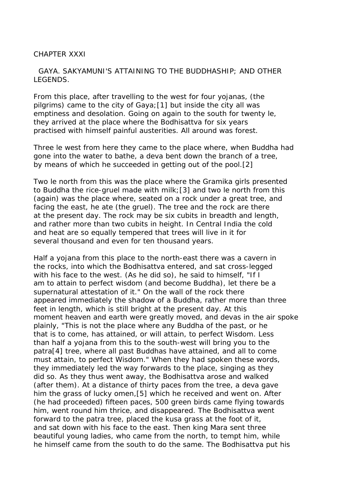### CHAPTER XXXI

## GAYA. SAKYAMUNI'S ATTAINING TO THE BUDDHASHIP; AND OTHER LEGENDS.

From this place, after travelling to the west for four yojanas, (the pilgrims) came to the city of Gaya;[1] but inside the city all was emptiness and desolation. Going on again to the south for twenty le, they arrived at the place where the Bodhisattva for six years practised with himself painful austerities. All around was forest.

Three le west from here they came to the place where, when Buddha had gone into the water to bathe, a deva bent down the branch of a tree, by means of which he succeeded in getting out of the pool.[2]

Two le north from this was the place where the Gramika girls presented to Buddha the rice-gruel made with milk;[3] and two le north from this (again) was the place where, seated on a rock under a great tree, and facing the east, he ate (the gruel). The tree and the rock are there at the present day. The rock may be six cubits in breadth and length, and rather more than two cubits in height. In Central India the cold and heat are so equally tempered that trees will live in it for several thousand and even for ten thousand years.

Half a yojana from this place to the north-east there was a cavern in the rocks, into which the Bodhisattva entered, and sat cross-legged with his face to the west. (As he did so), he said to himself, "If I am to attain to perfect wisdom (and become Buddha), let there be a supernatural attestation of it." On the wall of the rock there appeared immediately the shadow of a Buddha, rather more than three feet in length, which is still bright at the present day. At this moment heaven and earth were greatly moved, and devas in the air spoke plainly, "This is not the place where any Buddha of the past, or he that is to come, has attained, or will attain, to perfect Wisdom. Less than half a yojana from this to the south-west will bring you to the patra[4] tree, where all past Buddhas have attained, and all to come must attain, to perfect Wisdom." When they had spoken these words, they immediately led the way forwards to the place, singing as they did so. As they thus went away, the Bodhisattva arose and walked (after them). At a distance of thirty paces from the tree, a deva gave him the grass of lucky omen,[5] which he received and went on. After (he had proceeded) fifteen paces, 500 green birds came flying towards him, went round him thrice, and disappeared. The Bodhisattva went forward to the patra tree, placed the kusa grass at the foot of it, and sat down with his face to the east. Then king Mara sent three beautiful young ladies, who came from the north, to tempt him, while he himself came from the south to do the same. The Bodhisattva put his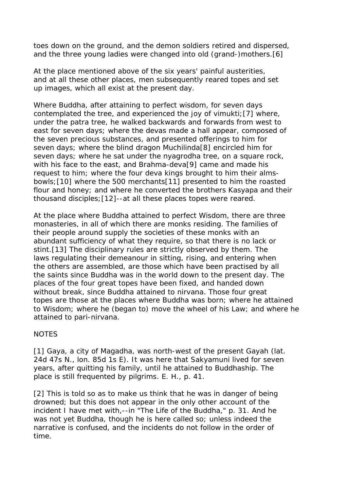toes down on the ground, and the demon soldiers retired and dispersed, and the three young ladies were changed into old (grand-)mothers.[6]

At the place mentioned above of the six years' painful austerities, and at all these other places, men subsequently reared topes and set up images, which all exist at the present day.

Where Buddha, after attaining to perfect wisdom, for seven days contemplated the tree, and experienced the joy of vimukti;[7] where, under the patra tree, he walked backwards and forwards from west to east for seven days; where the devas made a hall appear, composed of the seven precious substances, and presented offerings to him for seven days; where the blind dragon Muchilinda[8] encircled him for seven days; where he sat under the nyagrodha tree, on a square rock, with his face to the east, and Brahma-deva[9] came and made his request to him; where the four deva kings brought to him their almsbowls;[10] where the 500 merchants[11] presented to him the roasted flour and honey; and where he converted the brothers Kasyapa and their thousand disciples;[12]--at all these places topes were reared.

At the place where Buddha attained to perfect Wisdom, there are three monasteries, in all of which there are monks residing. The families of their people around supply the societies of these monks with an abundant sufficiency of what they require, so that there is no lack or stint.[13] The disciplinary rules are strictly observed by them. The laws regulating their demeanour in sitting, rising, and entering when the others are assembled, are those which have been practised by all the saints since Buddha was in the world down to the present day. The places of the four great topes have been fixed, and handed down without break, since Buddha attained to nirvana. Those four great topes are those at the places where Buddha was born; where he attained to Wisdom; where he (began to) move the wheel of his Law; and where he attained to pari-nirvana.

# **NOTES**

[1] Gaya, a city of Magadha, was north-west of the present Gayah (lat. 24d 47s N., lon. 85d 1s E). It was here that Sakyamuni lived for seven years, after quitting his family, until he attained to Buddhaship. The place is still frequented by pilgrims. E. H., p. 41.

[2] This is told so as to make us think that he was in danger of being drowned; but this does not appear in the only other account of the incident I have met with,--in "The Life of the Buddha," p. 31. And he was not yet Buddha, though he is here called so; unless indeed the narrative is confused, and the incidents do not follow in the order of time.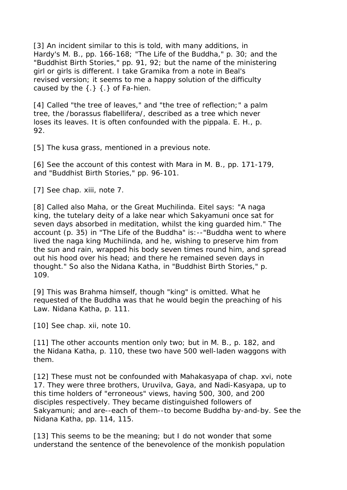[3] An incident similar to this is told, with many additions, in Hardy's M. B., pp. 166-168; "The Life of the Buddha," p. 30; and the "Buddhist Birth Stories," pp. 91, 92; but the name of the ministering girl or girls is different. I take Gramika from a note in Beal's revised version; it seems to me a happy solution of the difficulty caused by the  $\{\cdot\}$   $\{\cdot\}$  of Fa-hien.

[4] Called "the tree of leaves," and "the tree of reflection;" a palm tree, the /borassus flabellifera/, described as a tree which never loses its leaves. It is often confounded with the pippala. E. H., p. 92.

[5] The kusa grass, mentioned in a previous note.

[6] See the account of this contest with Mara in M. B., pp. 171-179, and "Buddhist Birth Stories," pp. 96-101.

[7] See chap. xiii, note 7.

[8] Called also Maha, or the Great Muchilinda. Eitel says: "A naga king, the tutelary deity of a lake near which Sakyamuni once sat for seven days absorbed in meditation, whilst the king guarded him." The account (p. 35) in "The Life of the Buddha" is:--"Buddha went to where lived the naga king Muchilinda, and he, wishing to preserve him from the sun and rain, wrapped his body seven times round him, and spread out his hood over his head; and there he remained seven days in thought." So also the Nidana Katha, in "Buddhist Birth Stories," p. 109.

[9] This was Brahma himself, though "king" is omitted. What he requested of the Buddha was that he would begin the preaching of his Law. Nidana Katha, p. 111.

[10] See chap. xii, note 10.

[11] The other accounts mention only two; but in M. B., p. 182, and the Nidana Katha, p. 110, these two have 500 well-laden waggons with them.

[12] These must not be confounded with Mahakasyapa of chap. xvi, note 17. They were three brothers, Uruvilva, Gaya, and Nadi-Kasyapa, up to this time holders of "erroneous" views, having 500, 300, and 200 disciples respectively. They became distinguished followers of Sakyamuni; and are--each of them--to become Buddha by-and-by. See the Nidana Katha, pp. 114, 115.

[13] This seems to be the meaning; but I do not wonder that some understand the sentence of the benevolence of the monkish population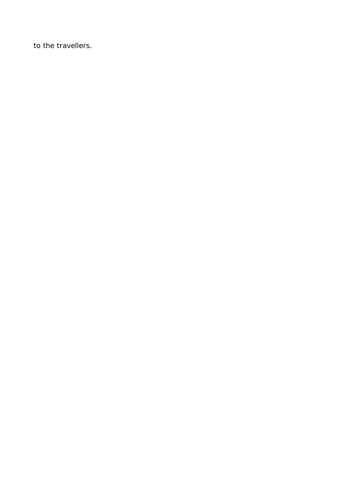to the travellers.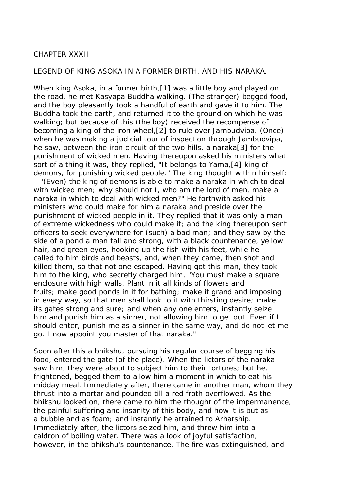### CHAPTER XXXII

#### LEGEND OF KING ASOKA IN A FORMER BIRTH, AND HIS NARAKA.

When king Asoka, in a former birth,[1] was a little boy and played on the road, he met Kasyapa Buddha walking. (The stranger) begged food, and the boy pleasantly took a handful of earth and gave it to him. The Buddha took the earth, and returned it to the ground on which he was walking; but because of this (the boy) received the recompense of becoming a king of the iron wheel,[2] to rule over Jambudvipa. (Once) when he was making a judicial tour of inspection through Jambudvipa, he saw, between the iron circuit of the two hills, a naraka[3] for the punishment of wicked men. Having thereupon asked his ministers what sort of a thing it was, they replied, "It belongs to Yama,[4] king of demons, for punishing wicked people." The king thought within himself: --"(Even) the king of demons is able to make a naraka in which to deal with wicked men; why should not I, who am the lord of men, make a naraka in which to deal with wicked men?" He forthwith asked his ministers who could make for him a naraka and preside over the punishment of wicked people in it. They replied that it was only a man of extreme wickedness who could make it; and the king thereupon sent officers to seek everywhere for (such) a bad man; and they saw by the side of a pond a man tall and strong, with a black countenance, yellow hair, and green eyes, hooking up the fish with his feet, while he called to him birds and beasts, and, when they came, then shot and killed them, so that not one escaped. Having got this man, they took him to the king, who secretly charged him, "You must make a square enclosure with high walls. Plant in it all kinds of flowers and fruits; make good ponds in it for bathing; make it grand and imposing in every way, so that men shall look to it with thirsting desire; make its gates strong and sure; and when any one enters, instantly seize him and punish him as a sinner, not allowing him to get out. Even if I should enter, punish me as a sinner in the same way, and do not let me go. I now appoint you master of that naraka."

Soon after this a bhikshu, pursuing his regular course of begging his food, entered the gate (of the place). When the lictors of the naraka saw him, they were about to subject him to their tortures; but he, frightened, begged them to allow him a moment in which to eat his midday meal. Immediately after, there came in another man, whom they thrust into a mortar and pounded till a red froth overflowed. As the bhikshu looked on, there came to him the thought of the impermanence, the painful suffering and insanity of this body, and how it is but as a bubble and as foam; and instantly he attained to Arhatship. Immediately after, the lictors seized him, and threw him into a caldron of boiling water. There was a look of joyful satisfaction, however, in the bhikshu's countenance. The fire was extinguished, and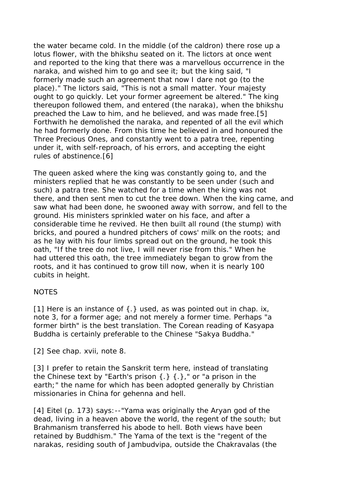the water became cold. In the middle (of the caldron) there rose up a lotus flower, with the bhikshu seated on it. The lictors at once went and reported to the king that there was a marvellous occurrence in the naraka, and wished him to go and see it; but the king said, "I formerly made such an agreement that now I dare not go (to the place)." The lictors said, "This is not a small matter. Your majesty ought to go quickly. Let your former agreement be altered." The king thereupon followed them, and entered (the naraka), when the bhikshu preached the Law to him, and he believed, and was made free.[5] Forthwith he demolished the naraka, and repented of all the evil which he had formerly done. From this time he believed in and honoured the Three Precious Ones, and constantly went to a patra tree, repenting under it, with self-reproach, of his errors, and accepting the eight rules of abstinence.[6]

The queen asked where the king was constantly going to, and the ministers replied that he was constantly to be seen under (such and such) a patra tree. She watched for a time when the king was not there, and then sent men to cut the tree down. When the king came, and saw what had been done, he swooned away with sorrow, and fell to the ground. His ministers sprinkled water on his face, and after a considerable time he revived. He then built all round (the stump) with bricks, and poured a hundred pitchers of cows' milk on the roots; and as he lay with his four limbs spread out on the ground, he took this oath, "If the tree do not live, I will never rise from this." When he had uttered this oath, the tree immediately began to grow from the roots, and it has continued to grow till now, when it is nearly 100 cubits in height.

# NOTES

[1] Here is an instance of  $\{\cdot\}$  used, as was pointed out in chap. ix, note 3, for a former age; and not merely a former time. Perhaps "a former birth" is the best translation. The Corean reading of Kasyapa Buddha is certainly preferable to the Chinese "Sakya Buddha."

[2] See chap. xvii, note 8.

[3] I prefer to retain the Sanskrit term here, instead of translating the Chinese text by "Earth's prison {.} {.}," or "a prison in the earth;" the name for which has been adopted generally by Christian missionaries in China for gehenna and hell.

[4] Eitel (p. 173) says: -- "Yama was originally the Aryan god of the dead, living in a heaven above the world, the regent of the south; but Brahmanism transferred his abode to hell. Both views have been retained by Buddhism." The Yama of the text is the "regent of the narakas, residing south of Jambudvipa, outside the Chakravalas (the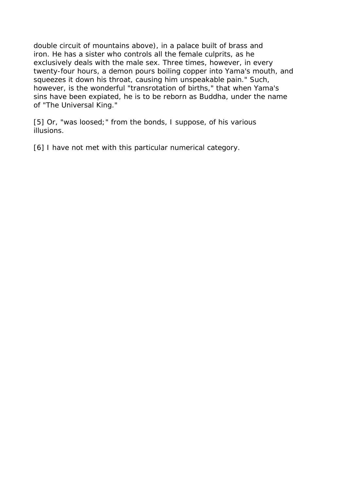double circuit of mountains above), in a palace built of brass and iron. He has a sister who controls all the female culprits, as he exclusively deals with the male sex. Three times, however, in every twenty-four hours, a demon pours boiling copper into Yama's mouth, and squeezes it down his throat, causing him unspeakable pain." Such, however, is the wonderful "transrotation of births," that when Yama's sins have been expiated, he is to be reborn as Buddha, under the name of "The Universal King."

[5] Or, "was loosed;" from the bonds, I suppose, of his various illusions.

[6] I have not met with this particular numerical category.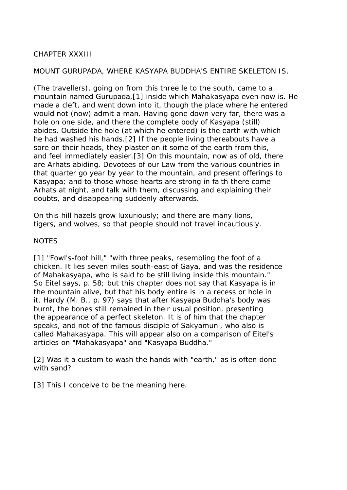# CHAPTER XXXIII

#### MOUNT GURUPADA, WHERE KASYAPA BUDDHA'S ENTIRE SKELETON IS.

(The travellers), going on from this three le to the south, came to a mountain named Gurupada,[1] inside which Mahakasyapa even now is. He made a cleft, and went down into it, though the place where he entered would not (now) admit a man. Having gone down very far, there was a hole on one side, and there the complete body of Kasyapa (still) abides. Outside the hole (at which he entered) is the earth with which he had washed his hands.[2] If the people living thereabouts have a sore on their heads, they plaster on it some of the earth from this, and feel immediately easier.[3] On this mountain, now as of old, there are Arhats abiding. Devotees of our Law from the various countries in that quarter go year by year to the mountain, and present offerings to Kasyapa; and to those whose hearts are strong in faith there come Arhats at night, and talk with them, discussing and explaining their doubts, and disappearing suddenly afterwards.

On this hill hazels grow luxuriously; and there are many lions, tigers, and wolves, so that people should not travel incautiously.

#### NOTES

[1] "Fowl's-foot hill," "with three peaks, resembling the foot of a chicken. It lies seven miles south-east of Gaya, and was the residence of Mahakasyapa, who is said to be still living inside this mountain." So Eitel says, p. 58; but this chapter does not say that Kasyapa is in the mountain alive, but that his body entire is in a recess or hole in it. Hardy (M. B., p. 97) says that after Kasyapa Buddha's body was burnt, the bones still remained in their usual position, presenting the appearance of a perfect skeleton. It is of him that the chapter speaks, and not of the famous disciple of Sakyamuni, who also is called Mahakasyapa. This will appear also on a comparison of Eitel's articles on "Mahakasyapa" and "Kasyapa Buddha."

[2] Was it a custom to wash the hands with "earth," as is often done with sand?

[3] This I conceive to be the meaning here.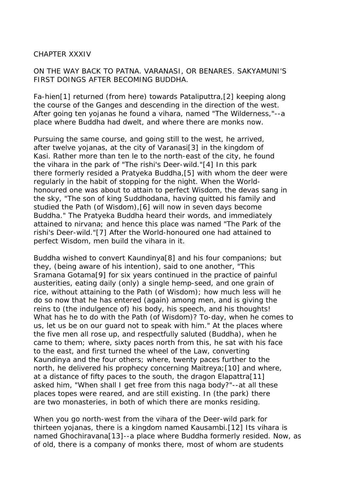#### CHAPTER XXXIV

## ON THE WAY BACK TO PATNA. VARANASI, OR BENARES. SAKYAMUNI'S FIRST DOINGS AFTER BECOMING BUDDHA.

Fa-hien[1] returned (from here) towards Pataliputtra,[2] keeping along the course of the Ganges and descending in the direction of the west. After going ten yojanas he found a vihara, named "The Wilderness,"--a place where Buddha had dwelt, and where there are monks now.

Pursuing the same course, and going still to the west, he arrived, after twelve yojanas, at the city of Varanasi[3] in the kingdom of Kasi. Rather more than ten le to the north-east of the city, he found the vihara in the park of "The rishi's Deer-wild."[4] In this park there formerly resided a Pratyeka Buddha,[5] with whom the deer were regularly in the habit of stopping for the night. When the Worldhonoured one was about to attain to perfect Wisdom, the devas sang in the sky, "The son of king Suddhodana, having quitted his family and studied the Path (of Wisdom),[6] will now in seven days become Buddha." The Pratyeka Buddha heard their words, and immediately attained to nirvana; and hence this place was named "The Park of the rishi's Deer-wild."[7] After the World-honoured one had attained to perfect Wisdom, men build the vihara in it.

Buddha wished to convert Kaundinya[8] and his four companions; but they, (being aware of his intention), said to one another, "This Sramana Gotama[9] for six years continued in the practice of painful austerities, eating daily (only) a single hemp-seed, and one grain of rice, without attaining to the Path (of Wisdom); how much less will he do so now that he has entered (again) among men, and is giving the reins to (the indulgence of) his body, his speech, and his thoughts! What has he to do with the Path (of Wisdom)? To-day, when he comes to us, let us be on our guard not to speak with him." At the places where the five men all rose up, and respectfully saluted (Buddha), when he came to them; where, sixty paces north from this, he sat with his face to the east, and first turned the wheel of the Law, converting Kaundinya and the four others; where, twenty paces further to the north, he delivered his prophecy concerning Maitreya;[10] and where, at a distance of fifty paces to the south, the dragon Elapattra[11] asked him, "When shall I get free from this naga body?"--at all these places topes were reared, and are still existing. In (the park) there are two monasteries, in both of which there are monks residing.

When you go north-west from the vihara of the Deer-wild park for thirteen yojanas, there is a kingdom named Kausambi.[12] Its vihara is named Ghochiravana[13]--a place where Buddha formerly resided. Now, as of old, there is a company of monks there, most of whom are students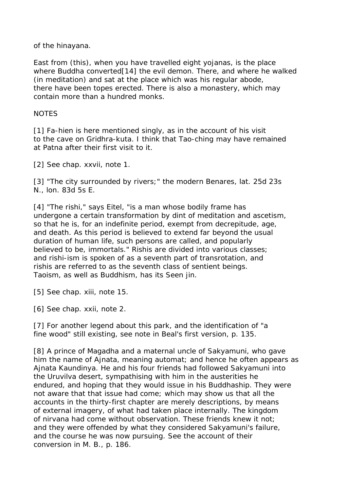of the hinayana.

East from (this), when you have travelled eight yojanas, is the place where Buddha converted[14] the evil demon. There, and where he walked (in meditation) and sat at the place which was his regular abode, there have been topes erected. There is also a monastery, which may contain more than a hundred monks.

### **NOTES**

[1] Fa-hien is here mentioned singly, as in the account of his visit to the cave on Gridhra-kuta. I think that Tao-ching may have remained at Patna after their first visit to it.

[2] See chap. xxvii, note 1.

[3] "The city surrounded by rivers;" the modern Benares, lat. 25d 23s N., lon. 83d 5s E.

[4] "The rishi," says Eitel, "is a man whose bodily frame has undergone a certain transformation by dint of meditation and ascetism, so that he is, for an indefinite period, exempt from decrepitude, age, and death. As this period is believed to extend far beyond the usual duration of human life, such persons are called, and popularly believed to be, immortals." Rishis are divided into various classes; and rishi-ism is spoken of as a seventh part of transrotation, and rishis are referred to as the seventh class of sentient beings. Taoism, as well as Buddhism, has its Seen jin.

[5] See chap. xiii, note 15.

[6] See chap. xxii, note 2.

[7] For another legend about this park, and the identification of "a fine wood" still existing, see note in Beal's first version, p. 135.

[8] A prince of Magadha and a maternal uncle of Sakyamuni, who gave him the name of Ajnata, meaning automat; and hence he often appears as Ajnata Kaundinya. He and his four friends had followed Sakyamuni into the Uruvilva desert, sympathising with him in the austerities he endured, and hoping that they would issue in his Buddhaship. They were not aware that that issue had come; which may show us that all the accounts in the thirty-first chapter are merely descriptions, by means of external imagery, of what had taken place internally. The kingdom of nirvana had come without observation. These friends knew it not; and they were offended by what they considered Sakyamuni's failure, and the course he was now pursuing. See the account of their conversion in M. B., p. 186.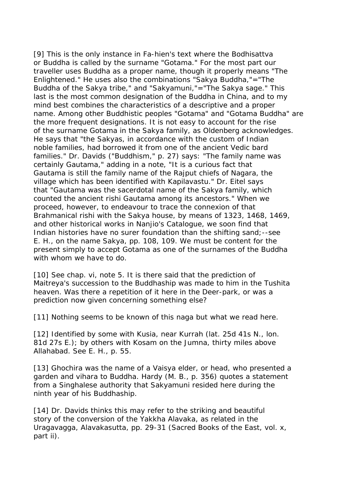[9] This is the only instance in Fa-hien's text where the Bodhisattva or Buddha is called by the surname "Gotama." For the most part our traveller uses Buddha as a proper name, though it properly means "The Enlightened." He uses also the combinations "Sakya Buddha,"="The Buddha of the Sakya tribe," and "Sakyamuni,"="The Sakya sage." This last is the most common designation of the Buddha in China, and to my mind best combines the characteristics of a descriptive and a proper name. Among other Buddhistic peoples "Gotama" and "Gotama Buddha" are the more frequent designations. It is not easy to account for the rise of the surname Gotama in the Sakya family, as Oldenberg acknowledges. He says that "the Sakyas, in accordance with the custom of Indian noble families, had borrowed it from one of the ancient Vedic bard families." Dr. Davids ("Buddhism," p. 27) says: "The family name was certainly Gautama," adding in a note, "It is a curious fact that Gautama is still the family name of the Rajput chiefs of Nagara, the village which has been identified with Kapilavastu." Dr. Eitel says that "Gautama was the sacerdotal name of the Sakya family, which counted the ancient rishi Gautama among its ancestors." When we proceed, however, to endeavour to trace the connexion of that Brahmanical rishi with the Sakya house, by means of 1323, 1468, 1469, and other historical works in Nanjio's Catalogue, we soon find that Indian histories have no surer foundation than the shifting sand;--see E. H., on the name Sakya, pp. 108, 109. We must be content for the present simply to accept Gotama as one of the surnames of the Buddha with whom we have to do.

[10] See chap. vi, note 5. It is there said that the prediction of Maitreya's succession to the Buddhaship was made to him in the Tushita heaven. Was there a repetition of it here in the Deer-park, or was a prediction now given concerning something else?

[11] Nothing seems to be known of this naga but what we read here.

[12] Identified by some with Kusia, near Kurrah (lat. 25d 41s N., lon. 81d 27s E.); by others with Kosam on the Jumna, thirty miles above Allahabad. See E. H., p. 55.

[13] Ghochira was the name of a Vaisya elder, or head, who presented a garden and vihara to Buddha. Hardy (M. B., p. 356) quotes a statement from a Singhalese authority that Sakyamuni resided here during the ninth year of his Buddhaship.

[14] Dr. Davids thinks this may refer to the striking and beautiful story of the conversion of the Yakkha Alavaka, as related in the Uragavagga, Alavakasutta, pp. 29-31 (Sacred Books of the East, vol. x, part ii).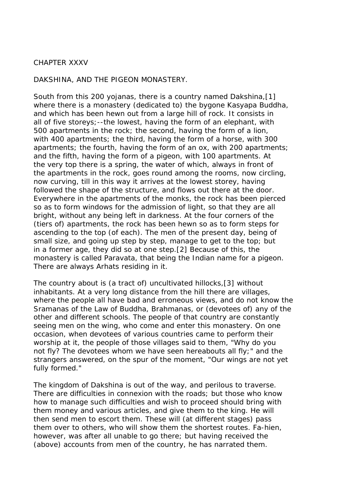#### CHAPTER XXXV

DAKSHINA, AND THE PIGEON MONASTERY.

South from this 200 yojanas, there is a country named Dakshina,[1] where there is a monastery (dedicated to) the bygone Kasyapa Buddha, and which has been hewn out from a large hill of rock. It consists in all of five storeys;--the lowest, having the form of an elephant, with 500 apartments in the rock; the second, having the form of a lion, with 400 apartments; the third, having the form of a horse, with 300 apartments; the fourth, having the form of an ox, with 200 apartments; and the fifth, having the form of a pigeon, with 100 apartments. At the very top there is a spring, the water of which, always in front of the apartments in the rock, goes round among the rooms, now circling, now curving, till in this way it arrives at the lowest storey, having followed the shape of the structure, and flows out there at the door. Everywhere in the apartments of the monks, the rock has been pierced so as to form windows for the admission of light, so that they are all bright, without any being left in darkness. At the four corners of the (tiers of) apartments, the rock has been hewn so as to form steps for ascending to the top (of each). The men of the present day, being of small size, and going up step by step, manage to get to the top; but in a former age, they did so at one step.[2] Because of this, the monastery is called Paravata, that being the Indian name for a pigeon. There are always Arhats residing in it.

The country about is (a tract of) uncultivated hillocks,[3] without inhabitants. At a very long distance from the hill there are villages, where the people all have bad and erroneous views, and do not know the Sramanas of the Law of Buddha, Brahmanas, or (devotees of) any of the other and different schools. The people of that country are constantly seeing men on the wing, who come and enter this monastery. On one occasion, when devotees of various countries came to perform their worship at it, the people of those villages said to them, "Why do you not fly? The devotees whom we have seen hereabouts all fly;" and the strangers answered, on the spur of the moment, "Our wings are not yet fully formed."

The kingdom of Dakshina is out of the way, and perilous to traverse. There are difficulties in connexion with the roads; but those who know how to manage such difficulties and wish to proceed should bring with them money and various articles, and give them to the king. He will then send men to escort them. These will (at different stages) pass them over to others, who will show them the shortest routes. Fa-hien, however, was after all unable to go there; but having received the (above) accounts from men of the country, he has narrated them.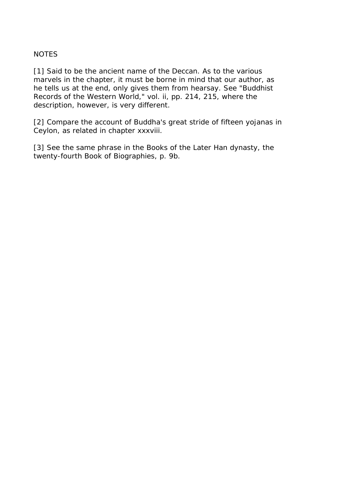# **NOTES**

[1] Said to be the ancient name of the Deccan. As to the various marvels in the chapter, it must be borne in mind that our author, as he tells us at the end, only gives them from hearsay. See "Buddhist Records of the Western World," vol. ii, pp. 214, 215, where the description, however, is very different.

[2] Compare the account of Buddha's great stride of fifteen yojanas in Ceylon, as related in chapter xxxviii.

[3] See the same phrase in the Books of the Later Han dynasty, the twenty-fourth Book of Biographies, p. 9b.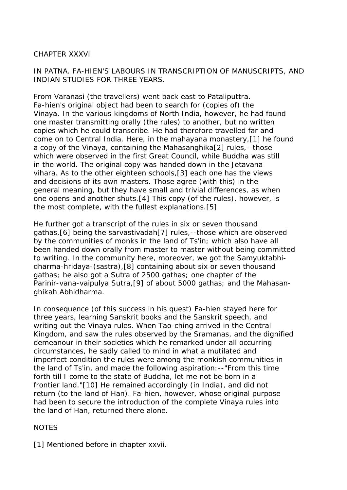# CHAPTER XXXVI

# IN PATNA. FA-HIEN'S LABOURS IN TRANSCRIPTION OF MANUSCRIPTS, AND INDIAN STUDIES FOR THREE YEARS.

From Varanasi (the travellers) went back east to Pataliputtra. Fa-hien's original object had been to search for (copies of) the Vinaya. In the various kingdoms of North India, however, he had found one master transmitting orally (the rules) to another, but no written copies which he could transcribe. He had therefore travelled far and come on to Central India. Here, in the mahayana monastery,[1] he found a copy of the Vinaya, containing the Mahasanghika[2] rules,--those which were observed in the first Great Council, while Buddha was still in the world. The original copy was handed down in the Jetavana vihara. As to the other eighteen schools,[3] each one has the views and decisions of its own masters. Those agree (with this) in the general meaning, but they have small and trivial differences, as when one opens and another shuts.[4] This copy (of the rules), however, is the most complete, with the fullest explanations.[5]

He further got a transcript of the rules in six or seven thousand gathas,[6] being the sarvastivadah[7] rules,--those which are observed by the communities of monks in the land of Ts'in; which also have all been handed down orally from master to master without being committed to writing. In the community here, moreover, we got the Samyuktabhidharma-hridaya-(sastra),[8] containing about six or seven thousand gathas; he also got a Sutra of 2500 gathas; one chapter of the Parinir-vana-vaipulya Sutra,[9] of about 5000 gathas; and the Mahasanghikah Abhidharma.

In consequence (of this success in his quest) Fa-hien stayed here for three years, learning Sanskrit books and the Sanskrit speech, and writing out the Vinaya rules. When Tao-ching arrived in the Central Kingdom, and saw the rules observed by the Sramanas, and the dignified demeanour in their societies which he remarked under all occurring circumstances, he sadly called to mind in what a mutilated and imperfect condition the rules were among the monkish communities in the land of Ts'in, and made the following aspiration:--"From this time forth till I come to the state of Buddha, let me not be born in a frontier land."[10] He remained accordingly (in India), and did not return (to the land of Han). Fa-hien, however, whose original purpose had been to secure the introduction of the complete Vinaya rules into the land of Han, returned there alone.

# NOTES

[1] Mentioned before in chapter xxvii.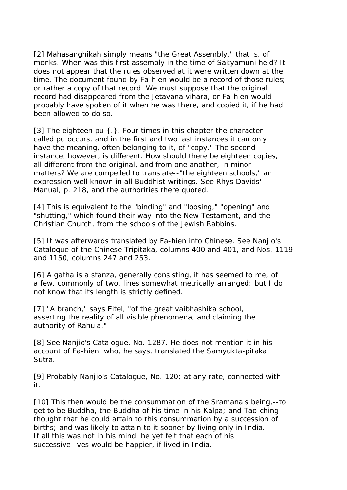[2] Mahasanghikah simply means "the Great Assembly," that is, of monks. When was this first assembly in the time of Sakyamuni held? It does not appear that the rules observed at it were written down at the time. The document found by Fa-hien would be a record of those rules; or rather a copy of that record. We must suppose that the original record had disappeared from the Jetavana vihara, or Fa-hien would probably have spoken of it when he was there, and copied it, if he had been allowed to do so.

[3] The eighteen pu {.}. Four times in this chapter the character called pu occurs, and in the first and two last instances it can only have the meaning, often belonging to it, of "copy." The second instance, however, is different. How should there be eighteen copies, all different from the original, and from one another, in minor matters? We are compelled to translate--"the eighteen schools," an expression well known in all Buddhist writings. See Rhys Davids' Manual, p. 218, and the authorities there quoted.

[4] This is equivalent to the "binding" and "loosing," "opening" and "shutting," which found their way into the New Testament, and the Christian Church, from the schools of the Jewish Rabbins.

[5] It was afterwards translated by Fa-hien into Chinese. See Nanjio's Catalogue of the Chinese Tripitaka, columns 400 and 401, and Nos. 1119 and 1150, columns 247 and 253.

[6] A gatha is a stanza, generally consisting, it has seemed to me, of a few, commonly of two, lines somewhat metrically arranged; but I do not know that its length is strictly defined.

[7] "A branch," says Eitel, "of the great vaibhashika school, asserting the reality of all visible phenomena, and claiming the authority of Rahula."

[8] See Nanjio's Catalogue, No. 1287. He does not mention it in his account of Fa-hien, who, he says, translated the Samyukta-pitaka Sutra.

[9] Probably Nanjio's Catalogue, No. 120; at any rate, connected with it.

[10] This then would be the consummation of the Sramana's being,--to get to be Buddha, the Buddha of his time in his Kalpa; and Tao-ching thought that he could attain to this consummation by a succession of births; and was likely to attain to it sooner by living only in India. If all this was not in his mind, he yet felt that each of his successive lives would be happier, if lived in India.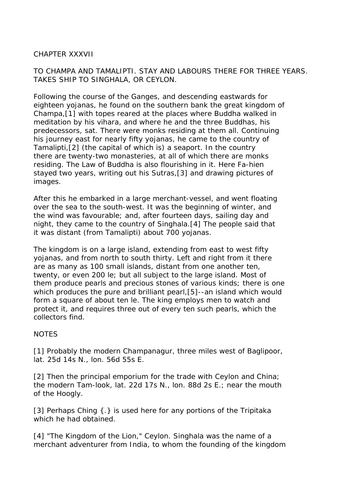# CHAPTER XXXVII

# TO CHAMPA AND TAMALIPTI. STAY AND LABOURS THERE FOR THREE YEARS. TAKES SHIP TO SINGHALA, OR CEYLON.

Following the course of the Ganges, and descending eastwards for eighteen yojanas, he found on the southern bank the great kingdom of Champa,[1] with topes reared at the places where Buddha walked in meditation by his vihara, and where he and the three Buddhas, his predecessors, sat. There were monks residing at them all. Continuing his journey east for nearly fifty yojanas, he came to the country of Tamalipti,[2] (the capital of which is) a seaport. In the country there are twenty-two monasteries, at all of which there are monks residing. The Law of Buddha is also flourishing in it. Here Fa-hien stayed two years, writing out his Sutras,[3] and drawing pictures of images.

After this he embarked in a large merchant-vessel, and went floating over the sea to the south-west. It was the beginning of winter, and the wind was favourable; and, after fourteen days, sailing day and night, they came to the country of Singhala.[4] The people said that it was distant (from Tamalipti) about 700 yojanas.

The kingdom is on a large island, extending from east to west fifty yojanas, and from north to south thirty. Left and right from it there are as many as 100 small islands, distant from one another ten, twenty, or even 200 le; but all subject to the large island. Most of them produce pearls and precious stones of various kinds; there is one which produces the pure and brilliant pearl,[5]--an island which would form a square of about ten le. The king employs men to watch and protect it, and requires three out of every ten such pearls, which the collectors find.

#### **NOTES**

[1] Probably the modern Champanagur, three miles west of Baglipoor, lat. 25d 14s N., lon. 56d 55s E.

[2] Then the principal emporium for the trade with Ceylon and China; the modern Tam-look, lat. 22d 17s N., lon. 88d 2s E.; near the mouth of the Hoogly.

[3] Perhaps Ching { . } is used here for any portions of the Tripitaka which he had obtained.

[4] "The Kingdom of the Lion," Ceylon. Singhala was the name of a merchant adventurer from India, to whom the founding of the kingdom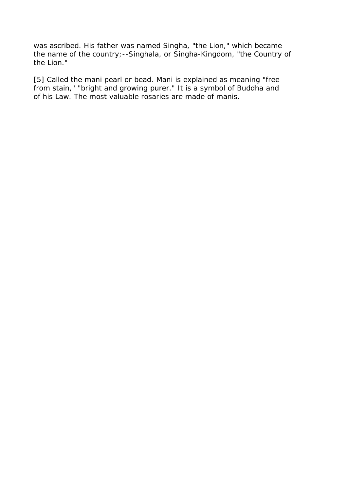was ascribed. His father was named Singha, "the Lion," which became the name of the country;--Singhala, or Singha-Kingdom, "the Country of the Lion."

[5] Called the mani pearl or bead. Mani is explained as meaning "free from stain," "bright and growing purer." It is a symbol of Buddha and of his Law. The most valuable rosaries are made of manis.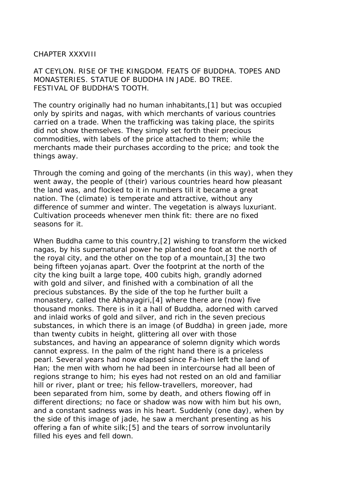#### CHAPTER XXXVIII

AT CEYLON. RISE OF THE KINGDOM. FEATS OF BUDDHA. TOPES AND MONASTERIES. STATUE OF BUDDHA IN JADE. BO TREE. FESTIVAL OF BUDDHA'S TOOTH.

The country originally had no human inhabitants,[1] but was occupied only by spirits and nagas, with which merchants of various countries carried on a trade. When the trafficking was taking place, the spirits did not show themselves. They simply set forth their precious commodities, with labels of the price attached to them; while the merchants made their purchases according to the price; and took the things away.

Through the coming and going of the merchants (in this way), when they went away, the people of (their) various countries heard how pleasant the land was, and flocked to it in numbers till it became a great nation. The (climate) is temperate and attractive, without any difference of summer and winter. The vegetation is always luxuriant. Cultivation proceeds whenever men think fit: there are no fixed seasons for it.

When Buddha came to this country,[2] wishing to transform the wicked nagas, by his supernatural power he planted one foot at the north of the royal city, and the other on the top of a mountain,[3] the two being fifteen yojanas apart. Over the footprint at the north of the city the king built a large tope, 400 cubits high, grandly adorned with gold and silver, and finished with a combination of all the precious substances. By the side of the top he further built a monastery, called the Abhayagiri,[4] where there are (now) five thousand monks. There is in it a hall of Buddha, adorned with carved and inlaid works of gold and silver, and rich in the seven precious substances, in which there is an image (of Buddha) in green jade, more than twenty cubits in height, glittering all over with those substances, and having an appearance of solemn dignity which words cannot express. In the palm of the right hand there is a priceless pearl. Several years had now elapsed since Fa-hien left the land of Han; the men with whom he had been in intercourse had all been of regions strange to him; his eyes had not rested on an old and familiar hill or river, plant or tree; his fellow-travellers, moreover, had been separated from him, some by death, and others flowing off in different directions; no face or shadow was now with him but his own, and a constant sadness was in his heart. Suddenly (one day), when by the side of this image of jade, he saw a merchant presenting as his offering a fan of white silk;[5] and the tears of sorrow involuntarily filled his eyes and fell down.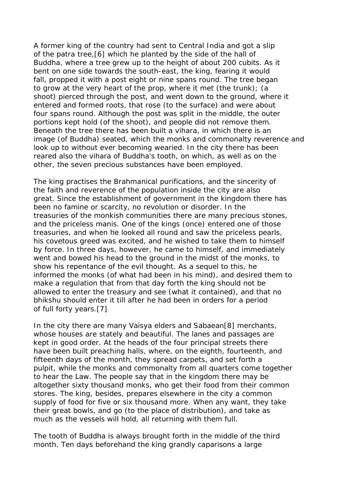A former king of the country had sent to Central India and got a slip of the patra tree,[6] which he planted by the side of the hall of Buddha, where a tree grew up to the height of about 200 cubits. As it bent on one side towards the south-east, the king, fearing it would fall, propped it with a post eight or nine spans round. The tree began to grow at the very heart of the prop, where it met (the trunk); (a shoot) pierced through the post, and went down to the ground, where it entered and formed roots, that rose (to the surface) and were about four spans round. Although the post was split in the middle, the outer portions kept hold (of the shoot), and people did not remove them. Beneath the tree there has been built a vihara, in which there is an image (of Buddha) seated, which the monks and commonalty reverence and look up to without ever becoming wearied. In the city there has been reared also the vihara of Buddha's tooth, on which, as well as on the other, the seven precious substances have been employed.

The king practises the Brahmanical purifications, and the sincerity of the faith and reverence of the population inside the city are also great. Since the establishment of government in the kingdom there has been no famine or scarcity, no revolution or disorder. In the treasuries of the monkish communities there are many precious stones, and the priceless manis. One of the kings (once) entered one of those treasuries, and when he looked all round and saw the priceless pearls, his covetous greed was excited, and he wished to take them to himself by force. In three days, however, he came to himself, and immediately went and bowed his head to the ground in the midst of the monks, to show his repentance of the evil thought. As a sequel to this, he informed the monks (of what had been in his mind), and desired them to make a regulation that from that day forth the king should not be allowed to enter the treasury and see (what it contained), and that no bhikshu should enter it till after he had been in orders for a period of full forty years.[7]

In the city there are many Vaisya elders and Sabaean[8] merchants, whose houses are stately and beautiful. The lanes and passages are kept in good order. At the heads of the four principal streets there have been built preaching halls, where, on the eighth, fourteenth, and fifteenth days of the month, they spread carpets, and set forth a pulpit, while the monks and commonalty from all quarters come together to hear the Law. The people say that in the kingdom there may be altogether sixty thousand monks, who get their food from their common stores. The king, besides, prepares elsewhere in the city a common supply of food for five or six thousand more. When any want, they take their great bowls, and go (to the place of distribution), and take as much as the vessels will hold, all returning with them full.

The tooth of Buddha is always brought forth in the middle of the third month. Ten days beforehand the king grandly caparisons a large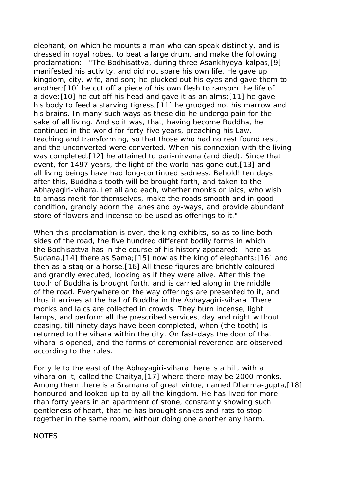elephant, on which he mounts a man who can speak distinctly, and is dressed in royal robes, to beat a large drum, and make the following proclamation:--"The Bodhisattva, during three Asankhyeya-kalpas,[9] manifested his activity, and did not spare his own life. He gave up kingdom, city, wife, and son; he plucked out his eyes and gave them to another;[10] he cut off a piece of his own flesh to ransom the life of a dove;[10] he cut off his head and gave it as an alms;[11] he gave his body to feed a starving tigress; [11] he grudged not his marrow and his brains. In many such ways as these did he undergo pain for the sake of all living. And so it was, that, having become Buddha, he continued in the world for forty-five years, preaching his Law, teaching and transforming, so that those who had no rest found rest, and the unconverted were converted. When his connexion with the living was completed,[12] he attained to pari-nirvana (and died). Since that event, for 1497 years, the light of the world has gone out,[13] and all living beings have had long-continued sadness. Behold! ten days after this, Buddha's tooth will be brought forth, and taken to the Abhayagiri-vihara. Let all and each, whether monks or laics, who wish to amass merit for themselves, make the roads smooth and in good condition, grandly adorn the lanes and by-ways, and provide abundant store of flowers and incense to be used as offerings to it."

When this proclamation is over, the king exhibits, so as to line both sides of the road, the five hundred different bodily forms in which the Bodhisattva has in the course of his history appeared:--here as Sudana, [14] there as Sama; [15] now as the king of elephants; [16] and then as a stag or a horse.[16] All these figures are brightly coloured and grandly executed, looking as if they were alive. After this the tooth of Buddha is brought forth, and is carried along in the middle of the road. Everywhere on the way offerings are presented to it, and thus it arrives at the hall of Buddha in the Abhayagiri-vihara. There monks and laics are collected in crowds. They burn incense, light lamps, and perform all the prescribed services, day and night without ceasing, till ninety days have been completed, when (the tooth) is returned to the vihara within the city. On fast-days the door of that vihara is opened, and the forms of ceremonial reverence are observed according to the rules.

Forty le to the east of the Abhayagiri-vihara there is a hill, with a vihara on it, called the Chaitya,[17] where there may be 2000 monks. Among them there is a Sramana of great virtue, named Dharma-gupta,[18] honoured and looked up to by all the kingdom. He has lived for more than forty years in an apartment of stone, constantly showing such gentleness of heart, that he has brought snakes and rats to stop together in the same room, without doing one another any harm.

**NOTES**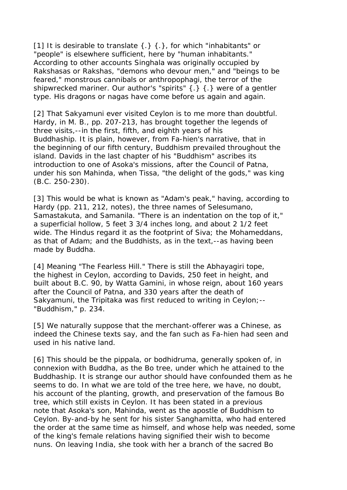[1] It is desirable to translate { .} { .}, for which "inhabitants" or "people" is elsewhere sufficient, here by "human inhabitants." According to other accounts Singhala was originally occupied by Rakshasas or Rakshas, "demons who devour men," and "beings to be feared," monstrous cannibals or anthropophagi, the terror of the shipwrecked mariner. Our author's "spirits" {.} {.} were of a gentler type. His dragons or nagas have come before us again and again.

[2] That Sakyamuni ever visited Ceylon is to me more than doubtful. Hardy, in M. B., pp. 207-213, has brought together the legends of three visits,--in the first, fifth, and eighth years of his Buddhaship. It is plain, however, from Fa-hien's narrative, that in the beginning of our fifth century, Buddhism prevailed throughout the island. Davids in the last chapter of his "Buddhism" ascribes its introduction to one of Asoka's missions, after the Council of Patna, under his son Mahinda, when Tissa, "the delight of the gods," was king (B.C. 250-230).

[3] This would be what is known as "Adam's peak," having, according to Hardy (pp. 211, 212, notes), the three names of Selesumano, Samastakuta, and Samanila. "There is an indentation on the top of it," a superficial hollow, 5 feet 3 3/4 inches long, and about 2 1/2 feet wide. The Hindus regard it as the footprint of Siva; the Mohameddans, as that of Adam; and the Buddhists, as in the text,--as having been made by Buddha.

[4] Meaning "The Fearless Hill." There is still the Abhayagiri tope, the highest in Ceylon, according to Davids, 250 feet in height, and built about B.C. 90, by Watta Gamini, in whose reign, about 160 years after the Council of Patna, and 330 years after the death of Sakyamuni, the Tripitaka was first reduced to writing in Ceylon;-- "Buddhism," p. 234.

[5] We naturally suppose that the merchant-offerer was a Chinese, as indeed the Chinese texts say, and the fan such as Fa-hien had seen and used in his native land.

[6] This should be the pippala, or bodhidruma, generally spoken of, in connexion with Buddha, as the Bo tree, under which he attained to the Buddhaship. It is strange our author should have confounded them as he seems to do. In what we are told of the tree here, we have, no doubt, his account of the planting, growth, and preservation of the famous Bo tree, which still exists in Ceylon. It has been stated in a previous note that Asoka's son, Mahinda, went as the apostle of Buddhism to Ceylon. By-and-by he sent for his sister Sanghamitta, who had entered the order at the same time as himself, and whose help was needed, some of the king's female relations having signified their wish to become nuns. On leaving India, she took with her a branch of the sacred Bo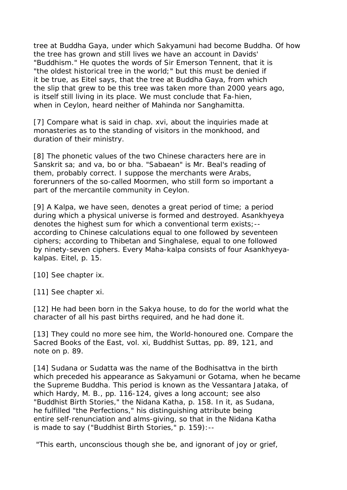tree at Buddha Gaya, under which Sakyamuni had become Buddha. Of how the tree has grown and still lives we have an account in Davids' "Buddhism." He quotes the words of Sir Emerson Tennent, that it is "the oldest historical tree in the world;" but this must be denied if it be true, as Eitel says, that the tree at Buddha Gaya, from which the slip that grew to be this tree was taken more than 2000 years ago, is itself still living in its place. We must conclude that Fa-hien, when in Ceylon, heard neither of Mahinda nor Sanghamitta.

[7] Compare what is said in chap. xvi, about the inquiries made at monasteries as to the standing of visitors in the monkhood, and duration of their ministry.

[8] The phonetic values of the two Chinese characters here are in Sanskrit sa; and va, bo or bha. "Sabaean" is Mr. Beal's reading of them, probably correct. I suppose the merchants were Arabs, forerunners of the so-called Moormen, who still form so important a part of the mercantile community in Ceylon.

[9] A Kalpa, we have seen, denotes a great period of time; a period during which a physical universe is formed and destroyed. Asankhyeya denotes the highest sum for which a conventional term exists;- according to Chinese calculations equal to one followed by seventeen ciphers; according to Thibetan and Singhalese, equal to one followed by ninety-seven ciphers. Every Maha-kalpa consists of four Asankhyeyakalpas. Eitel, p. 15.

[10] See chapter ix.

[11] See chapter xi.

[12] He had been born in the Sakva house, to do for the world what the character of all his past births required, and he had done it.

[13] They could no more see him, the World-honoured one. Compare the Sacred Books of the East, vol. xi, Buddhist Suttas, pp. 89, 121, and note on p. 89.

[14] Sudana or Sudatta was the name of the Bodhisattva in the birth which preceded his appearance as Sakyamuni or Gotama, when he became the Supreme Buddha. This period is known as the Vessantara Jataka, of which Hardy, M. B., pp. 116-124, gives a long account; see also "Buddhist Birth Stories," the Nidana Katha, p. 158. In it, as Sudana, he fulfilled "the Perfections," his distinguishing attribute being entire self-renunciation and alms-giving, so that in the Nidana Katha is made to say ("Buddhist Birth Stories," p. 159):--

"This earth, unconscious though she be, and ignorant of joy or grief,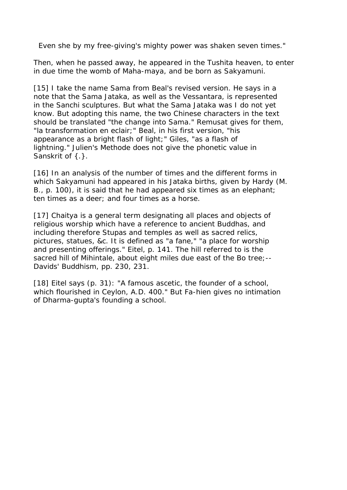Even she by my free-giving's mighty power was shaken seven times."

Then, when he passed away, he appeared in the Tushita heaven, to enter in due time the womb of Maha-maya, and be born as Sakyamuni.

[15] I take the name Sama from Beal's revised version. He says in a note that the Sama Jataka, as well as the Vessantara, is represented in the Sanchi sculptures. But what the Sama Jataka was I do not yet know. But adopting this name, the two Chinese characters in the text should be translated "the change into Sama." Remusat gives for them, "la transformation en eclair;" Beal, in his first version, "his appearance as a bright flash of light;" Giles, "as a flash of lightning." Julien's Methode does not give the phonetic value in Sanskrit of { . }.

[16] In an analysis of the number of times and the different forms in which Sakyamuni had appeared in his Jataka births, given by Hardy (M. B., p. 100), it is said that he had appeared six times as an elephant; ten times as a deer; and four times as a horse.

[17] Chaitya is a general term designating all places and objects of religious worship which have a reference to ancient Buddhas, and including therefore Stupas and temples as well as sacred relics, pictures, statues, &c. It is defined as "a fane," "a place for worship and presenting offerings." Eitel, p. 141. The hill referred to is the sacred hill of Mihintale, about eight miles due east of the Bo tree;-- Davids' Buddhism, pp. 230, 231.

[18] Eitel says (p. 31): "A famous ascetic, the founder of a school, which flourished in Ceylon, A.D. 400." But Fa-hien gives no intimation of Dharma-gupta's founding a school.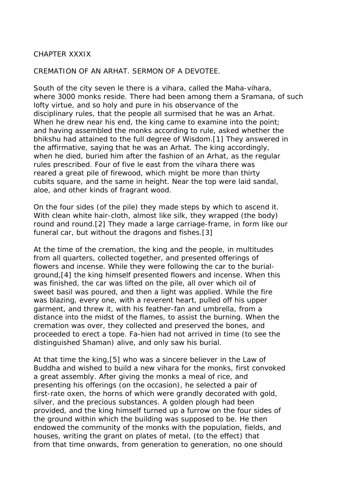#### CHAPTER XXXIX

CREMATION OF AN ARHAT. SERMON OF A DEVOTEE.

South of the city seven le there is a vihara, called the Maha-vihara, where 3000 monks reside. There had been among them a Sramana, of such lofty virtue, and so holy and pure in his observance of the disciplinary rules, that the people all surmised that he was an Arhat. When he drew near his end, the king came to examine into the point; and having assembled the monks according to rule, asked whether the bhikshu had attained to the full degree of Wisdom.[1] They answered in the affirmative, saying that he was an Arhat. The king accordingly, when he died, buried him after the fashion of an Arhat, as the regular rules prescribed. Four of five le east from the vihara there was reared a great pile of firewood, which might be more than thirty cubits square, and the same in height. Near the top were laid sandal, aloe, and other kinds of fragrant wood.

On the four sides (of the pile) they made steps by which to ascend it. With clean white hair-cloth, almost like silk, they wrapped (the body) round and round.[2] They made a large carriage-frame, in form like our funeral car, but without the dragons and fishes.[3]

At the time of the cremation, the king and the people, in multitudes from all quarters, collected together, and presented offerings of flowers and incense. While they were following the car to the burialground,[4] the king himself presented flowers and incense. When this was finished, the car was lifted on the pile, all over which oil of sweet basil was poured, and then a light was applied. While the fire was blazing, every one, with a reverent heart, pulled off his upper garment, and threw it, with his feather-fan and umbrella, from a distance into the midst of the flames, to assist the burning. When the cremation was over, they collected and preserved the bones, and proceeded to erect a tope. Fa-hien had not arrived in time (to see the distinguished Shaman) alive, and only saw his burial.

At that time the king,[5] who was a sincere believer in the Law of Buddha and wished to build a new vihara for the monks, first convoked a great assembly. After giving the monks a meal of rice, and presenting his offerings (on the occasion), he selected a pair of first-rate oxen, the horns of which were grandly decorated with gold, silver, and the precious substances. A golden plough had been provided, and the king himself turned up a furrow on the four sides of the ground within which the building was supposed to be. He then endowed the community of the monks with the population, fields, and houses, writing the grant on plates of metal, (to the effect) that from that time onwards, from generation to generation, no one should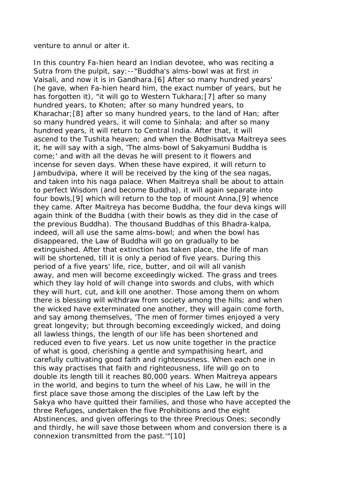#### venture to annul or alter it.

In this country Fa-hien heard an Indian devotee, who was reciting a Sutra from the pulpit, say:--"Buddha's alms-bowl was at first in Vaisali, and now it is in Gandhara.[6] After so many hundred years' (he gave, when Fa-hien heard him, the exact number of years, but he has forgotten it), "it will go to Western Tukhara;[7] after so many hundred years, to Khoten; after so many hundred years, to Kharachar;[8] after so many hundred years, to the land of Han; after so many hundred years, it will come to Sinhala; and after so many hundred years, it will return to Central India. After that, it will ascend to the Tushita heaven; and when the Bodhisattva Maitreya sees it, he will say with a sigh, 'The alms-bowl of Sakyamuni Buddha is come;' and with all the devas he will present to it flowers and incense for seven days. When these have expired, it will return to Jambudvipa, where it will be received by the king of the sea nagas, and taken into his naga palace. When Maitreya shall be about to attain to perfect Wisdom (and become Buddha), it will again separate into four bowls,[9] which will return to the top of mount Anna,[9] whence they came. After Maitreya has become Buddha, the four deva kings will again think of the Buddha (with their bowls as they did in the case of the previous Buddha). The thousand Buddhas of this Bhadra-kalpa, indeed, will all use the same alms-bowl; and when the bowl has disappeared, the Law of Buddha will go on gradually to be extinguished. After that extinction has taken place, the life of man will be shortened, till it is only a period of five years. During this period of a five years' life, rice, butter, and oil will all vanish away, and men will become exceedingly wicked. The grass and trees which they lay hold of will change into swords and clubs, with which they will hurt, cut, and kill one another. Those among them on whom there is blessing will withdraw from society among the hills; and when the wicked have exterminated one another, they will again come forth, and say among themselves, 'The men of former times enjoyed a very great longevity; but through becoming exceedingly wicked, and doing all lawless things, the length of our life has been shortened and reduced even to five years. Let us now unite together in the practice of what is good, cherishing a gentle and sympathising heart, and carefully cultivating good faith and righteousness. When each one in this way practises that faith and righteousness, life will go on to double its length till it reaches 80,000 years. When Maitreya appears in the world, and begins to turn the wheel of his Law, he will in the first place save those among the disciples of the Law left by the Sakya who have quitted their families, and those who have accepted the three Refuges, undertaken the five Prohibitions and the eight Abstinences, and given offerings to the three Precious Ones; secondly and thirdly, he will save those between whom and conversion there is a connexion transmitted from the past.'"[10]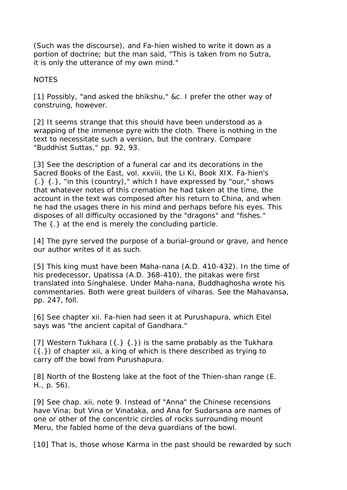(Such was the discourse), and Fa-hien wished to write it down as a portion of doctrine; but the man said, "This is taken from no Sutra, it is only the utterance of my own mind."

NOTES

[1] Possibly, "and asked the bhikshu," &c. I prefer the other way of construing, however.

[2] It seems strange that this should have been understood as a wrapping of the immense pyre with the cloth. There is nothing in the text to necessitate such a version, but the contrary. Compare "Buddhist Suttas," pp. 92, 93.

[3] See the description of a funeral car and its decorations in the Sacred Books of the East, vol. xxviii, the Li Ki, Book XIX. Fa-hien's  $\{\cdot\}$   $\{\cdot\}$ , "in this (country)," which I have expressed by "our," shows that whatever notes of this cremation he had taken at the time, the account in the text was composed after his return to China, and when he had the usages there in his mind and perhaps before his eyes. This disposes of all difficulty occasioned by the "dragons" and "fishes." The {.} at the end is merely the concluding particle.

[4] The pyre served the purpose of a burial-ground or grave, and hence our author writes of it as such.

[5] This king must have been Maha-nana (A.D. 410-432). In the time of his predecessor, Upatissa (A.D. 368-410), the pitakas were first translated into Singhalese. Under Maha-nana, Buddhaghosha wrote his commentaries. Both were great builders of viharas. See the Mahavansa, pp. 247, foll.

[6] See chapter xii. Fa-hien had seen it at Purushapura, which Eitel says was "the ancient capital of Gandhara."

[7] Western Tukhara  $({.} \{ .\})$  is the same probably as the Tukhara ({.}) of chapter xii, a king of which is there described as trying to carry off the bowl from Purushapura.

[8] North of the Bosteng lake at the foot of the Thien-shan range (E. H., p. 56).

[9] See chap. xii, note 9. Instead of "Anna" the Chinese recensions have Vina; but Vina or Vinataka, and Ana for Sudarsana are names of one or other of the concentric circles of rocks surrounding mount Meru, the fabled home of the deva guardians of the bowl.

[10] That is, those whose Karma in the past should be rewarded by such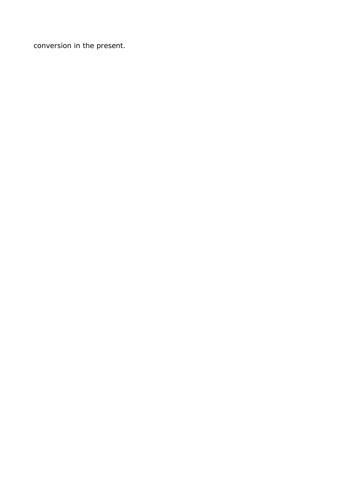conversion in the present.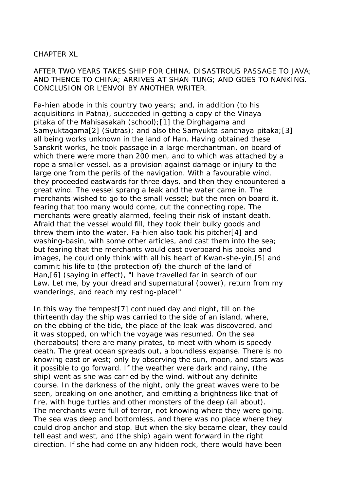#### CHAPTER XL

AFTER TWO YEARS TAKES SHIP FOR CHINA. DISASTROUS PASSAGE TO JAVA; AND THENCE TO CHINA; ARRIVES AT SHAN-TUNG; AND GOES TO NANKING. CONCLUSION OR L'ENVOI BY ANOTHER WRITER.

Fa-hien abode in this country two years; and, in addition (to his acquisitions in Patna), succeeded in getting a copy of the Vinayapitaka of the Mahisasakah (school);[1] the Dirghagama and Samyuktagama[2] (Sutras); and also the Samyukta-sanchaya-pitaka;[3]- all being works unknown in the land of Han. Having obtained these Sanskrit works, he took passage in a large merchantman, on board of which there were more than 200 men, and to which was attached by a rope a smaller vessel, as a provision against damage or injury to the large one from the perils of the navigation. With a favourable wind, they proceeded eastwards for three days, and then they encountered a great wind. The vessel sprang a leak and the water came in. The merchants wished to go to the small vessel; but the men on board it, fearing that too many would come, cut the connecting rope. The merchants were greatly alarmed, feeling their risk of instant death. Afraid that the vessel would fill, they took their bulky goods and threw them into the water. Fa-hien also took his pitcher[4] and washing-basin, with some other articles, and cast them into the sea; but fearing that the merchants would cast overboard his books and images, he could only think with all his heart of Kwan-she-yin,[5] and commit his life to (the protection of) the church of the land of Han,[6] (saying in effect), "I have travelled far in search of our Law. Let me, by your dread and supernatural (power), return from my wanderings, and reach my resting-place!"

In this way the tempest[7] continued day and night, till on the thirteenth day the ship was carried to the side of an island, where, on the ebbing of the tide, the place of the leak was discovered, and it was stopped, on which the voyage was resumed. On the sea (hereabouts) there are many pirates, to meet with whom is speedy death. The great ocean spreads out, a boundless expanse. There is no knowing east or west; only by observing the sun, moon, and stars was it possible to go forward. If the weather were dark and rainy, (the ship) went as she was carried by the wind, without any definite course. In the darkness of the night, only the great waves were to be seen, breaking on one another, and emitting a brightness like that of fire, with huge turtles and other monsters of the deep (all about). The merchants were full of terror, not knowing where they were going. The sea was deep and bottomless, and there was no place where they could drop anchor and stop. But when the sky became clear, they could tell east and west, and (the ship) again went forward in the right direction. If she had come on any hidden rock, there would have been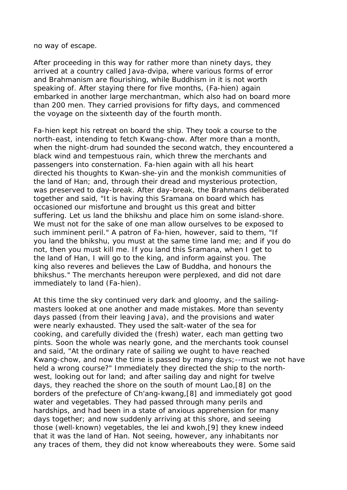no way of escape.

After proceeding in this way for rather more than ninety days, they arrived at a country called Java-dvipa, where various forms of error and Brahmanism are flourishing, while Buddhism in it is not worth speaking of. After staying there for five months, (Fa-hien) again embarked in another large merchantman, which also had on board more than 200 men. They carried provisions for fifty days, and commenced the voyage on the sixteenth day of the fourth month.

Fa-hien kept his retreat on board the ship. They took a course to the north-east, intending to fetch Kwang-chow. After more than a month, when the night-drum had sounded the second watch, they encountered a black wind and tempestuous rain, which threw the merchants and passengers into consternation. Fa-hien again with all his heart directed his thoughts to Kwan-she-yin and the monkish communities of the land of Han; and, through their dread and mysterious protection, was preserved to day-break. After day-break, the Brahmans deliberated together and said, "It is having this Sramana on board which has occasioned our misfortune and brought us this great and bitter suffering. Let us land the bhikshu and place him on some island-shore. We must not for the sake of one man allow ourselves to be exposed to such imminent peril." A patron of Fa-hien, however, said to them, "If you land the bhikshu, you must at the same time land me; and if you do not, then you must kill me. If you land this Sramana, when I get to the land of Han, I will go to the king, and inform against you. The king also reveres and believes the Law of Buddha, and honours the bhikshus." The merchants hereupon were perplexed, and did not dare immediately to land (Fa-hien).

At this time the sky continued very dark and gloomy, and the sailingmasters looked at one another and made mistakes. More than seventy days passed (from their leaving Java), and the provisions and water were nearly exhausted. They used the salt-water of the sea for cooking, and carefully divided the (fresh) water, each man getting two pints. Soon the whole was nearly gone, and the merchants took counsel and said, "At the ordinary rate of sailing we ought to have reached Kwang-chow, and now the time is passed by many days;--must we not have held a wrong course?" Immediately they directed the ship to the northwest, looking out for land; and after sailing day and night for twelve days, they reached the shore on the south of mount Lao,[8] on the borders of the prefecture of Ch'ang-kwang,[8] and immediately got good water and vegetables. They had passed through many perils and hardships, and had been in a state of anxious apprehension for many days together; and now suddenly arriving at this shore, and seeing those (well-known) vegetables, the lei and kwoh,[9] they knew indeed that it was the land of Han. Not seeing, however, any inhabitants nor any traces of them, they did not know whereabouts they were. Some said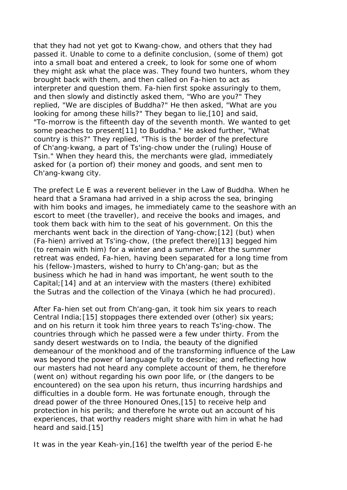that they had not yet got to Kwang-chow, and others that they had passed it. Unable to come to a definite conclusion, (some of them) got into a small boat and entered a creek, to look for some one of whom they might ask what the place was. They found two hunters, whom they brought back with them, and then called on Fa-hien to act as interpreter and question them. Fa-hien first spoke assuringly to them, and then slowly and distinctly asked them, "Who are you?" They replied, "We are disciples of Buddha?" He then asked, "What are you looking for among these hills?" They began to lie,[10] and said, "To-morrow is the fifteenth day of the seventh month. We wanted to get some peaches to present[11] to Buddha." He asked further, "What country is this?" They replied, "This is the border of the prefecture of Ch'ang-kwang, a part of Ts'ing-chow under the (ruling) House of Tsin." When they heard this, the merchants were glad, immediately asked for (a portion of) their money and goods, and sent men to Ch'ang-kwang city.

The prefect Le E was a reverent believer in the Law of Buddha. When he heard that a Sramana had arrived in a ship across the sea, bringing with him books and images, he immediately came to the seashore with an escort to meet (the traveller), and receive the books and images, and took them back with him to the seat of his government. On this the merchants went back in the direction of Yang-chow;[12] (but) when (Fa-hien) arrived at Ts'ing-chow, (the prefect there)[13] begged him (to remain with him) for a winter and a summer. After the summer retreat was ended, Fa-hien, having been separated for a long time from his (fellow-)masters, wished to hurry to Ch'ang-gan; but as the business which he had in hand was important, he went south to the Capital;[14] and at an interview with the masters (there) exhibited the Sutras and the collection of the Vinaya (which he had procured).

After Fa-hien set out from Ch'ang-gan, it took him six years to reach Central India;[15] stoppages there extended over (other) six years; and on his return it took him three years to reach Ts'ing-chow. The countries through which he passed were a few under thirty. From the sandy desert westwards on to India, the beauty of the dignified demeanour of the monkhood and of the transforming influence of the Law was beyond the power of language fully to describe; and reflecting how our masters had not heard any complete account of them, he therefore (went on) without regarding his own poor life, or (the dangers to be encountered) on the sea upon his return, thus incurring hardships and difficulties in a double form. He was fortunate enough, through the dread power of the three Honoured Ones,[15] to receive help and protection in his perils; and therefore he wrote out an account of his experiences, that worthy readers might share with him in what he had heard and said.[15]

It was in the year Keah-yin,[16] the twelfth year of the period E-he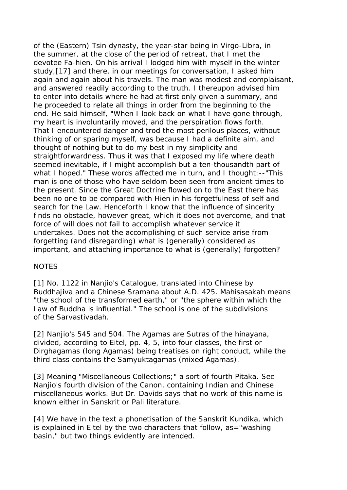of the (Eastern) Tsin dynasty, the year-star being in Virgo-Libra, in the summer, at the close of the period of retreat, that I met the devotee Fa-hien. On his arrival I lodged him with myself in the winter study,[17] and there, in our meetings for conversation, I asked him again and again about his travels. The man was modest and complaisant, and answered readily according to the truth. I thereupon advised him to enter into details where he had at first only given a summary, and he proceeded to relate all things in order from the beginning to the end. He said himself, "When I look back on what I have gone through, my heart is involuntarily moved, and the perspiration flows forth. That I encountered danger and trod the most perilous places, without thinking of or sparing myself, was because I had a definite aim, and thought of nothing but to do my best in my simplicity and straightforwardness. Thus it was that I exposed my life where death seemed inevitable, if I might accomplish but a ten-thousandth part of what I hoped." These words affected me in turn, and I thought:--"This man is one of those who have seldom been seen from ancient times to the present. Since the Great Doctrine flowed on to the East there has been no one to be compared with Hien in his forgetfulness of self and search for the Law. Henceforth I know that the influence of sincerity finds no obstacle, however great, which it does not overcome, and that force of will does not fail to accomplish whatever service it undertakes. Does not the accomplishing of such service arise from forgetting (and disregarding) what is (generally) considered as important, and attaching importance to what is (generally) forgotten?

# **NOTES**

[1] No. 1122 in Nanjio's Catalogue, translated into Chinese by Buddhajiva and a Chinese Sramana about A.D. 425. Mahisasakah means "the school of the transformed earth," or "the sphere within which the Law of Buddha is influential." The school is one of the subdivisions of the Sarvastivadah.

[2] Nanjio's 545 and 504. The Agamas are Sutras of the hinayana, divided, according to Eitel, pp. 4, 5, into four classes, the first or Dirghagamas (long Agamas) being treatises on right conduct, while the third class contains the Samyuktagamas (mixed Agamas).

[3] Meaning "Miscellaneous Collections;" a sort of fourth Pitaka. See Nanjio's fourth division of the Canon, containing Indian and Chinese miscellaneous works. But Dr. Davids says that no work of this name is known either in Sanskrit or Pali literature.

[4] We have in the text a phonetisation of the Sanskrit Kundika, which is explained in Eitel by the two characters that follow, as="washing basin," but two things evidently are intended.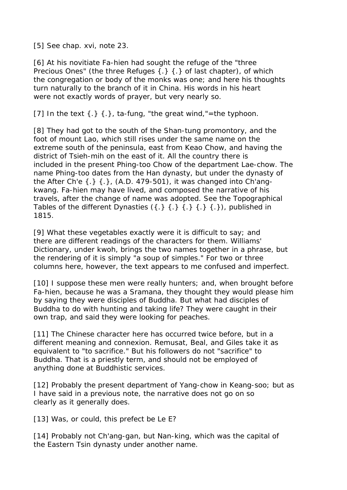[5] See chap. xvi, note 23.

[6] At his novitiate Fa-hien had sought the refuge of the "three Precious Ones" (the three Refuges  $\{\cdot\}$   $\{\cdot\}$  of last chapter), of which the congregation or body of the monks was one; and here his thoughts turn naturally to the branch of it in China. His words in his heart were not exactly words of prayer, but very nearly so.

[7] In the text  $\{.\}$   $\{.\}$ , ta-fung, "the great wind,"=the typhoon.

[8] They had got to the south of the Shan-tung promontory, and the foot of mount Lao, which still rises under the same name on the extreme south of the peninsula, east from Keao Chow, and having the district of Tsieh-mih on the east of it. All the country there is included in the present Phing-too Chow of the department Lae-chow. The name Phing-too dates from the Han dynasty, but under the dynasty of the After Ch'e  $\{\cdot\}$   $\{\cdot\}$ , (A.D. 479-501), it was changed into Ch'angkwang. Fa-hien may have lived, and composed the narrative of his travels, after the change of name was adopted. See the Topographical Tables of the different Dynasties  $({},\}({},\}({},\}({},\}({},\;{\;})$ 1815.

[9] What these vegetables exactly were it is difficult to say; and there are different readings of the characters for them. Williams' Dictionary, under kwoh, brings the two names together in a phrase, but the rendering of it is simply "a soup of simples." For two or three columns here, however, the text appears to me confused and imperfect.

[10] I suppose these men were really hunters; and, when brought before Fa-hien, because he was a Sramana, they thought they would please him by saying they were disciples of Buddha. But what had disciples of Buddha to do with hunting and taking life? They were caught in their own trap, and said they were looking for peaches.

[11] The Chinese character here has occurred twice before, but in a different meaning and connexion. Remusat, Beal, and Giles take it as equivalent to "to sacrifice." But his followers do not "sacrifice" to Buddha. That is a priestly term, and should not be employed of anything done at Buddhistic services.

[12] Probably the present department of Yang-chow in Keang-soo; but as I have said in a previous note, the narrative does not go on so clearly as it generally does.

[13] Was, or could, this prefect be Le E?

[14] Probably not Ch'ang-gan, but Nan-king, which was the capital of the Eastern Tsin dynasty under another name.